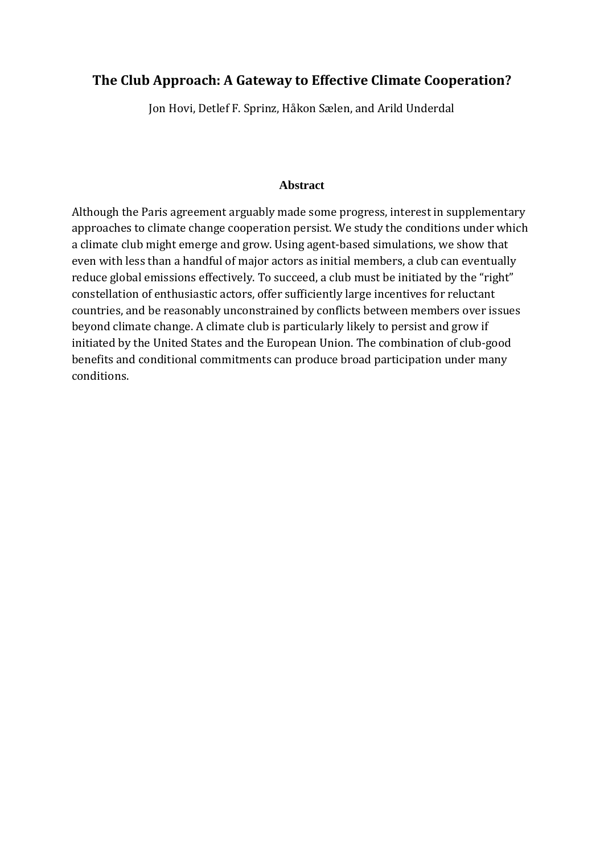# **The Club Approach: A Gateway to Effective Climate Cooperation?**

Jon Hovi, Detlef F. Sprinz, Håkon Sælen, and Arild Underdal

### **Abstract**

Although the Paris agreement arguably made some progress, interest in supplementary approaches to climate change cooperation persist. We study the conditions under which a climate club might emerge and grow. Using agent-based simulations, we show that even with less than a handful of major actors as initial members, a club can eventually reduce global emissions effectively. To succeed, a club must be initiated by the "right" constellation of enthusiastic actors, offer sufficiently large incentives for reluctant countries, and be reasonably unconstrained by conflicts between members over issues beyond climate change. A climate club is particularly likely to persist and grow if initiated by the United States and the European Union. The combination of club-good benefits and conditional commitments can produce broad participation under many conditions.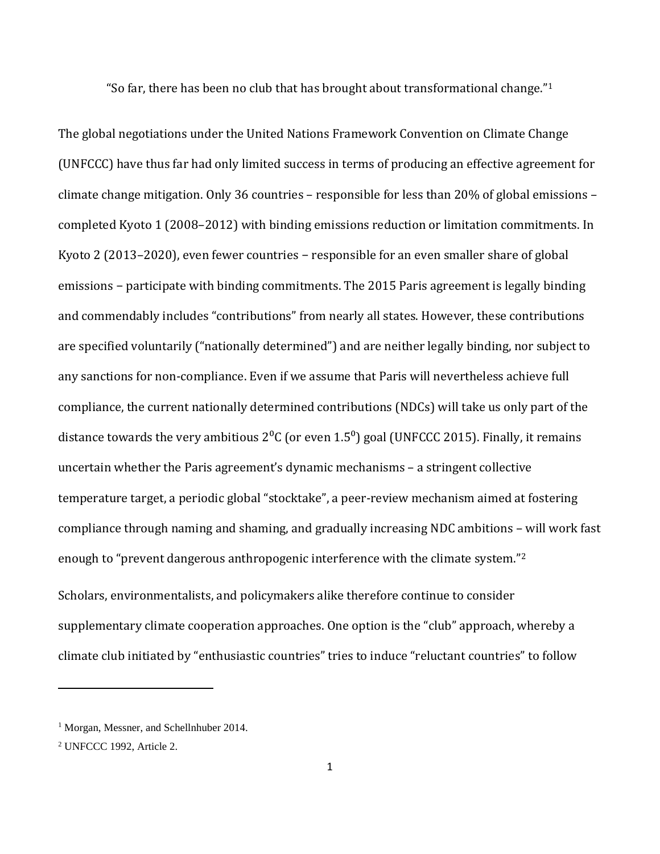"So far, there has been no club that has brought about transformational change." $1$ 

The global negotiations under the United Nations Framework Convention on Climate Change (UNFCCC) have thus far had only limited success in terms of producing an effective agreement for climate change mitigation. Only 36 countries – responsible for less than 20% of global emissions – completed Kyoto 1 (2008–2012) with binding emissions reduction or limitation commitments. In Kyoto 2 (2013–2020), even fewer countries − responsible for an even smaller share of global emissions − participate with binding commitments. The 2015 Paris agreement is legally binding and commendably includes "contributions" from nearly all states. However, these contributions are specified voluntarily ("nationally determined") and are neither legally binding, nor subject to any sanctions for non-compliance. Even if we assume that Paris will nevertheless achieve full compliance, the current nationally determined contributions (NDCs) will take us only part of the distance towards the very ambitious  $2^{0}C$  (or even 1.5<sup>0</sup>) goal (UNFCCC 2015). Finally, it remains uncertain whether the Paris agreement's dynamic mechanisms – a stringent collective temperature target, a periodic global "stocktake", a peer-review mechanism aimed at fostering compliance through naming and shaming, and gradually increasing NDC ambitions – will work fast enough to "prevent dangerous anthropogenic interference with the climate system."[2](#page-1-1) Scholars, environmentalists, and policymakers alike therefore continue to consider supplementary climate cooperation approaches. One option is the "club" approach, whereby a

climate club initiated by "enthusiastic countries" tries to induce "reluctant countries" to follow

<span id="page-1-0"></span><sup>&</sup>lt;sup>1</sup> Morgan, Messner, and Schellnhuber 2014.

<span id="page-1-1"></span><sup>2</sup> UNFCCC 1992, Article 2.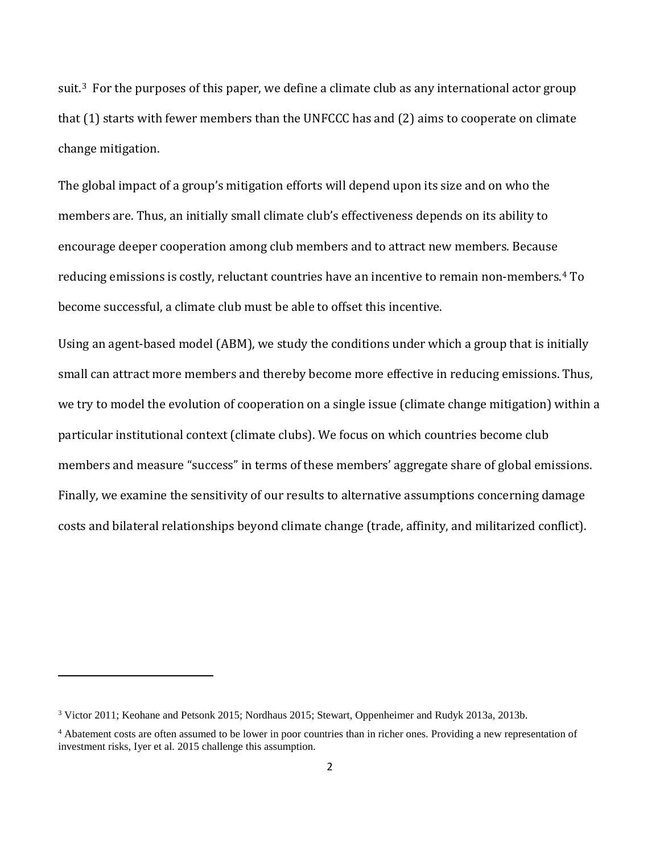suit.<sup>3</sup> For the purposes of this paper, we define a climate club as any international actor group that (1) starts with fewer members than the UNFCCC has and (2) aims to cooperate on climate change mitigation.

The global impact of a group's mitigation efforts will depend upon its size and on who the members are. Thus, an initially small climate club's effectiveness depends on its ability to encourage deeper cooperation among club members and to attract new members. Because reducing emissions is costly, reluctant countries have an incentive to remain non-members.[4](#page-2-1) To become successful, a climate club must be able to offset this incentive.

Using an agent-based model (ABM), we study the conditions under which a group that is initially small can attract more members and thereby become more effective in reducing emissions. Thus, we try to model the evolution of cooperation on a single issue (climate change mitigation) within a particular institutional context (climate clubs). We focus on which countries become club members and measure "success" in terms of these members' aggregate share of global emissions. Finally, we examine the sensitivity of our results to alternative assumptions concerning damage costs and bilateral relationships beyond climate change (trade, affinity, and militarized conflict).

<span id="page-2-0"></span><sup>3</sup> Victor 2011; Keohane and Petsonk 2015; Nordhaus 2015; Stewart, Oppenheimer and Rudyk 2013a, 2013b.

<span id="page-2-1"></span><sup>4</sup> Abatement costs are often assumed to be lower in poor countries than in richer ones. Providing a new representation of investment risks, Iyer et al. 2015 challenge this assumption.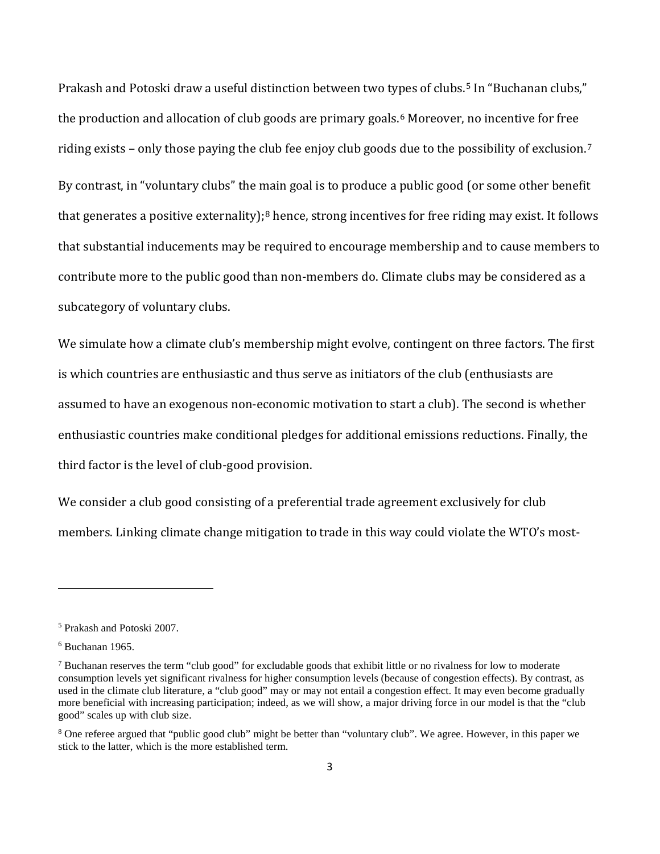Prakash and Potoski draw a useful distinction between two types of clubs.<sup>[5](#page-3-0)</sup> In "Buchanan clubs," the production and allocation of club goods are primary goals.<sup>[6](#page-3-1)</sup> Moreover, no incentive for free riding exists – only those paying the club fee enjoy club goods due to the possibility of exclusion.[7](#page-3-2) By contrast, in "voluntary clubs" the main goal is to produce a public good (or some other benefit that generates a positive externality);<sup>[8](#page-3-3)</sup> hence, strong incentives for free riding may exist. It follows that substantial inducements may be required to encourage membership and to cause members to contribute more to the public good than non-members do. Climate clubs may be considered as a subcategory of voluntary clubs.

We simulate how a climate club's membership might evolve, contingent on three factors. The first is which countries are enthusiastic and thus serve as initiators of the club (enthusiasts are assumed to have an exogenous non-economic motivation to start a club). The second is whether enthusiastic countries make conditional pledges for additional emissions reductions. Finally, the third factor is the level of club-good provision.

We consider a club good consisting of a preferential trade agreement exclusively for club members. Linking climate change mitigation to trade in this way could violate the WTO's most-

<span id="page-3-0"></span><sup>5</sup> Prakash and Potoski 2007.

<span id="page-3-1"></span> $6$  Buchanan 1965.

<span id="page-3-2"></span> $7$  Buchanan reserves the term "club good" for excludable goods that exhibit little or no rivalness for low to moderate consumption levels yet significant rivalness for higher consumption levels (because of congestion effects). By contrast, as used in the climate club literature, a "club good" may or may not entail a congestion effect. It may even become gradually more beneficial with increasing participation; indeed, as we will show, a major driving force in our model is that the "club good" scales up with club size.

<span id="page-3-3"></span><sup>8</sup> One referee argued that "public good club" might be better than "voluntary club". We agree. However, in this paper we stick to the latter, which is the more established term.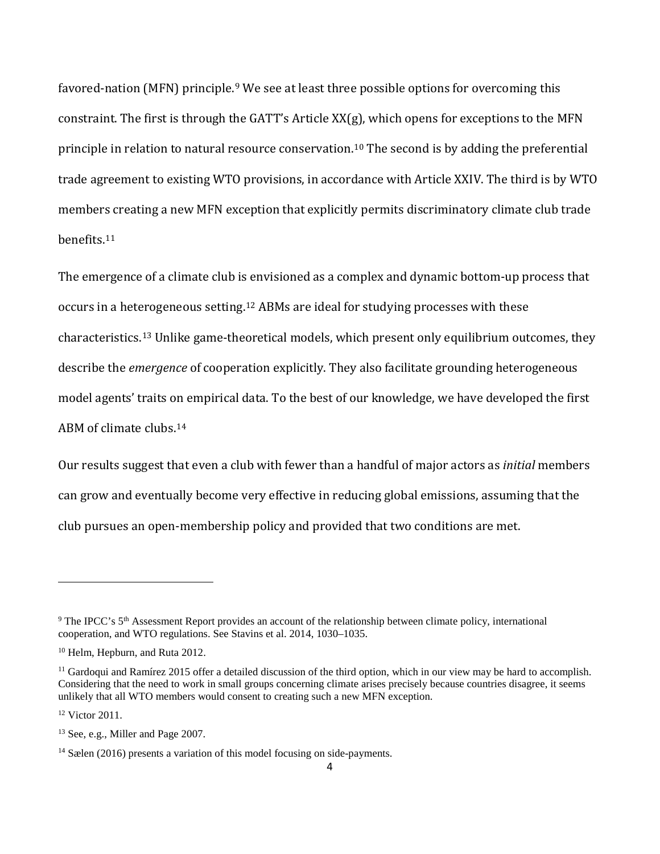favored-nation (MFN) principle.<sup>[9](#page-4-0)</sup> We see at least three possible options for overcoming this constraint. The first is through the GATT's Article XX(g), which opens for exceptions to the MFN principle in relation to natural resource conservation. [10](#page-4-1) The second is by adding the preferential trade agreement to existing WTO provisions, in accordance with Article XXIV. The third is by WTO members creating a new MFN exception that explicitly permits discriminatory climate club trade benefits.[11](#page-4-2)

The emergence of a climate club is envisioned as a complex and dynamic bottom-up process that occurs in a heterogeneous setting. [12](#page-4-3) ABMs are ideal for studying processes with these characteristics.[13](#page-4-4) Unlike game-theoretical models, which present only equilibrium outcomes, they describe the *emergence* of cooperation explicitly. They also facilitate grounding heterogeneous model agents' traits on empirical data. To the best of our knowledge, we have developed the first ABM of climate clubs.[14](#page-4-5)

Our results suggest that even a club with fewer than a handful of major actors as *initial* members can grow and eventually become very effective in reducing global emissions, assuming that the club pursues an open-membership policy and provided that two conditions are met.

<span id="page-4-3"></span><sup>12</sup> Victor 2011.

<span id="page-4-0"></span><sup>&</sup>lt;sup>9</sup> The IPCC's 5<sup>th</sup> Assessment Report provides an account of the relationship between climate policy, international cooperation, and WTO regulations. See Stavins et al. 2014, 1030–1035.

<span id="page-4-1"></span><sup>10</sup> Helm, Hepburn, and Ruta 2012.

<span id="page-4-2"></span> $<sup>11</sup>$  Gardoqui and Ramírez 2015 offer a detailed discussion of the third option, which in our view may be hard to accomplish.</sup> Considering that the need to work in small groups concerning climate arises precisely because countries disagree, it seems unlikely that all WTO members would consent to creating such a new MFN exception.

<span id="page-4-4"></span><sup>&</sup>lt;sup>13</sup> See, e.g., Miller and Page 2007.

<span id="page-4-5"></span><sup>&</sup>lt;sup>14</sup> Sælen (2016) presents a variation of this model focusing on side-payments.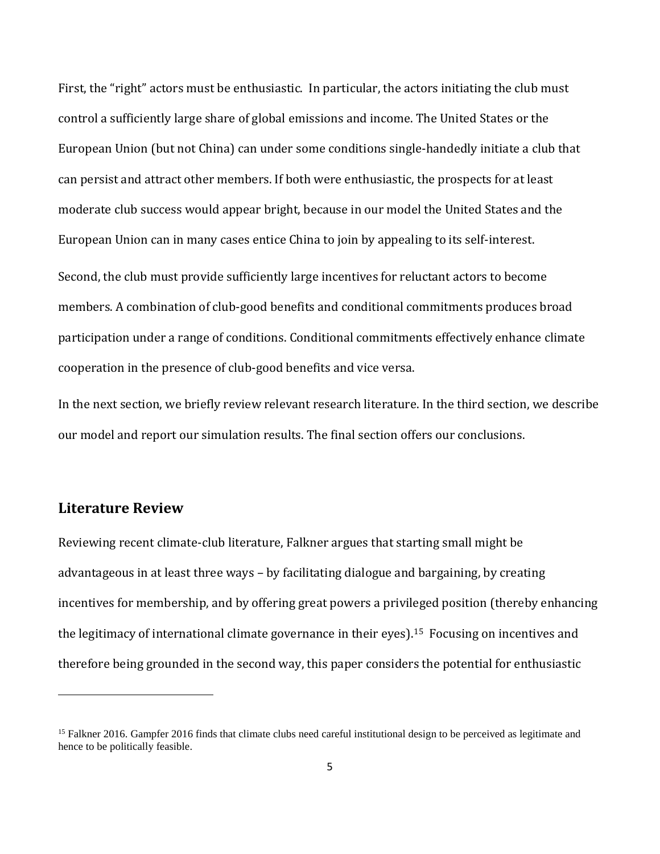First, the "right" actors must be enthusiastic. In particular, the actors initiating the club must control a sufficiently large share of global emissions and income. The United States or the European Union (but not China) can under some conditions single-handedly initiate a club that can persist and attract other members. If both were enthusiastic, the prospects for at least moderate club success would appear bright, because in our model the United States and the European Union can in many cases entice China to join by appealing to its self-interest.

Second, the club must provide sufficiently large incentives for reluctant actors to become members. A combination of club-good benefits and conditional commitments produces broad participation under a range of conditions. Conditional commitments effectively enhance climate cooperation in the presence of club-good benefits and vice versa.

In the next section, we briefly review relevant research literature. In the third section, we describe our model and report our simulation results. The final section offers our conclusions.

### **Literature Review**

 $\overline{\phantom{a}}$ 

Reviewing recent climate-club literature, Falkner argues that starting small might be advantageous in at least three ways – by facilitating dialogue and bargaining, by creating incentives for membership, and by offering great powers a privileged position (thereby enhancing the legitimacy of international climate governance in their eyes).<sup>[15](#page-5-0)</sup> Focusing on incentives and therefore being grounded in the second way, this paper considers the potential for enthusiastic

<span id="page-5-0"></span><sup>&</sup>lt;sup>15</sup> Falkner 2016. Gampfer 2016 finds that climate clubs need careful institutional design to be perceived as legitimate and hence to be politically feasible.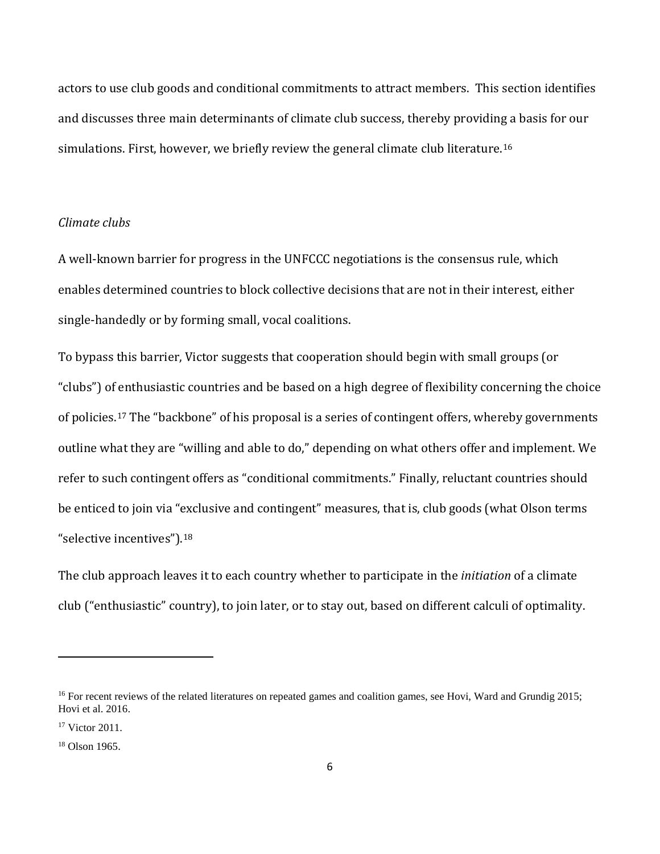actors to use club goods and conditional commitments to attract members. This section identifies and discusses three main determinants of climate club success, thereby providing a basis for our simulations. First, however, we briefly review the general climate club literature.<sup>[16](#page-6-0)</sup>

### *Climate clubs*

A well-known barrier for progress in the UNFCCC negotiations is the consensus rule, which enables determined countries to block collective decisions that are not in their interest, either single-handedly or by forming small, vocal coalitions.

To bypass this barrier, Victor suggests that cooperation should begin with small groups (or "clubs") of enthusiastic countries and be based on a high degree of flexibility concerning the choice of policies.[17](#page-6-1) The "backbone" of his proposal is a series of contingent offers, whereby governments outline what they are "willing and able to do," depending on what others offer and implement. We refer to such contingent offers as "conditional commitments." Finally, reluctant countries should be enticed to join via "exclusive and contingent" measures, that is, club goods (what Olson terms "selective incentives").[18](#page-6-2)

The club approach leaves it to each country whether to participate in the *initiation* of a climate club ("enthusiastic" country), to join later, or to stay out, based on different calculi of optimality.

<span id="page-6-0"></span><sup>&</sup>lt;sup>16</sup> For recent reviews of the related literatures on repeated games and coalition games, see Hovi, Ward and Grundig 2015; Hovi et al. 2016.

<span id="page-6-1"></span><sup>17</sup> Victor 2011.

<span id="page-6-2"></span><sup>&</sup>lt;sup>18</sup> Olson 1965.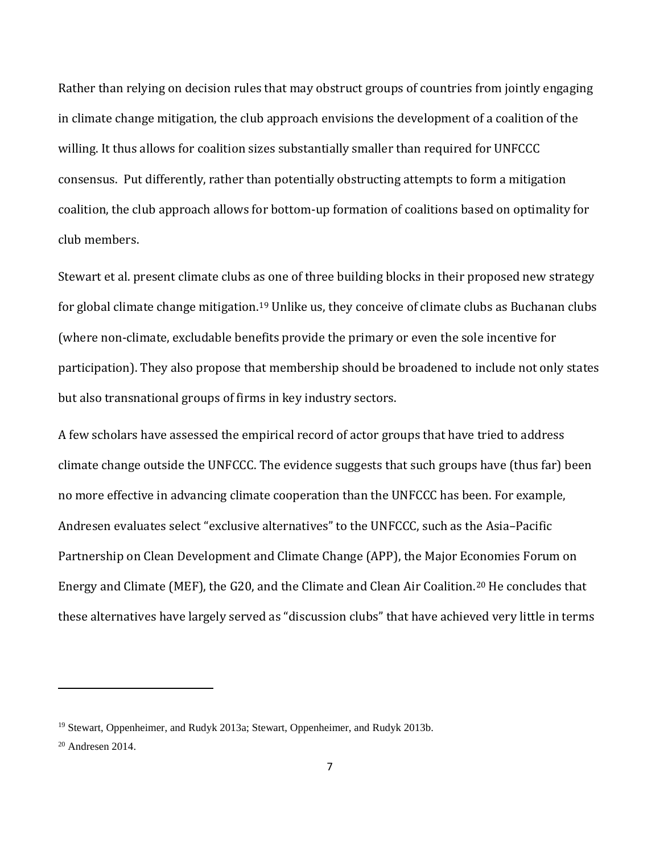Rather than relying on decision rules that may obstruct groups of countries from jointly engaging in climate change mitigation, the club approach envisions the development of a coalition of the willing. It thus allows for coalition sizes substantially smaller than required for UNFCCC consensus. Put differently, rather than potentially obstructing attempts to form a mitigation coalition, the club approach allows for bottom-up formation of coalitions based on optimality for club members.

Stewart et al. present climate clubs as one of three building blocks in their proposed new strategy for global climate change mitigation.[19](#page-7-0) Unlike us, they conceive of climate clubs as Buchanan clubs (where non-climate, excludable benefits provide the primary or even the sole incentive for participation). They also propose that membership should be broadened to include not only states but also transnational groups of firms in key industry sectors.

A few scholars have assessed the empirical record of actor groups that have tried to address climate change outside the UNFCCC. The evidence suggests that such groups have (thus far) been no more effective in advancing climate cooperation than the UNFCCC has been. For example, Andresen evaluates select "exclusive alternatives" to the UNFCCC, such as the Asia–Pacific Partnership on Clean Development and Climate Change (APP), the Major Economies Forum on Energy and Climate (MEF), the G20, and the Climate and Clean Air Coalition.[20](#page-7-1) He concludes that these alternatives have largely served as "discussion clubs" that have achieved very little in terms

<span id="page-7-0"></span><sup>&</sup>lt;sup>19</sup> Stewart, Oppenheimer, and Rudyk 2013a; Stewart, Oppenheimer, and Rudyk 2013b.

<span id="page-7-1"></span><sup>20</sup> Andresen 2014.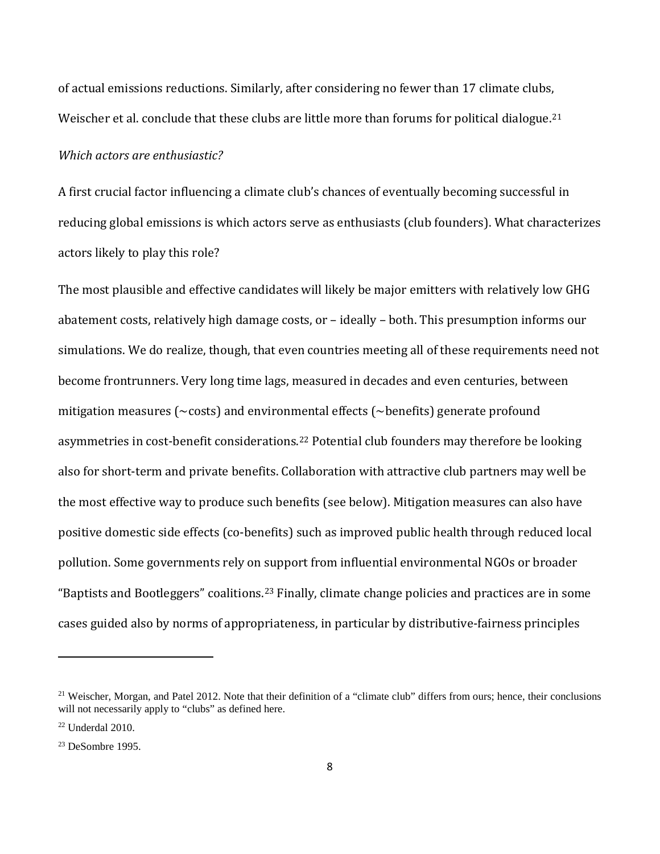of actual emissions reductions. Similarly, after considering no fewer than 17 climate clubs, Weischer et al. conclude that these clubs are little more than forums for political dialogue.<sup>[21](#page-8-0)</sup>

#### *Which actors are enthusiastic?*

A first crucial factor influencing a climate club's chances of eventually becoming successful in reducing global emissions is which actors serve as enthusiasts (club founders). What characterizes actors likely to play this role?

The most plausible and effective candidates will likely be major emitters with relatively low GHG abatement costs, relatively high damage costs, or – ideally – both. This presumption informs our simulations. We do realize, though, that even countries meeting all of these requirements need not become frontrunners. Very long time lags, measured in decades and even centuries, between mitigation measures (~costs) and environmental effects (~benefits) generate profound asymmetries in cost-benefit considerations.[22](#page-8-1) Potential club founders may therefore be looking also for short-term and private benefits. Collaboration with attractive club partners may well be the most effective way to produce such benefits (see below). Mitigation measures can also have positive domestic side effects (co-benefits) such as improved public health through reduced local pollution. Some governments rely on support from influential environmental NGOs or broader "Baptists and Bootleggers" coalitions.[23](#page-8-2) Finally, climate change policies and practices are in some cases guided also by norms of appropriateness, in particular by distributive-fairness principles

<span id="page-8-0"></span> $21$  Weischer, Morgan, and Patel 2012. Note that their definition of a "climate club" differs from ours; hence, their conclusions will not necessarily apply to "clubs" as defined here.

<span id="page-8-1"></span> $22$  Underdal 2010.

<span id="page-8-2"></span><sup>23</sup> DeSombre 1995.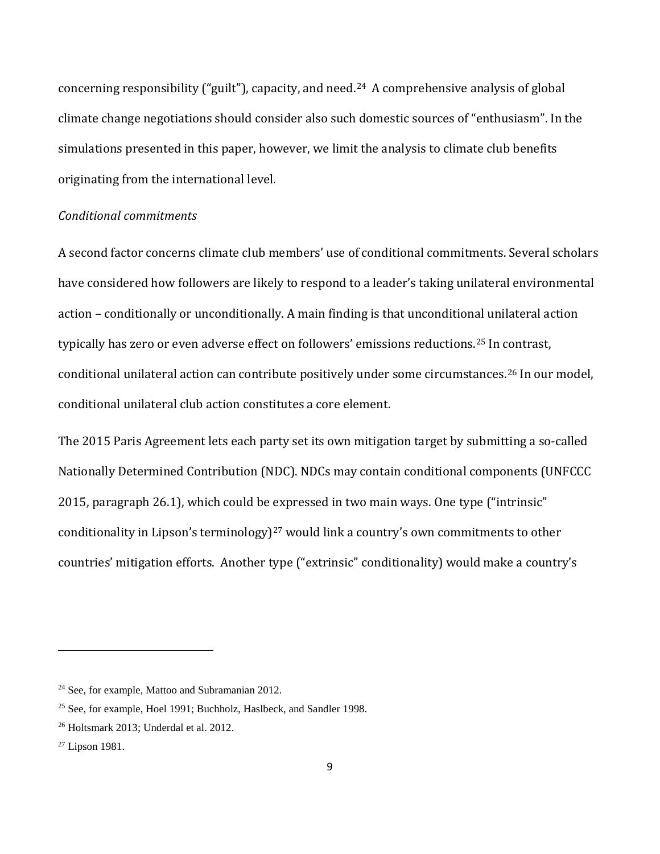concerning responsibility ("guilt"), capacity, and need.[24](#page-9-0) A comprehensive analysis of global climate change negotiations should consider also such domestic sources of "enthusiasm". In the simulations presented in this paper, however, we limit the analysis to climate club benefits originating from the international level.

### *Conditional commitments*

A second factor concerns climate club members' use of conditional commitments. Several scholars have considered how followers are likely to respond to a leader's taking unilateral environmental action – conditionally or unconditionally. A main finding is that unconditional unilateral action typically has zero or even adverse effect on followers' emissions reductions.[25](#page-9-1) In contrast, conditional unilateral action can contribute positively under some circumstances.[26](#page-9-2) In our model, conditional unilateral club action constitutes a core element.

The 2015 Paris Agreement lets each party set its own mitigation target by submitting a so-called Nationally Determined Contribution (NDC). NDCs may contain conditional components (UNFCCC 2015, paragraph 26.1), which could be expressed in two main ways. One type ("intrinsic" conditionality in Lipson's terminology)<sup>[27](#page-9-3)</sup> would link a country's own commitments to other countries' mitigation efforts. Another type ("extrinsic" conditionality) would make a country's

<span id="page-9-0"></span><sup>24</sup> See, for example, Mattoo and Subramanian 2012.

<span id="page-9-1"></span><sup>&</sup>lt;sup>25</sup> See, for example, Hoel 1991; Buchholz, Haslbeck, and Sandler 1998.

<span id="page-9-2"></span><sup>26</sup> Holtsmark 2013; Underdal et al. 2012.

<span id="page-9-3"></span><sup>27</sup> Lipson 1981.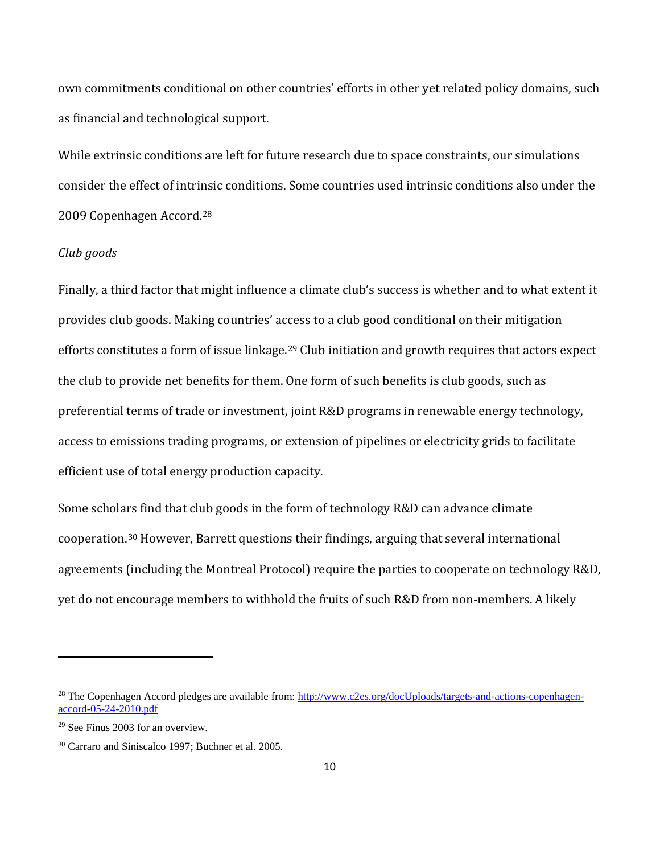own commitments conditional on other countries' efforts in other yet related policy domains, such as financial and technological support.

While extrinsic conditions are left for future research due to space constraints, our simulations consider the effect of intrinsic conditions. Some countries used intrinsic conditions also under the 2009 Copenhagen Accord.[28](#page-10-0)

### *Club goods*

Finally, a third factor that might influence a climate club's success is whether and to what extent it provides club goods. Making countries' access to a club good conditional on their mitigation efforts constitutes a form of issue linkage.<sup>[29](#page-10-1)</sup> Club initiation and growth requires that actors expect the club to provide net benefits for them. One form of such benefits is club goods, such as preferential terms of trade or investment, joint R&D programs in renewable energy technology, access to emissions trading programs, or extension of pipelines or electricity grids to facilitate efficient use of total energy production capacity.

Some scholars find that club goods in the form of technology R&D can advance climate cooperation.[30](#page-10-2) However, Barrett questions their findings, arguing that several international agreements (including the Montreal Protocol) require the parties to cooperate on technology R&D, yet do not encourage members to withhold the fruits of such R&D from non-members. A likely

<span id="page-10-0"></span><sup>&</sup>lt;sup>28</sup> The Copenhagen Accord pledges are available from: [http://www.c2es.org/docUploads/targets-and-actions-copenhagen](http://www.c2es.org/docUploads/targets-and-actions-copenhagen-accord-05-24-2010.pdf)[accord-05-24-2010.pdf](http://www.c2es.org/docUploads/targets-and-actions-copenhagen-accord-05-24-2010.pdf)

<span id="page-10-1"></span><sup>29</sup> See Finus 2003 for an overview.

<span id="page-10-2"></span><sup>30</sup> Carraro and Siniscalco 1997; Buchner et al. 2005.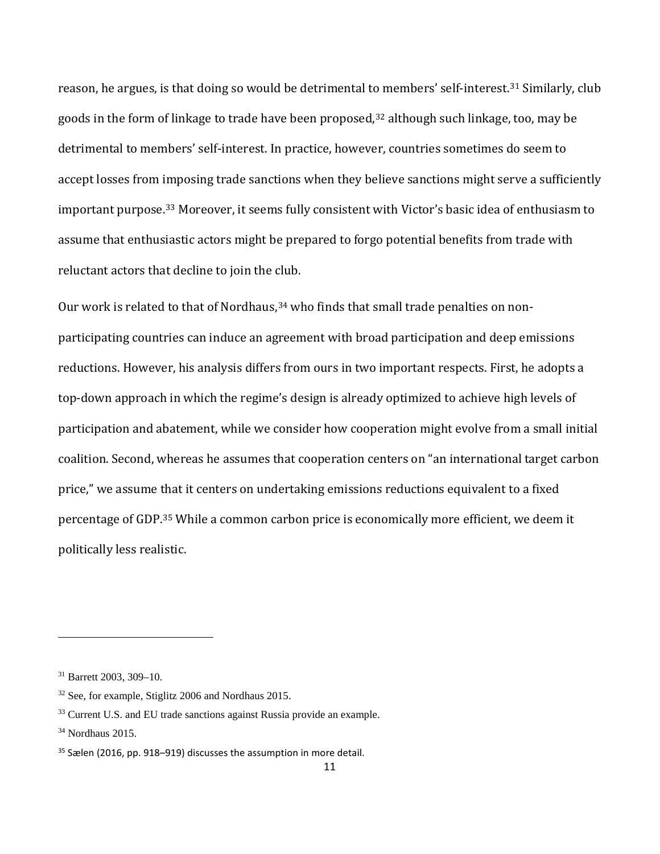reason, he argues, is that doing so would be detrimental to members' self-interest.[31](#page-11-0) Similarly, club goods in the form of linkage to trade have been proposed,<sup>[32](#page-11-1)</sup> although such linkage, too, may be detrimental to members' self-interest. In practice, however, countries sometimes do seem to accept losses from imposing trade sanctions when they believe sanctions might serve a sufficiently important purpose.[33](#page-11-2) Moreover, it seems fully consistent with Victor's basic idea of enthusiasm to assume that enthusiastic actors might be prepared to forgo potential benefits from trade with reluctant actors that decline to join the club.

Our work is related to that of Nordhaus,<sup>[34](#page-11-3)</sup> who finds that small trade penalties on nonparticipating countries can induce an agreement with broad participation and deep emissions reductions. However, his analysis differs from ours in two important respects. First, he adopts a top-down approach in which the regime's design is already optimized to achieve high levels of participation and abatement, while we consider how cooperation might evolve from a small initial coalition. Second, whereas he assumes that cooperation centers on "an international target carbon price," we assume that it centers on undertaking emissions reductions equivalent to a fixed percentage of GDP.[35](#page-11-4) While a common carbon price is economically more efficient, we deem it politically less realistic.

<span id="page-11-0"></span><sup>31</sup> Barrett 2003, 309–10.

<span id="page-11-1"></span><sup>32</sup> See, for example, Stiglitz 2006 and Nordhaus 2015.

<span id="page-11-2"></span><sup>&</sup>lt;sup>33</sup> Current U.S. and EU trade sanctions against Russia provide an example.

<span id="page-11-3"></span> $34$  Nordhaus 2015.

<span id="page-11-4"></span> $35$  Sælen (2016, pp. 918–919) discusses the assumption in more detail.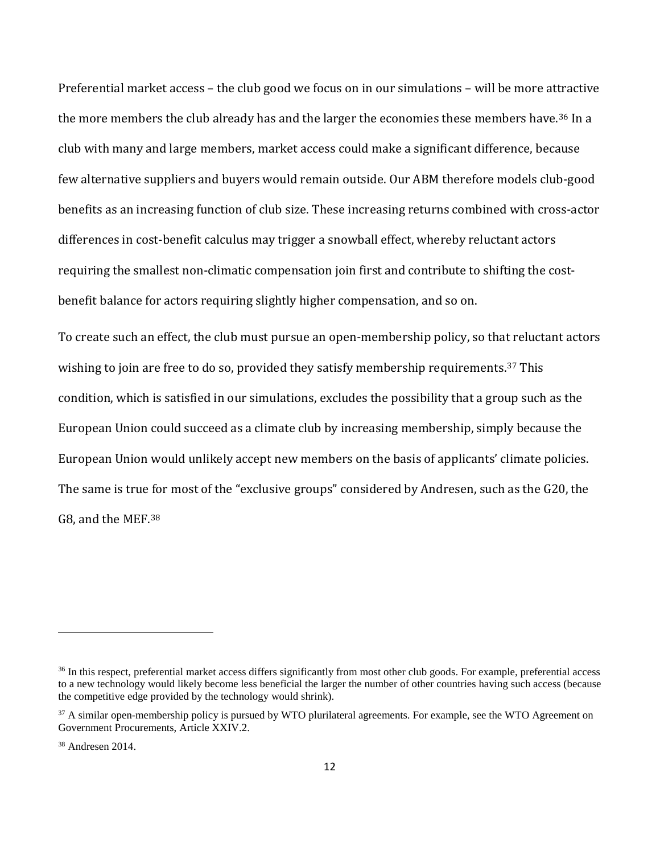Preferential market access – the club good we focus on in our simulations – will be more attractive the more members the club already has and the larger the economies these members have.<sup>[36](#page-12-0)</sup> In a club with many and large members, market access could make a significant difference, because few alternative suppliers and buyers would remain outside. Our ABM therefore models club-good benefits as an increasing function of club size. These increasing returns combined with cross-actor differences in cost-benefit calculus may trigger a snowball effect, whereby reluctant actors requiring the smallest non-climatic compensation join first and contribute to shifting the costbenefit balance for actors requiring slightly higher compensation, and so on.

To create such an effect, the club must pursue an open-membership policy, so that reluctant actors wishing to join are free to do so, provided they satisfy membership requirements.<sup>[37](#page-12-1)</sup> This condition, which is satisfied in our simulations, excludes the possibility that a group such as the European Union could succeed as a climate club by increasing membership, simply because the European Union would unlikely accept new members on the basis of applicants' climate policies. The same is true for most of the "exclusive groups" considered by Andresen, such as the G20, the G8, and the MEF.[38](#page-12-2)

l

<span id="page-12-0"></span><sup>&</sup>lt;sup>36</sup> In this respect, preferential market access differs significantly from most other club goods. For example, preferential access to a new technology would likely become less beneficial the larger the number of other countries having such access (because the competitive edge provided by the technology would shrink).

<span id="page-12-1"></span><sup>&</sup>lt;sup>37</sup> A similar open-membership policy is pursued by WTO plurilateral agreements. For example, see the WTO Agreement on Government Procurements, Article XXIV.2.

<span id="page-12-2"></span><sup>38</sup> Andresen 2014.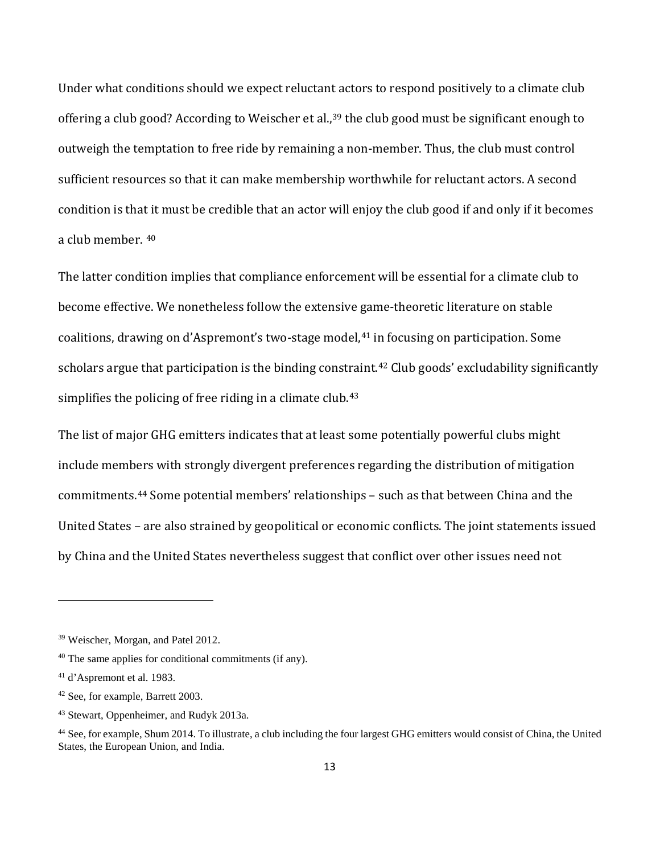Under what conditions should we expect reluctant actors to respond positively to a climate club offering a club good? According to Weischer et al.,<sup>[39](#page-13-0)</sup> the club good must be significant enough to outweigh the temptation to free ride by remaining a non-member. Thus, the club must control sufficient resources so that it can make membership worthwhile for reluctant actors. A second condition is that it must be credible that an actor will enjoy the club good if and only if it becomes a club member. [40](#page-13-1)

The latter condition implies that compliance enforcement will be essential for a climate club to become effective. We nonetheless follow the extensive game-theoretic literature on stable coalitions, drawing on d'Aspremont's two-stage model,<sup>[41](#page-13-2)</sup> in focusing on participation. Some scholars argue that participation is the binding constraint.<sup>[42](#page-13-3)</sup> Club goods' excludability significantly simplifies the policing of free riding in a climate club.<sup>[43](#page-13-4)</sup>

The list of major GHG emitters indicates that at least some potentially powerful clubs might include members with strongly divergent preferences regarding the distribution of mitigation commitments.[44](#page-13-5) Some potential members' relationships – such as that between China and the United States – are also strained by geopolitical or economic conflicts. The joint statements issued by China and the United States nevertheless suggest that conflict over other issues need not

l

<span id="page-13-0"></span><sup>39</sup> Weischer, Morgan, and Patel 2012.

<span id="page-13-1"></span><sup>40</sup> The same applies for conditional commitments (if any).

<span id="page-13-2"></span><sup>41</sup> d'Aspremont et al. 1983.

<span id="page-13-3"></span><sup>42</sup> See, for example, Barrett 2003.

<span id="page-13-4"></span><sup>43</sup> Stewart, Oppenheimer, and Rudyk 2013a.

<span id="page-13-5"></span><sup>44</sup> See, for example, Shum 2014. To illustrate, a club including the four largest GHG emitters would consist of China, the United States, the European Union, and India.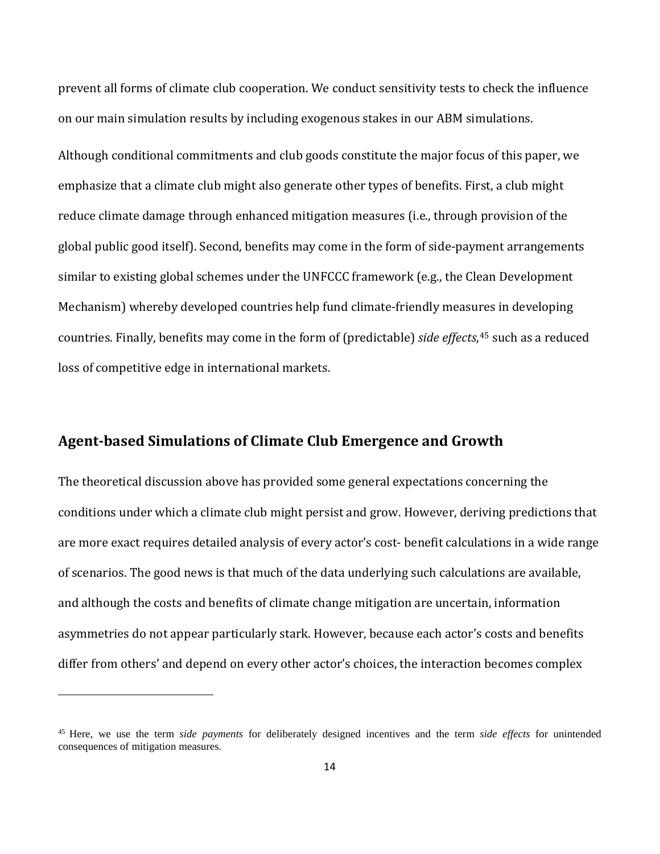prevent all forms of climate club cooperation. We conduct sensitivity tests to check the influence on our main simulation results by including exogenous stakes in our ABM simulations.

Although conditional commitments and club goods constitute the major focus of this paper, we emphasize that a climate club might also generate other types of benefits. First, a club might reduce climate damage through enhanced mitigation measures (i.e., through provision of the global public good itself). Second, benefits may come in the form of side-payment arrangements similar to existing global schemes under the UNFCCC framework (e.g., the Clean Development Mechanism) whereby developed countries help fund climate-friendly measures in developing countries. Finally, benefits may come in the form of (predictable) *side effects*, [45](#page-14-0) such as a reduced loss of competitive edge in international markets.

# **Agent-based Simulations of Climate Club Emergence and Growth**

 $\overline{\phantom{a}}$ 

The theoretical discussion above has provided some general expectations concerning the conditions under which a climate club might persist and grow. However, deriving predictions that are more exact requires detailed analysis of every actor's cost- benefit calculations in a wide range of scenarios. The good news is that much of the data underlying such calculations are available, and although the costs and benefits of climate change mitigation are uncertain, information asymmetries do not appear particularly stark. However, because each actor's costs and benefits differ from others' and depend on every other actor's choices, the interaction becomes complex

<span id="page-14-0"></span><sup>45</sup> Here, we use the term *side payments* for deliberately designed incentives and the term *side effects* for unintended consequences of mitigation measures.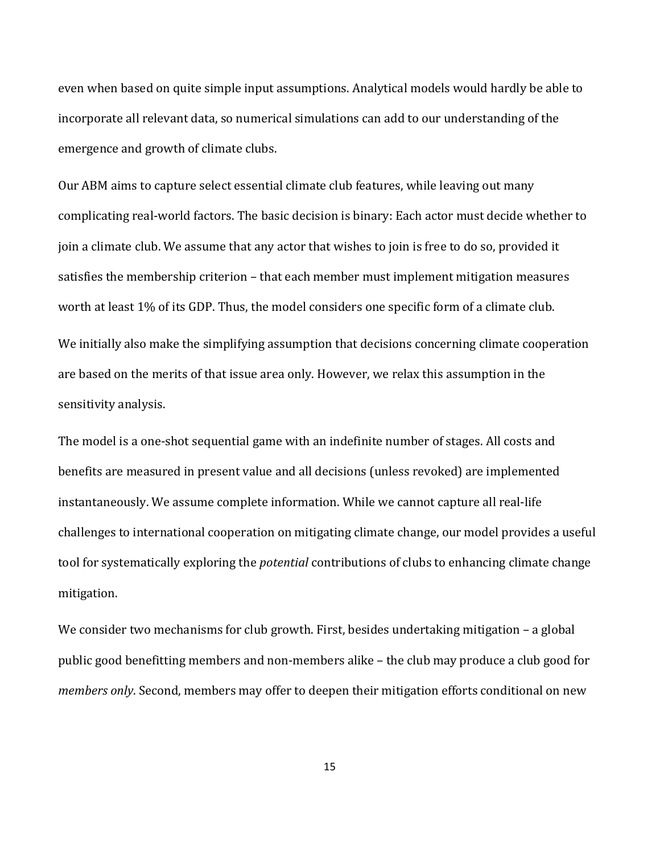even when based on quite simple input assumptions. Analytical models would hardly be able to incorporate all relevant data, so numerical simulations can add to our understanding of the emergence and growth of climate clubs.

Our ABM aims to capture select essential climate club features, while leaving out many complicating real-world factors. The basic decision is binary: Each actor must decide whether to join a climate club. We assume that any actor that wishes to join is free to do so, provided it satisfies the membership criterion – that each member must implement mitigation measures worth at least 1% of its GDP. Thus, the model considers one specific form of a climate club. We initially also make the simplifying assumption that decisions concerning climate cooperation are based on the merits of that issue area only. However, we relax this assumption in the sensitivity analysis.

The model is a one-shot sequential game with an indefinite number of stages. All costs and benefits are measured in present value and all decisions (unless revoked) are implemented instantaneously. We assume complete information. While we cannot capture all real-life challenges to international cooperation on mitigating climate change, our model provides a useful tool for systematically exploring the *potential* contributions of clubs to enhancing climate change mitigation.

We consider two mechanisms for club growth. First, besides undertaking mitigation – a global public good benefitting members and non-members alike – the club may produce a club good for *members only*. Second, members may offer to deepen their mitigation efforts conditional on new

15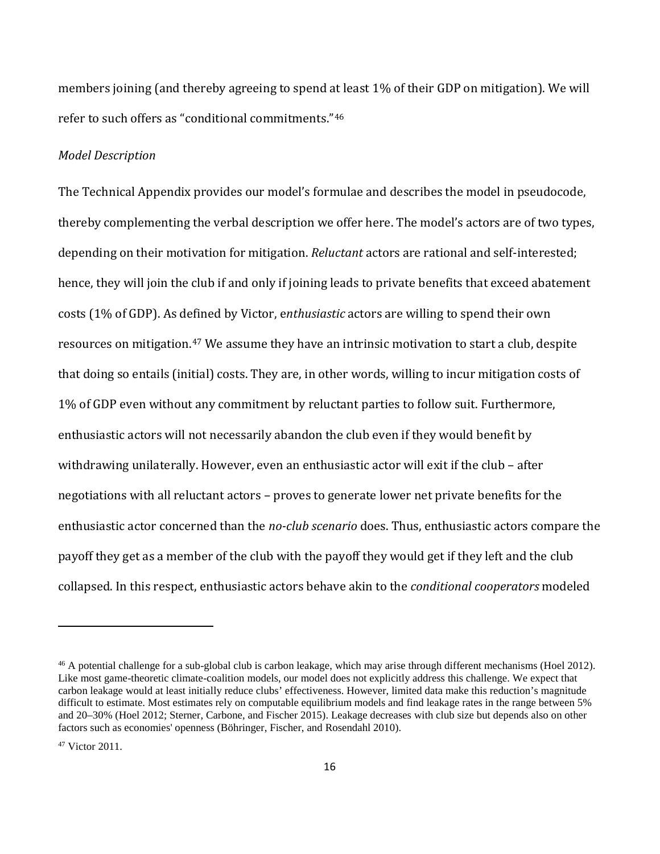members joining (and thereby agreeing to spend at least 1% of their GDP on mitigation). We will refer to such offers as "conditional commitments."[46](#page-16-0)

#### *Model Description*

The Technical Appendix provides our model's formulae and describes the model in pseudocode, thereby complementing the verbal description we offer here. The model's actors are of two types, depending on their motivation for mitigation. *Reluctant* actors are rational and self-interested; hence, they will join the club if and only if joining leads to private benefits that exceed abatement costs (1% of GDP). As defined by Victor, e*nthusiastic* actors are willing to spend their own resources on mitigation.<sup>[47](#page-16-1)</sup> We assume they have an intrinsic motivation to start a club, despite that doing so entails (initial) costs. They are, in other words, willing to incur mitigation costs of 1% of GDP even without any commitment by reluctant parties to follow suit. Furthermore, enthusiastic actors will not necessarily abandon the club even if they would benefit by withdrawing unilaterally. However, even an enthusiastic actor will exit if the club – after negotiations with all reluctant actors – proves to generate lower net private benefits for the enthusiastic actor concerned than the *no-club scenario* does. Thus, enthusiastic actors compare the payoff they get as a member of the club with the payoff they would get if they left and the club collapsed. In this respect, enthusiastic actors behave akin to the *conditional cooperators* modeled

l

<span id="page-16-0"></span><sup>&</sup>lt;sup>46</sup> A potential challenge for a sub-global club is carbon leakage, which may arise through different mechanisms (Hoel 2012). Like most game-theoretic climate-coalition models, our model does not explicitly address this challenge. We expect that carbon leakage would at least initially reduce clubs' effectiveness. However, limited data make this reduction's magnitude difficult to estimate. Most estimates rely on computable equilibrium models and find leakage rates in the range between 5% and 20–30% (Hoel 2012; Sterner, Carbone, and Fischer 2015). Leakage decreases with club size but depends also on other factors such as economies' openness (Böhringer, Fischer, and Rosendahl 2010).

<span id="page-16-1"></span><sup>47</sup> Victor 2011.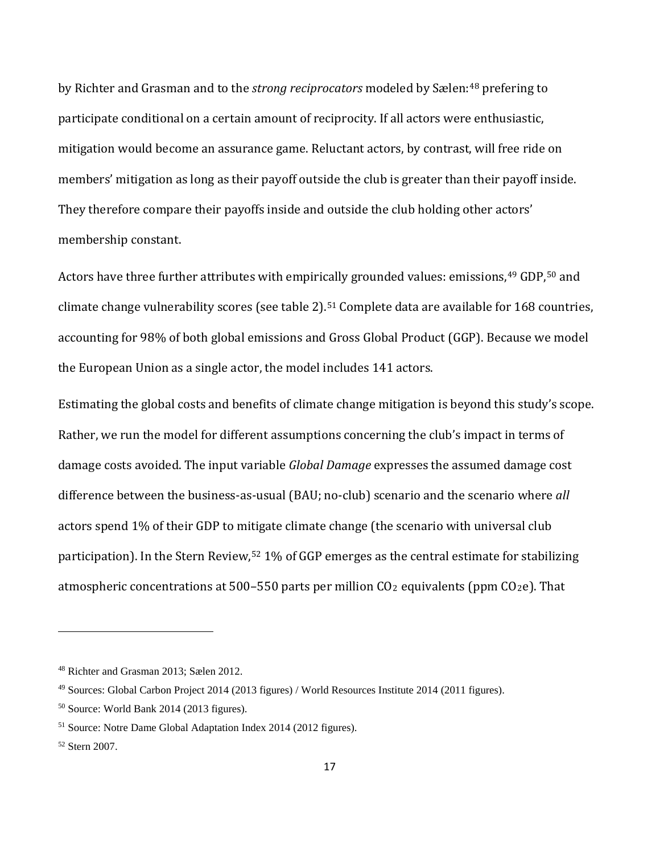by Richter and Grasman and to the *strong reciprocators* modeled by Sælen:[48](#page-17-0) prefering to participate conditional on a certain amount of reciprocity. If all actors were enthusiastic, mitigation would become an assurance game. Reluctant actors, by contrast, will free ride on members' mitigation as long as their payoff outside the club is greater than their payoff inside. They therefore compare their payoffs inside and outside the club holding other actors' membership constant.

Actors have three further attributes with empirically grounded values: emissions, <sup>[49](#page-17-1)</sup> GDP, <sup>[50](#page-17-2)</sup> and climate change vulnerability scores (see table 2). [51](#page-17-3) Complete data are available for 168 countries, accounting for 98% of both global emissions and Gross Global Product (GGP). Because we model the European Union as a single actor, the model includes 141 actors.

Estimating the global costs and benefits of climate change mitigation is beyond this study's scope. Rather, we run the model for different assumptions concerning the club's impact in terms of damage costs avoided. The input variable *Global Damage* expresses the assumed damage cost difference between the business-as-usual (BAU; no-club) scenario and the scenario where *all* actors spend 1% of their GDP to mitigate climate change (the scenario with universal club participation). In the Stern Review,<sup>[52](#page-17-4)</sup> 1% of GGP emerges as the central estimate for stabilizing atmospheric concentrations at 500-550 parts per million  $CO<sub>2</sub>$  equivalents (ppm  $CO<sub>2</sub>e$ ). That

<span id="page-17-0"></span><sup>48</sup> Richter and Grasman 2013; Sælen 2012.

<span id="page-17-1"></span><sup>49</sup> Sources: Global Carbon Project 2014 (2013 figures) / World Resources Institute 2014 (2011 figures).

<span id="page-17-2"></span><sup>50</sup> Source: World Bank 2014 (2013 figures).

<span id="page-17-3"></span><sup>51</sup> Source: Notre Dame Global Adaptation Index 2014 (2012 figures).

<span id="page-17-4"></span><sup>52</sup> Stern 2007.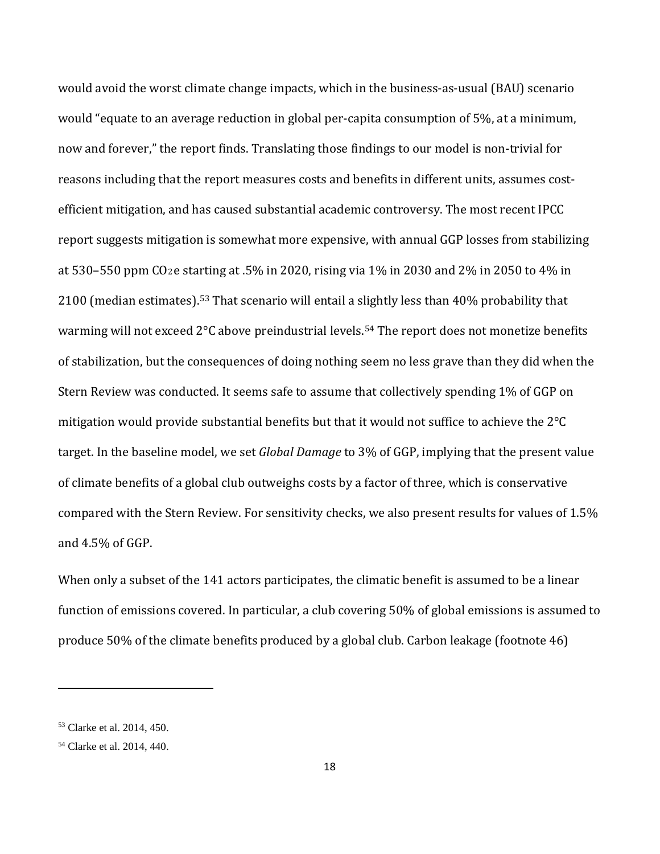would avoid the worst climate change impacts, which in the business-as-usual (BAU) scenario would "equate to an average reduction in global per-capita consumption of 5%, at a minimum, now and forever," the report finds. Translating those findings to our model is non-trivial for reasons including that the report measures costs and benefits in different units, assumes costefficient mitigation, and has caused substantial academic controversy. The most recent IPCC report suggests mitigation is somewhat more expensive, with annual GGP losses from stabilizing at 530–550 ppm CO2e starting at .5% in 2020, rising via 1% in 2030 and 2% in 2050 to 4% in 2100 (median estimates).[53](#page-18-0) That scenario will entail a slightly less than 40% probability that warming will not exceed 2°C above preindustrial levels.<sup>[54](#page-18-1)</sup> The report does not monetize benefits of stabilization, but the consequences of doing nothing seem no less grave than they did when the Stern Review was conducted. It seems safe to assume that collectively spending 1% of GGP on mitigation would provide substantial benefits but that it would not suffice to achieve the 2°C target. In the baseline model, we set *Global Damage* to 3% of GGP, implying that the present value of climate benefits of a global club outweighs costs by a factor of three, which is conservative compared with the Stern Review. For sensitivity checks, we also present results for values of 1.5% and 4.5% of GGP.

When only a subset of the 141 actors participates, the climatic benefit is assumed to be a linear function of emissions covered. In particular, a club covering 50% of global emissions is assumed to produce 50% of the climate benefits produced by a global club. Carbon leakage (footnote 46)

<span id="page-18-0"></span><sup>53</sup> Clarke et al. 2014, 450.

<span id="page-18-1"></span><sup>54</sup> Clarke et al. 2014, 440.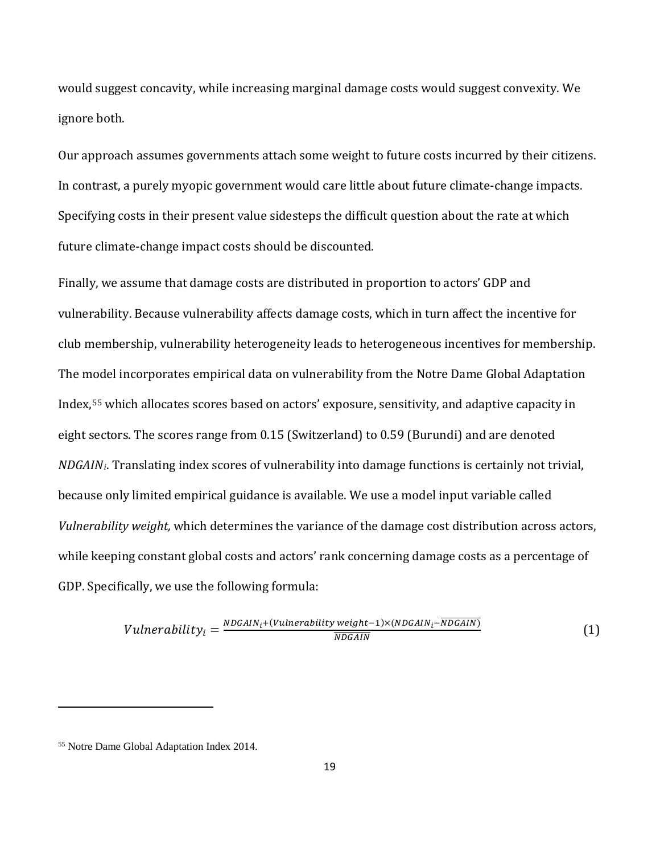would suggest concavity, while increasing marginal damage costs would suggest convexity. We ignore both.

Our approach assumes governments attach some weight to future costs incurred by their citizens. In contrast, a purely myopic government would care little about future climate-change impacts. Specifying costs in their present value sidesteps the difficult question about the rate at which future climate-change impact costs should be discounted.

Finally, we assume that damage costs are distributed in proportion to actors' GDP and vulnerability. Because vulnerability affects damage costs, which in turn affect the incentive for club membership, vulnerability heterogeneity leads to heterogeneous incentives for membership. The model incorporates empirical data on vulnerability from the Notre Dame Global Adaptation Index,[55](#page-19-0) which allocates scores based on actors' exposure, sensitivity, and adaptive capacity in eight sectors. The scores range from 0.15 (Switzerland) to 0.59 (Burundi) and are denoted *NDGAINi*. Translating index scores of vulnerability into damage functions is certainly not trivial, because only limited empirical guidance is available. We use a model input variable called *Vulnerability weight,* which determines the variance of the damage cost distribution across actors, while keeping constant global costs and actors' rank concerning damage costs as a percentage of GDP. Specifically, we use the following formula:

$$
Vulnerability_i = \frac{NDGAIN_i + (Vulnerability weight - 1) \times (NDGAIN_i - \overline{NDGAIN})}{\overline{NDGAIN}}
$$
\n
$$
(1)
$$

l

<span id="page-19-0"></span><sup>55</sup> Notre Dame Global Adaptation Index 2014.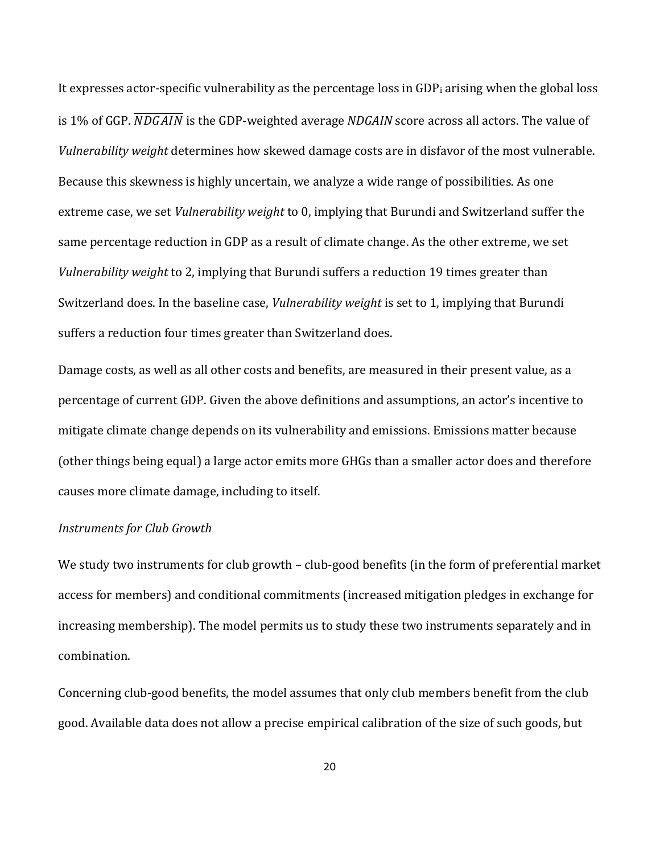It expresses actor-specific vulnerability as the percentage loss in  $GDP_i$  arising when the global loss is 1% of GGP. **NDGAIN** is the GDP-weighted average NDGAIN score across all actors. The value of *Vulnerability weight* determines how skewed damage costs are in disfavor of the most vulnerable. Because this skewness is highly uncertain, we analyze a wide range of possibilities. As one extreme case, we set *Vulnerability weight* to 0, implying that Burundi and Switzerland suffer the same percentage reduction in GDP as a result of climate change. As the other extreme, we set *Vulnerability weight* to 2, implying that Burundi suffers a reduction 19 times greater than Switzerland does. In the baseline case, *Vulnerability weight* is set to 1, implying that Burundi suffers a reduction four times greater than Switzerland does.

Damage costs, as well as all other costs and benefits, are measured in their present value, as a percentage of current GDP. Given the above definitions and assumptions, an actor's incentive to mitigate climate change depends on its vulnerability and emissions. Emissions matter because (other things being equal) a large actor emits more GHGs than a smaller actor does and therefore causes more climate damage, including to itself.

### *Instruments for Club Growth*

We study two instruments for club growth – club-good benefits (in the form of preferential market access for members) and conditional commitments (increased mitigation pledges in exchange for increasing membership). The model permits us to study these two instruments separately and in combination.

Concerning club-good benefits, the model assumes that only club members benefit from the club good. Available data does not allow a precise empirical calibration of the size of such goods, but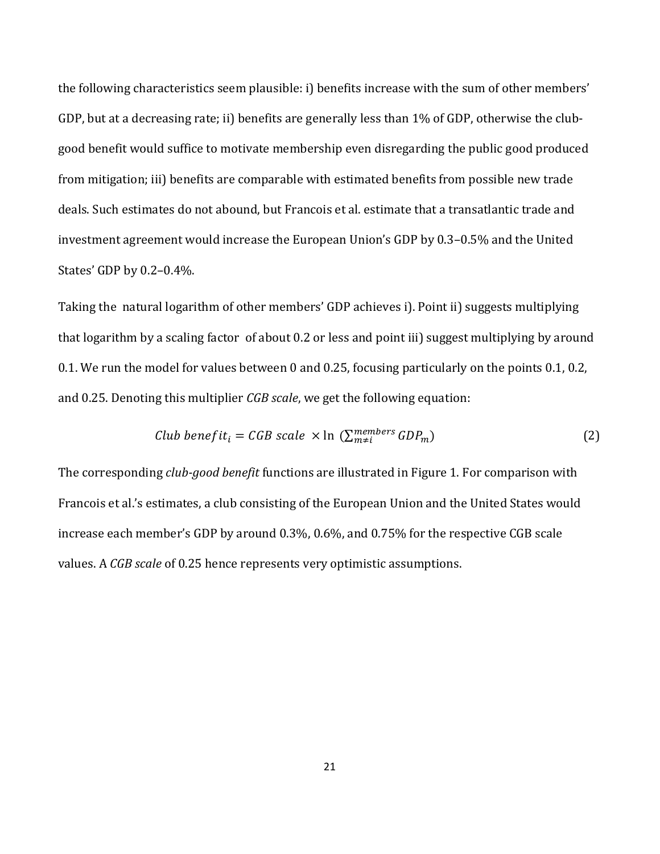the following characteristics seem plausible: i) benefits increase with the sum of other members' GDP, but at a decreasing rate; ii) benefits are generally less than 1% of GDP, otherwise the clubgood benefit would suffice to motivate membership even disregarding the public good produced from mitigation; iii) benefits are comparable with estimated benefits from possible new trade deals. Such estimates do not abound, but Francois et al. estimate that a transatlantic trade and investment agreement would increase the European Union's GDP by 0.3–0.5% and the United States' GDP by 0.2–0.4%.

Taking the natural logarithm of other members' GDP achieves i). Point ii) suggests multiplying that logarithm by a scaling factor of about 0.2 or less and point iii) suggest multiplying by around 0.1. We run the model for values between 0 and 0.25, focusing particularly on the points 0.1, 0.2, and 0.25. Denoting this multiplier *CGB scale*, we get the following equation:

*Club benefit<sub>i</sub> = CGB scale* × ln (
$$
\sum_{m\neq i}^{members} GDP_m
$$
) (2)

The corresponding *club-good benefit* functions are illustrated in Figure 1. For comparison with Francois et al.'s estimates, a club consisting of the European Union and the United States would increase each member's GDP by around 0.3%, 0.6%, and 0.75% for the respective CGB scale values. A *CGB scale* of 0.25 hence represents very optimistic assumptions.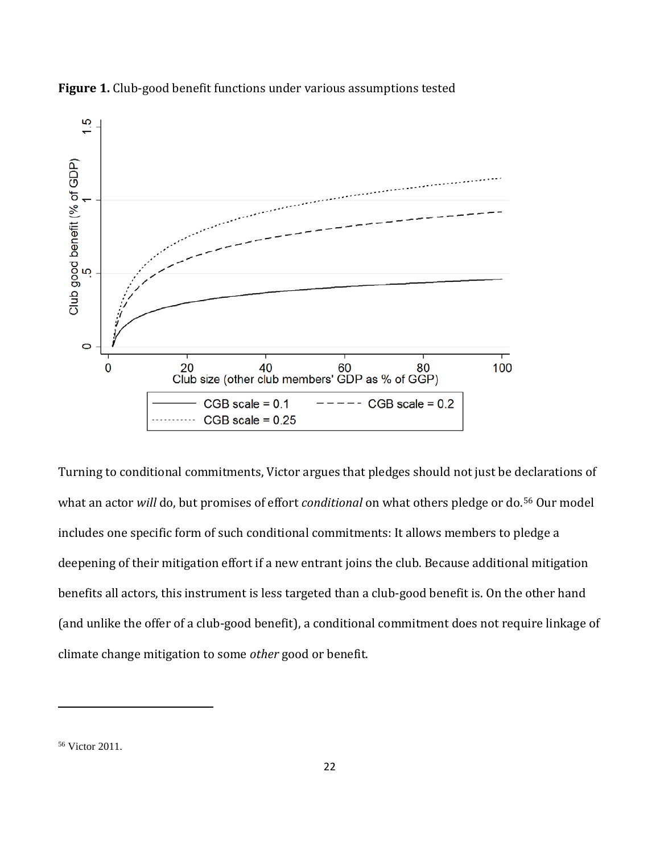

**Figure 1.** Club-good benefit functions under various assumptions tested

Turning to conditional commitments, Victor argues that pledges should not just be declarations of what an actor *will* do, but promises of effort *conditional* on what others pledge or do.[56](#page-22-0) Our model includes one specific form of such conditional commitments: It allows members to pledge a deepening of their mitigation effort if a new entrant joins the club. Because additional mitigation benefits all actors, this instrument is less targeted than a club-good benefit is. On the other hand (and unlike the offer of a club-good benefit), a conditional commitment does not require linkage of climate change mitigation to some *other* good or benefit.

l

<span id="page-22-0"></span><sup>56</sup> Victor 2011.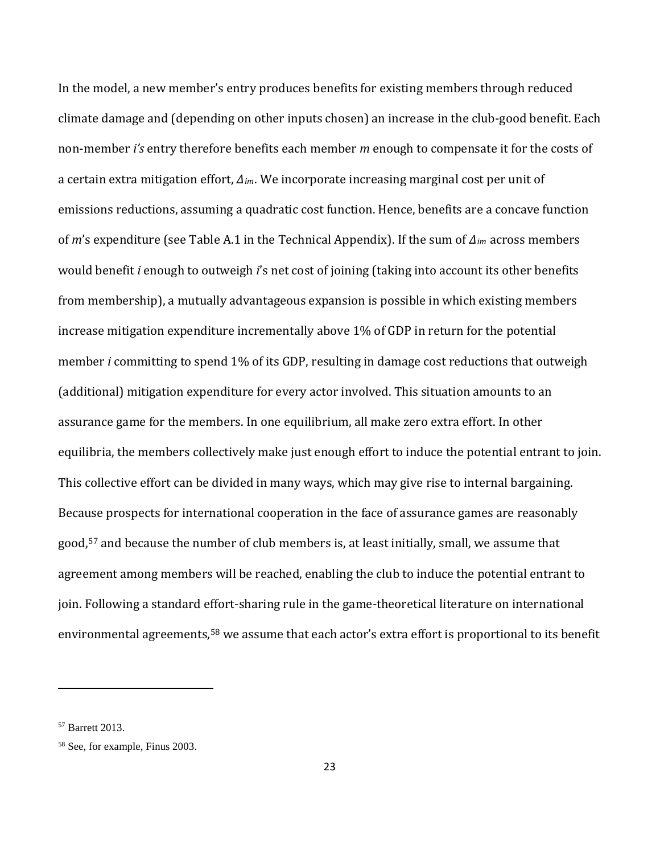In the model, a new member's entry produces benefits for existing members through reduced climate damage and (depending on other inputs chosen) an increase in the club-good benefit. Each non-member *i's* entry therefore benefits each member *m* enough to compensate it for the costs of a certain extra mitigation effort, *Δim*. We incorporate increasing marginal cost per unit of emissions reductions, assuming a quadratic cost function. Hence, benefits are a concave function of *m*'s expenditure (see Table A.1 in the Technical Appendix). If the sum of *Δim* across members would benefit *i* enough to outweigh *i*'s net cost of joining (taking into account its other benefits from membership), a mutually advantageous expansion is possible in which existing members increase mitigation expenditure incrementally above 1% of GDP in return for the potential member *i* committing to spend 1% of its GDP, resulting in damage cost reductions that outweigh (additional) mitigation expenditure for every actor involved. This situation amounts to an assurance game for the members. In one equilibrium, all make zero extra effort. In other equilibria, the members collectively make just enough effort to induce the potential entrant to join. This collective effort can be divided in many ways, which may give rise to internal bargaining. Because prospects for international cooperation in the face of assurance games are reasonably good,[57](#page-23-0) and because the number of club members is, at least initially, small, we assume that agreement among members will be reached, enabling the club to induce the potential entrant to join. Following a standard effort-sharing rule in the game-theoretical literature on international environmental agreements, [58](#page-23-1) we assume that each actor's extra effort is proportional to its benefit

<span id="page-23-0"></span><sup>57</sup> Barrett 2013.

<span id="page-23-1"></span><sup>58</sup> See, for example, Finus 2003.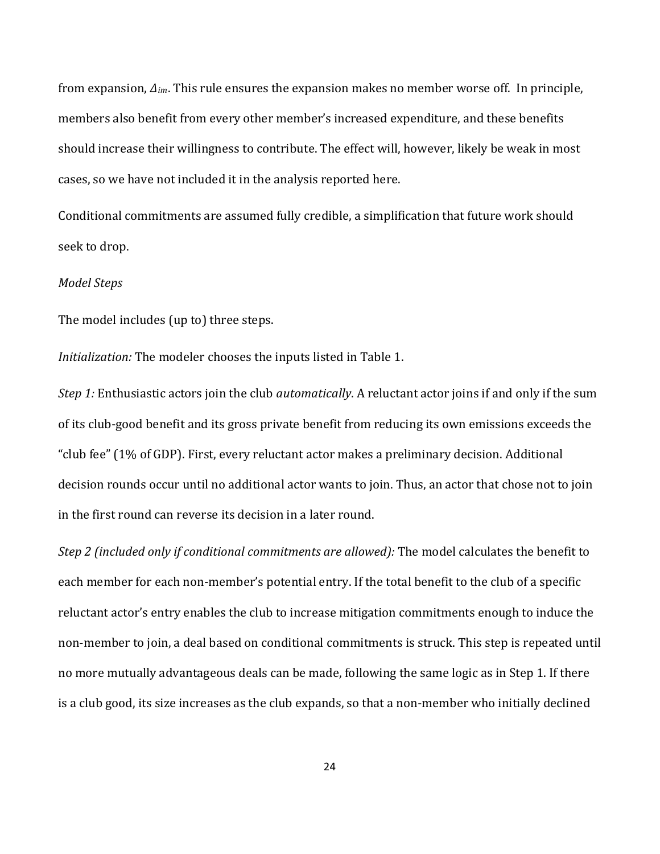from expansion, *Δim*. This rule ensures the expansion makes no member worse off. In principle, members also benefit from every other member's increased expenditure, and these benefits should increase their willingness to contribute. The effect will, however, likely be weak in most cases, so we have not included it in the analysis reported here.

Conditional commitments are assumed fully credible, a simplification that future work should seek to drop.

#### *Model Steps*

The model includes (up to) three steps.

*Initialization:* The modeler chooses the inputs listed in Table 1.

*Step 1:* Enthusiastic actors join the club *automatically*. A reluctant actor joins if and only if the sum of its club-good benefit and its gross private benefit from reducing its own emissions exceeds the "club fee" (1% of GDP). First, every reluctant actor makes a preliminary decision. Additional decision rounds occur until no additional actor wants to join. Thus, an actor that chose not to join in the first round can reverse its decision in a later round.

*Step 2 (included only if conditional commitments are allowed):* The model calculates the benefit to each member for each non-member's potential entry. If the total benefit to the club of a specific reluctant actor's entry enables the club to increase mitigation commitments enough to induce the non-member to join, a deal based on conditional commitments is struck. This step is repeated until no more mutually advantageous deals can be made, following the same logic as in Step 1. If there is a club good, its size increases as the club expands, so that a non-member who initially declined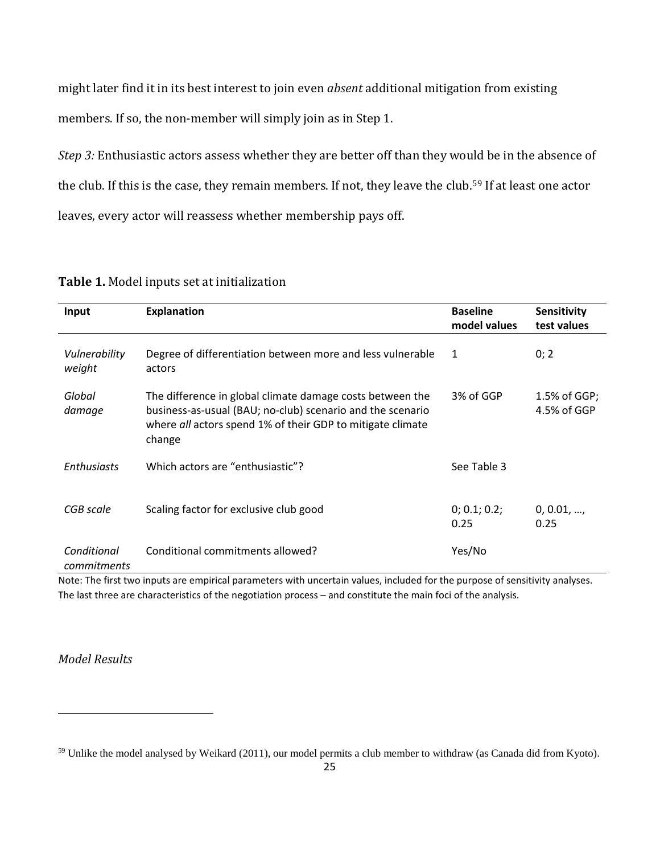might later find it in its best interest to join even *absent* additional mitigation from existing members. If so, the non-member will simply join as in Step 1.

*Step 3:* Enthusiastic actors assess whether they are better off than they would be in the absence of the club. If this is the case, they remain members. If not, they leave the club.<sup>[59](#page-25-0)</sup> If at least one actor leaves, every actor will reassess whether membership pays off.

| Input                      | <b>Explanation</b>                                                                                                                                                                              | <b>Baseline</b><br>model values | <b>Sensitivity</b><br>test values |
|----------------------------|-------------------------------------------------------------------------------------------------------------------------------------------------------------------------------------------------|---------------------------------|-----------------------------------|
| Vulnerability<br>weight    | Degree of differentiation between more and less vulnerable<br>actors                                                                                                                            | 1                               | 0; 2                              |
| Global<br>damage           | The difference in global climate damage costs between the<br>business-as-usual (BAU; no-club) scenario and the scenario<br>where all actors spend 1% of their GDP to mitigate climate<br>change | 3% of GGP                       | 1.5% of GGP;<br>4.5% of GGP       |
| <b>Enthusiasts</b>         | Which actors are "enthusiastic"?                                                                                                                                                                | See Table 3                     |                                   |
| CGB scale                  | Scaling factor for exclusive club good                                                                                                                                                          | 0; 0.1; 0.2;<br>0.25            | 0, 0.01,<br>0.25                  |
| Conditional<br>commitments | Conditional commitments allowed?                                                                                                                                                                | Yes/No                          |                                   |

### **Table 1.** Model inputs set at initialization

Note: The first two inputs are empirical parameters with uncertain values, included for the purpose of sensitivity analyses. The last three are characteristics of the negotiation process – and constitute the main foci of the analysis.

### *Model Results*

l

<span id="page-25-0"></span><sup>&</sup>lt;sup>59</sup> Unlike the model analysed by Weikard (2011), our model permits a club member to withdraw (as Canada did from Kyoto).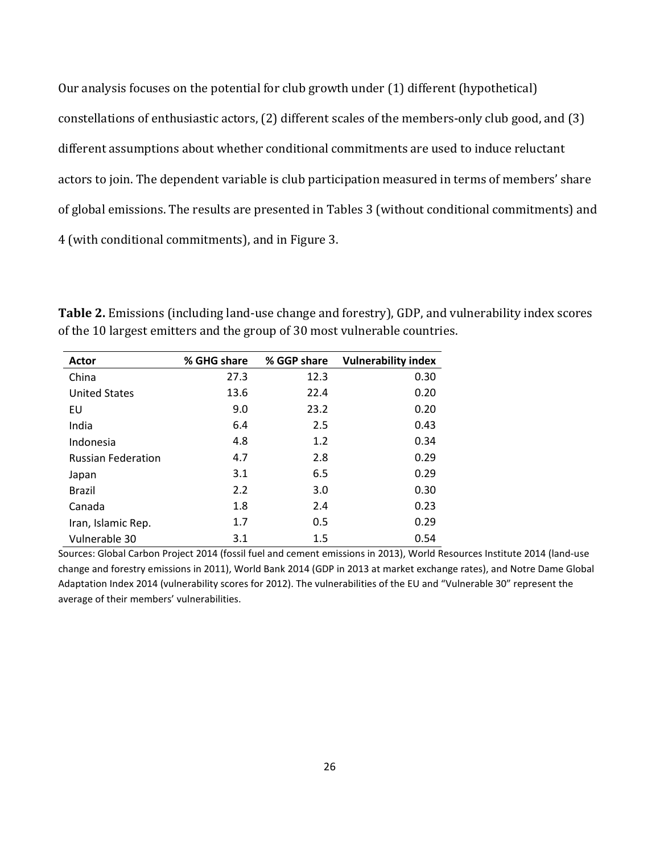Our analysis focuses on the potential for club growth under (1) different (hypothetical) constellations of enthusiastic actors, (2) different scales of the members-only club good, and (3) different assumptions about whether conditional commitments are used to induce reluctant actors to join. The dependent variable is club participation measured in terms of members' share of global emissions. The results are presented in Tables 3 (without conditional commitments) and 4 (with conditional commitments), and in Figure 3.

| Actor                     | % GHG share | % GGP share | <b>Vulnerability index</b> |
|---------------------------|-------------|-------------|----------------------------|
| China                     | 27.3        | 12.3        | 0.30                       |
| <b>United States</b>      | 13.6        | 22.4        | 0.20                       |
| EU                        | 9.0         | 23.2        | 0.20                       |
| India                     | 6.4         | 2.5         | 0.43                       |
| Indonesia                 | 4.8         | 1.2         | 0.34                       |
| <b>Russian Federation</b> | 4.7         | 2.8         | 0.29                       |
| Japan                     | 3.1         | 6.5         | 0.29                       |
| <b>Brazil</b>             | 2.2         | 3.0         | 0.30                       |
| Canada                    | 1.8         | 2.4         | 0.23                       |
| Iran, Islamic Rep.        | 1.7         | 0.5         | 0.29                       |
| Vulnerable 30             | 3.1         | 1.5         | 0.54                       |

**Table 2.** Emissions (including land-use change and forestry), GDP, and vulnerability index scores of the 10 largest emitters and the group of 30 most vulnerable countries.

Sources: Global Carbon Project 2014 (fossil fuel and cement emissions in 2013), World Resources Institute 2014 (land-use change and forestry emissions in 2011), World Bank 2014 (GDP in 2013 at market exchange rates), and Notre Dame Global Adaptation Index 2014 (vulnerability scores for 2012). The vulnerabilities of the EU and "Vulnerable 30" represent the average of their members' vulnerabilities.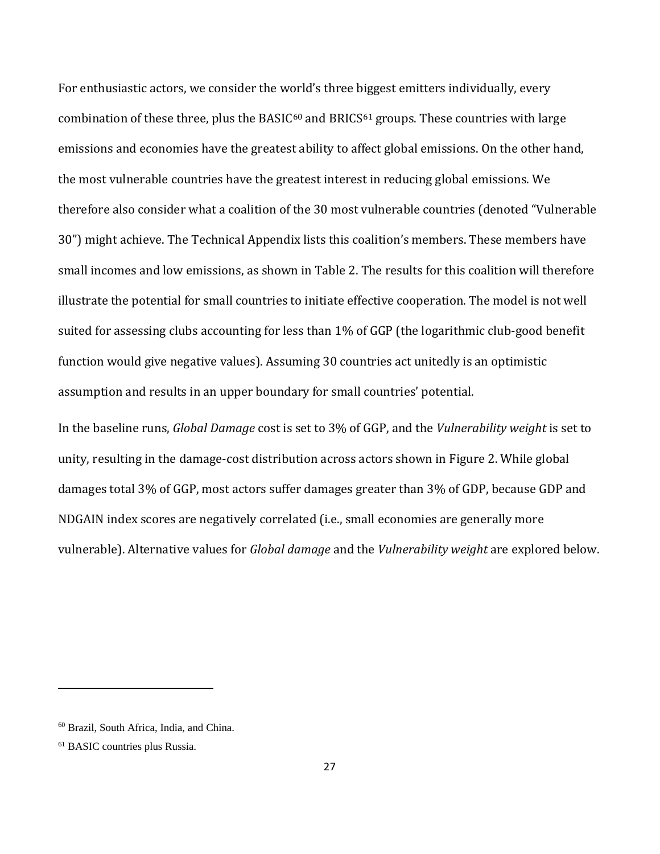For enthusiastic actors, we consider the world's three biggest emitters individually, every combination of these three, plus the BASIC $60$  and BRICS $61$  groups. These countries with large emissions and economies have the greatest ability to affect global emissions. On the other hand, the most vulnerable countries have the greatest interest in reducing global emissions. We therefore also consider what a coalition of the 30 most vulnerable countries (denoted "Vulnerable 30") might achieve. The Technical Appendix lists this coalition's members. These members have small incomes and low emissions, as shown in Table 2. The results for this coalition will therefore illustrate the potential for small countries to initiate effective cooperation. The model is not well suited for assessing clubs accounting for less than 1% of GGP (the logarithmic club-good benefit function would give negative values). Assuming 30 countries act unitedly is an optimistic assumption and results in an upper boundary for small countries' potential.

In the baseline runs, *Global Damage* cost is set to 3% of GGP, and the *Vulnerability weight* is set to unity, resulting in the damage-cost distribution across actors shown in Figure 2. While global damages total 3% of GGP, most actors suffer damages greater than 3% of GDP, because GDP and NDGAIN index scores are negatively correlated (i.e., small economies are generally more vulnerable). Alternative values for *Global damage* and the *Vulnerability weight* are explored below.

<span id="page-27-0"></span><sup>60</sup> Brazil, South Africa, India, and China.

<span id="page-27-1"></span><sup>61</sup> BASIC countries plus Russia.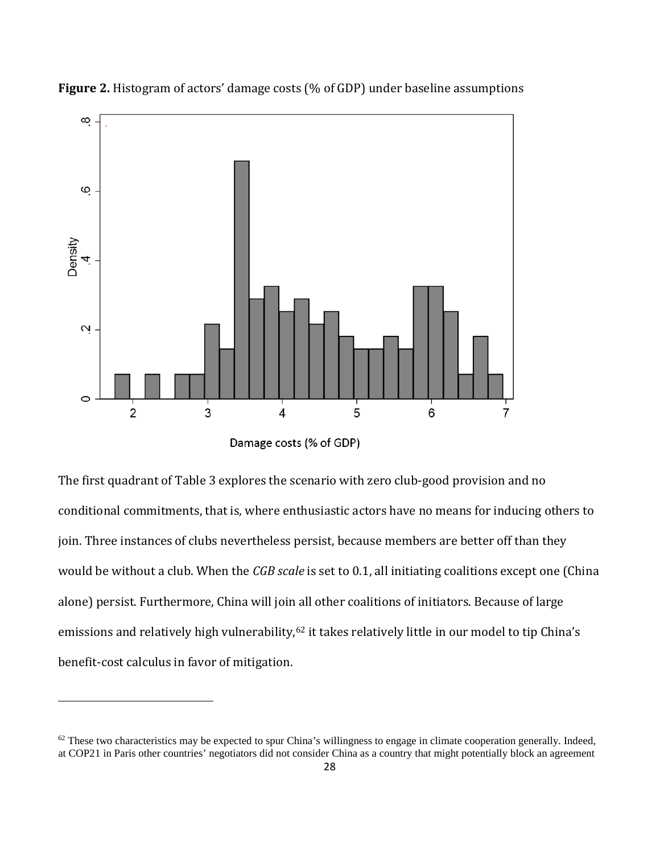

**Figure 2.** Histogram of actors' damage costs (% of GDP) under baseline assumptions

Damage costs (% of GDP)

The first quadrant of Table 3 explores the scenario with zero club-good provision and no conditional commitments, that is, where enthusiastic actors have no means for inducing others to join. Three instances of clubs nevertheless persist, because members are better off than they would be without a club. When the *CGB scale* is set to 0.1, all initiating coalitions except one (China alone) persist. Furthermore, China will join all other coalitions of initiators. Because of large emissions and relatively high vulnerability,<sup>[62](#page-28-0)</sup> it takes relatively little in our model to tip China's benefit-cost calculus in favor of mitigation.

<span id="page-28-0"></span> $62$  These two characteristics may be expected to spur China's willingness to engage in climate cooperation generally. Indeed, at COP21 in Paris other countries' negotiators did not consider China as a country that might potentially block an agreement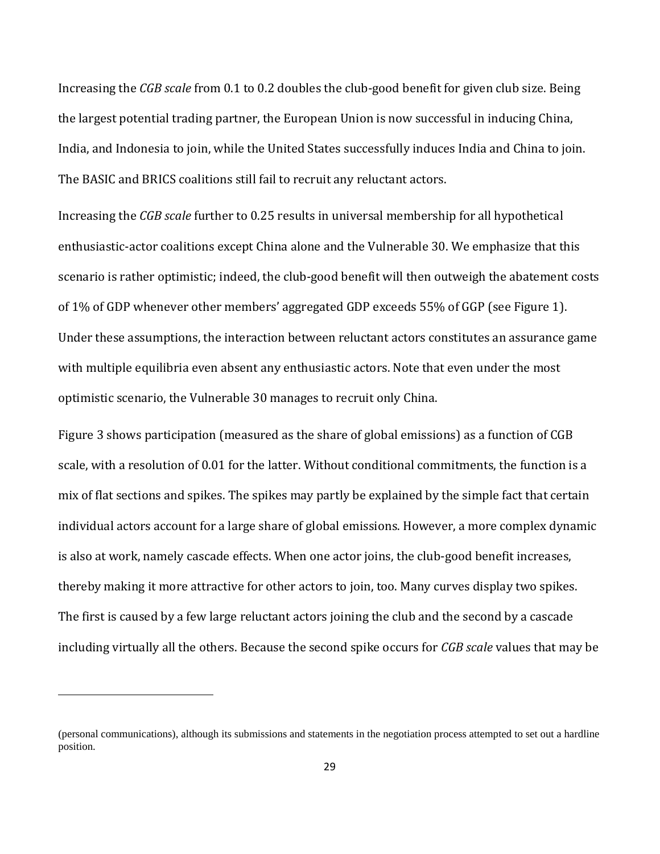Increasing the *CGB scale* from 0.1 to 0.2 doubles the club-good benefit for given club size. Being the largest potential trading partner, the European Union is now successful in inducing China, India, and Indonesia to join, while the United States successfully induces India and China to join. The BASIC and BRICS coalitions still fail to recruit any reluctant actors.

Increasing the *CGB scale* further to 0.25 results in universal membership for all hypothetical enthusiastic-actor coalitions except China alone and the Vulnerable 30. We emphasize that this scenario is rather optimistic; indeed, the club-good benefit will then outweigh the abatement costs of 1% of GDP whenever other members' aggregated GDP exceeds 55% of GGP (see Figure 1). Under these assumptions, the interaction between reluctant actors constitutes an assurance game with multiple equilibria even absent any enthusiastic actors. Note that even under the most optimistic scenario, the Vulnerable 30 manages to recruit only China.

Figure 3 shows participation (measured as the share of global emissions) as a function of CGB scale, with a resolution of 0.01 for the latter. Without conditional commitments, the function is a mix of flat sections and spikes. The spikes may partly be explained by the simple fact that certain individual actors account for a large share of global emissions. However, a more complex dynamic is also at work, namely cascade effects. When one actor joins, the club-good benefit increases, thereby making it more attractive for other actors to join, too. Many curves display two spikes. The first is caused by a few large reluctant actors joining the club and the second by a cascade including virtually all the others. Because the second spike occurs for *CGB scale* values that may be

<sup>(</sup>personal communications), although its submissions and statements in the negotiation process attempted to set out a hardline position.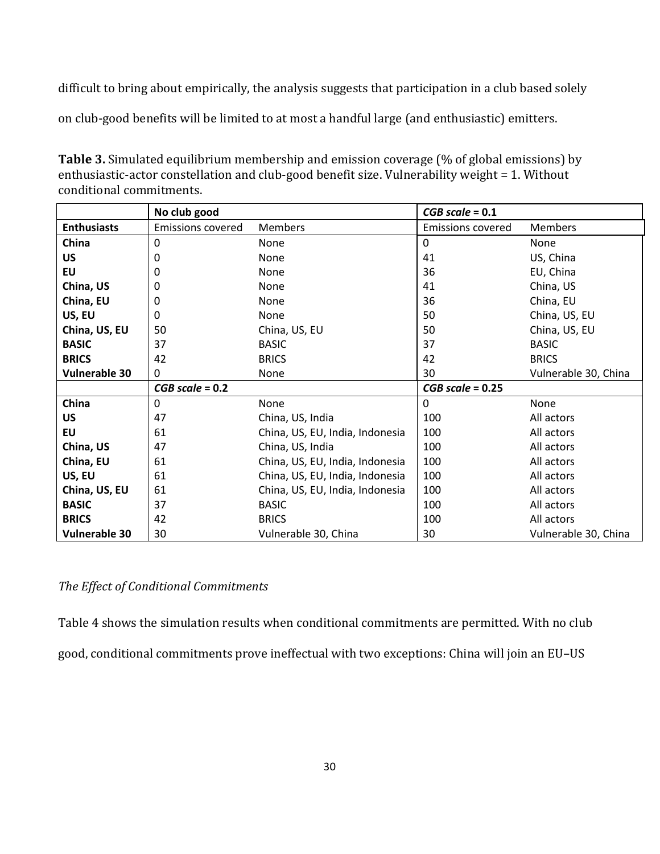difficult to bring about empirically, the analysis suggests that participation in a club based solely

on club-good benefits will be limited to at most a handful large (and enthusiastic) emitters.

| <b>Table 3.</b> Simulated equilibrium membership and emission coverage (% of global emissions) by |  |
|---------------------------------------------------------------------------------------------------|--|
| enthusiastic-actor constellation and club-good benefit size. Vulnerability weight = 1. Without    |  |
| conditional commitments.                                                                          |  |

|                      | No club good             |                                 | $CGB scale = 0.1$        |                      |
|----------------------|--------------------------|---------------------------------|--------------------------|----------------------|
| <b>Enthusiasts</b>   | <b>Emissions covered</b> | <b>Members</b>                  | <b>Emissions covered</b> | Members              |
| China                | $\mathbf{0}$             | None                            | $\Omega$                 | None                 |
| <b>US</b>            | 0                        | None                            | 41                       | US, China            |
| EU                   | 0                        | None                            | 36                       | EU, China            |
| China, US            | 0                        | None                            | 41                       | China, US            |
| China, EU            | 0                        | None                            | 36                       | China, EU            |
| US, EU               | 0                        | None                            | 50                       | China, US, EU        |
| China, US, EU        | 50                       | China, US, EU                   | 50                       | China, US, EU        |
| <b>BASIC</b>         | 37                       | <b>BASIC</b>                    | 37                       | <b>BASIC</b>         |
| <b>BRICS</b>         | 42                       | <b>BRICS</b>                    | 42                       | <b>BRICS</b>         |
| <b>Vulnerable 30</b> | $\Omega$                 | None                            | 30                       | Vulnerable 30, China |
|                      | $CGB scale = 0.2$        |                                 | $CGB scale = 0.25$       |                      |
| China                | 0                        | None                            | 0                        | None                 |
| <b>US</b>            | 47                       | China, US, India                | 100                      | All actors           |
| <b>EU</b>            | 61                       | China, US, EU, India, Indonesia | 100                      | All actors           |
| China, US            | 47                       | China, US, India                | 100                      | All actors           |
| China, EU            | 61                       | China, US, EU, India, Indonesia | 100                      | All actors           |
| US, EU               | 61                       | China, US, EU, India, Indonesia | 100                      | All actors           |
| China, US, EU        | 61                       | China, US, EU, India, Indonesia | 100                      | All actors           |
| <b>BASIC</b>         | 37                       | <b>BASIC</b>                    | 100                      | All actors           |
| <b>BRICS</b>         | 42                       | <b>BRICS</b>                    | 100                      | All actors           |
| Vulnerable 30        | 30                       | Vulnerable 30, China            | 30                       | Vulnerable 30, China |

### *The Effect of Conditional Commitments*

Table 4 shows the simulation results when conditional commitments are permitted. With no club good, conditional commitments prove ineffectual with two exceptions: China will join an EU–US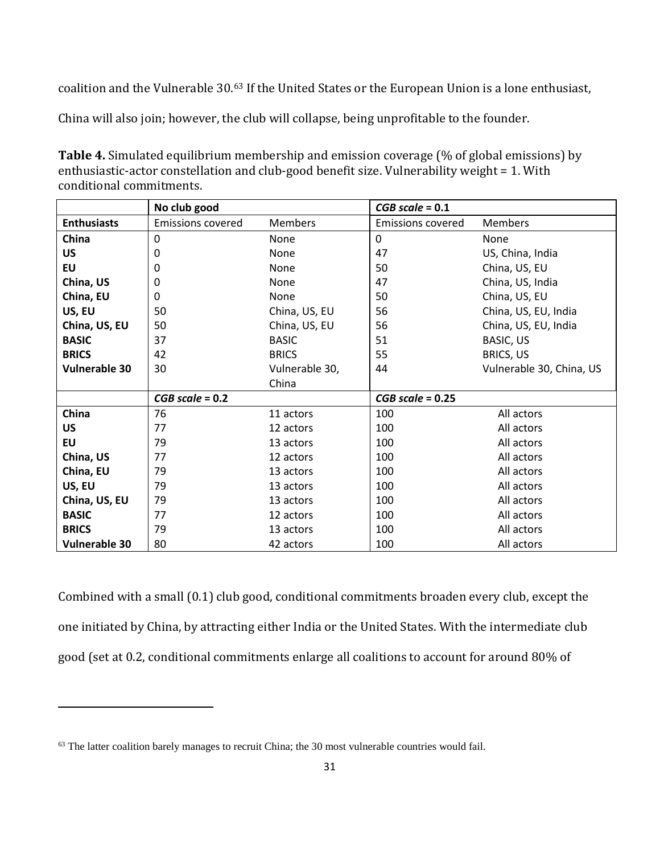coalition and the Vulnerable 30.[63](#page-31-0) If the United States or the European Union is a lone enthusiast,

China will also join; however, the club will collapse, being unprofitable to the founder.

**Table 4.** Simulated equilibrium membership and emission coverage (% of global emissions) by enthusiastic-actor constellation and club-good benefit size. Vulnerability weight = 1. With conditional commitments.

|                      | No club good             |                | $CGB scale = 0.1$        |                          |
|----------------------|--------------------------|----------------|--------------------------|--------------------------|
| <b>Enthusiasts</b>   | <b>Emissions covered</b> | <b>Members</b> | <b>Emissions covered</b> | Members                  |
| China                | 0                        | None           | 0                        | None                     |
| <b>US</b>            | 0                        | None           | 47                       | US, China, India         |
| <b>EU</b>            | 0                        | None           | 50                       | China, US, EU            |
| China, US            | 0                        | None           | 47                       | China, US, India         |
| China, EU            | 0                        | <b>None</b>    | 50                       | China, US, EU            |
| US, EU               | 50                       | China, US, EU  | 56                       | China, US, EU, India     |
| China, US, EU        | 50                       | China, US, EU  | 56                       | China, US, EU, India     |
| <b>BASIC</b>         | 37                       | <b>BASIC</b>   | 51                       | BASIC, US                |
| <b>BRICS</b>         | 42                       | <b>BRICS</b>   | 55                       | <b>BRICS, US</b>         |
| <b>Vulnerable 30</b> | 30                       | Vulnerable 30, | 44                       | Vulnerable 30, China, US |
|                      |                          | China          |                          |                          |
|                      | $CGB scale = 0.2$        |                | $CGB scale = 0.25$       |                          |
| China                | 76                       | 11 actors      | 100                      | All actors               |
| <b>US</b>            | 77                       | 12 actors      | 100                      | All actors               |
| EU                   | 79                       | 13 actors      | 100                      | All actors               |
| China, US            | 77                       | 12 actors      | 100                      | All actors               |
| China, EU            | 79                       | 13 actors      | 100                      | All actors               |
| US, EU               | 79                       | 13 actors      | 100                      | All actors               |
| China, US, EU        | 79                       | 13 actors      | 100                      | All actors               |
| <b>BASIC</b>         | 77                       | 12 actors      | 100                      | All actors               |
| <b>BRICS</b>         | 79                       | 13 actors      | 100                      | All actors               |
| <b>Vulnerable 30</b> | 80                       | 42 actors      | 100                      | All actors               |

Combined with a small (0.1) club good, conditional commitments broaden every club, except the one initiated by China, by attracting either India or the United States. With the intermediate club good (set at 0.2, conditional commitments enlarge all coalitions to account for around 80% of

l

<span id="page-31-0"></span><sup>&</sup>lt;sup>63</sup> The latter coalition barely manages to recruit China; the 30 most vulnerable countries would fail.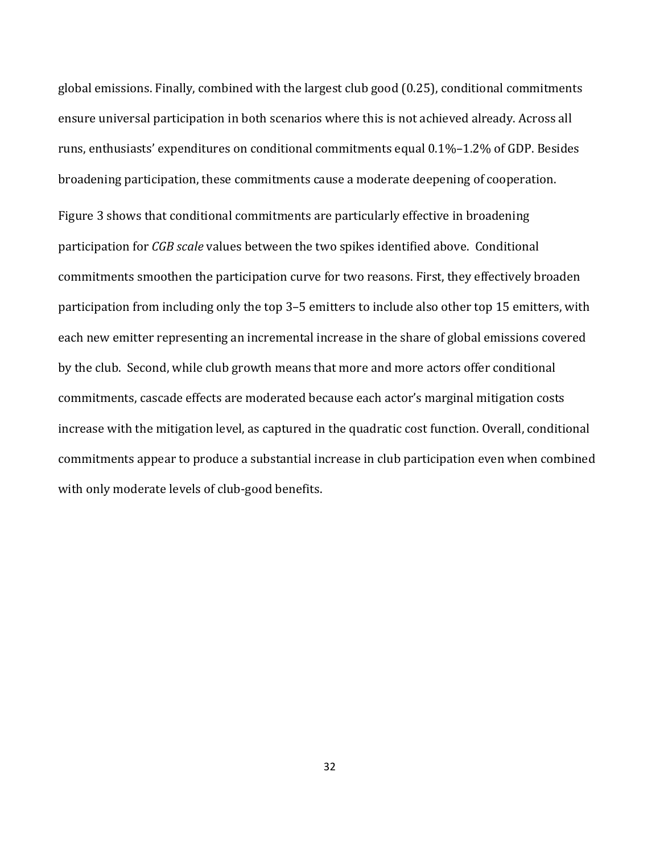global emissions. Finally, combined with the largest club good (0.25), conditional commitments ensure universal participation in both scenarios where this is not achieved already. Across all runs, enthusiasts' expenditures on conditional commitments equal 0.1%–1.2% of GDP. Besides broadening participation, these commitments cause a moderate deepening of cooperation. Figure 3 shows that conditional commitments are particularly effective in broadening participation for *CGB scale* values between the two spikes identified above. Conditional commitments smoothen the participation curve for two reasons. First, they effectively broaden participation from including only the top 3–5 emitters to include also other top 15 emitters, with each new emitter representing an incremental increase in the share of global emissions covered by the club. Second, while club growth means that more and more actors offer conditional commitments, cascade effects are moderated because each actor's marginal mitigation costs increase with the mitigation level, as captured in the quadratic cost function. Overall, conditional commitments appear to produce a substantial increase in club participation even when combined with only moderate levels of club-good benefits.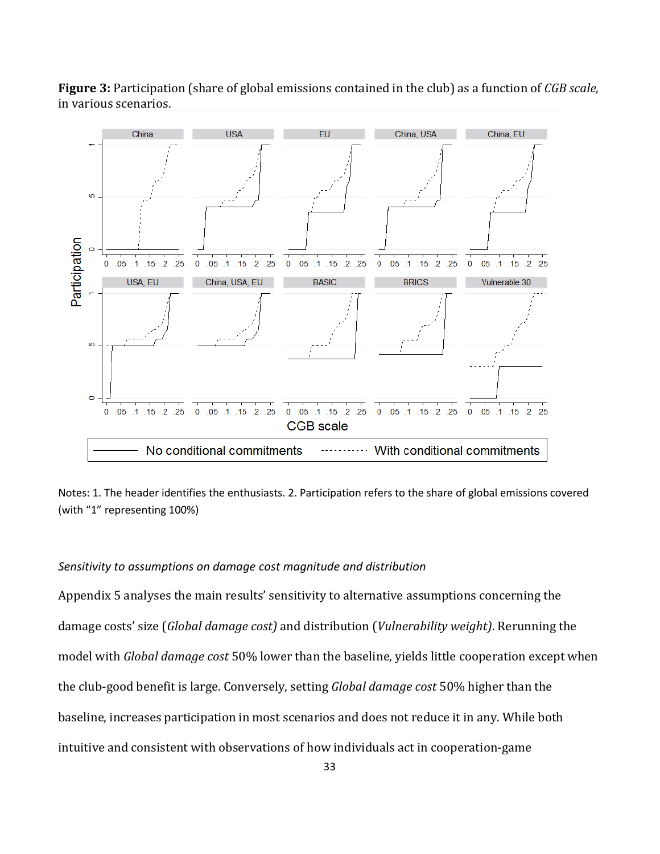

**Figure 3:** Participation (share of global emissions contained in the club) as a function of *CGB scale,*  in various scenarios.

Notes: 1. The header identifies the enthusiasts. 2. Participation refers to the share of global emissions covered (with "1" representing 100%)

#### *Sensitivity to assumptions on damage cost magnitude and distribution*

Appendix 5 analyses the main results' sensitivity to alternative assumptions concerning the damage costs' size (*Global damage cost)* and distribution (*Vulnerability weight)*. Rerunning the model with *Global damage cost* 50% lower than the baseline, yields little cooperation except when the club-good benefit is large. Conversely, setting *Global damage cost* 50% higher than the baseline, increases participation in most scenarios and does not reduce it in any. While both intuitive and consistent with observations of how individuals act in cooperation-game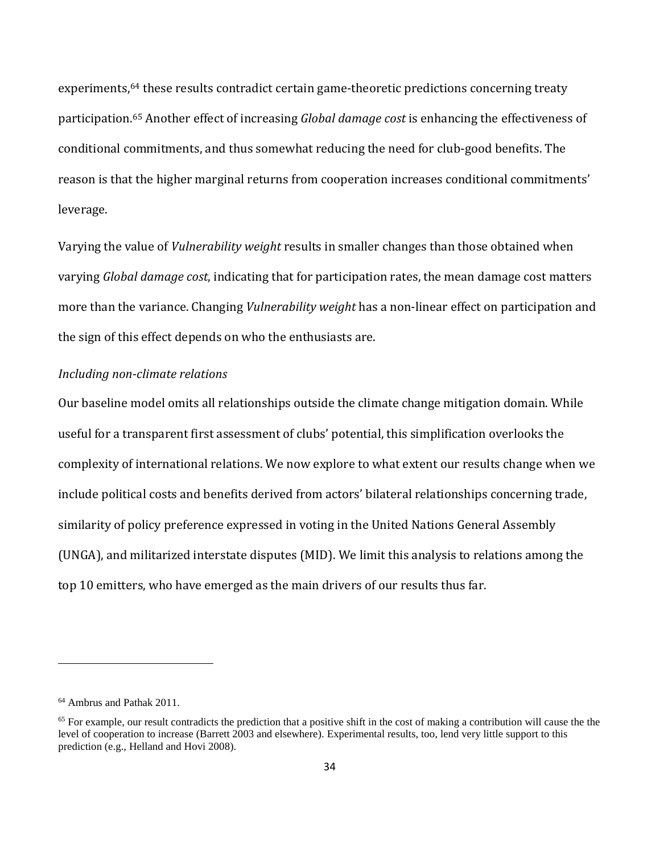experiments,<sup>[64](#page-34-0)</sup> these results contradict certain game-theoretic predictions concerning treaty participation[.65](#page-34-1) Another effect of increasing *Global damage cost* is enhancing the effectiveness of conditional commitments, and thus somewhat reducing the need for club-good benefits. The reason is that the higher marginal returns from cooperation increases conditional commitments' leverage.

Varying the value of *Vulnerability weight* results in smaller changes than those obtained when varying *Global damage cost*, indicating that for participation rates, the mean damage cost matters more than the variance. Changing *Vulnerability weight* has a non-linear effect on participation and the sign of this effect depends on who the enthusiasts are.

### *Including non-climate relations*

Our baseline model omits all relationships outside the climate change mitigation domain. While useful for a transparent first assessment of clubs' potential, this simplification overlooks the complexity of international relations. We now explore to what extent our results change when we include political costs and benefits derived from actors' bilateral relationships concerning trade, similarity of policy preference expressed in voting in the United Nations General Assembly (UNGA), and militarized interstate disputes (MID). We limit this analysis to relations among the top 10 emitters, who have emerged as the main drivers of our results thus far.

<span id="page-34-0"></span><sup>64</sup> Ambrus and Pathak 2011.

<span id="page-34-1"></span><sup>&</sup>lt;sup>65</sup> For example, our result contradicts the prediction that a positive shift in the cost of making a contribution will cause the the level of cooperation to increase (Barrett 2003 and elsewhere). Experimental results, too, lend very little support to this prediction (e.g., Helland and Hovi 2008).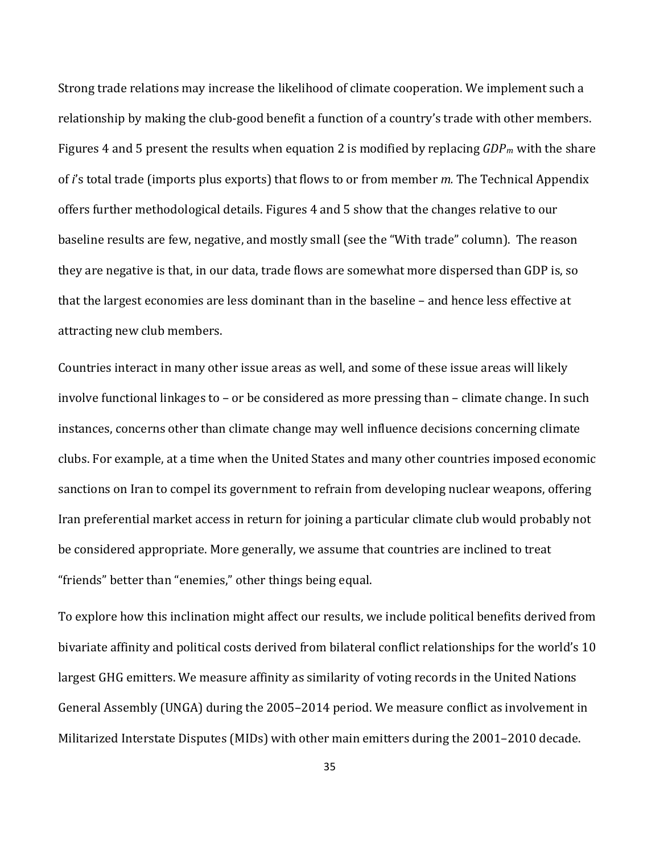Strong trade relations may increase the likelihood of climate cooperation. We implement such a relationship by making the club-good benefit a function of a country's trade with other members. Figures 4 and 5 present the results when equation 2 is modified by replacing *GDPm* with the share of *i*'s total trade (imports plus exports) that flows to or from member *m.* The Technical Appendix offers further methodological details. Figures 4 and 5 show that the changes relative to our baseline results are few, negative, and mostly small (see the "With trade" column). The reason they are negative is that, in our data, trade flows are somewhat more dispersed than GDP is, so that the largest economies are less dominant than in the baseline – and hence less effective at attracting new club members.

Countries interact in many other issue areas as well, and some of these issue areas will likely involve functional linkages to – or be considered as more pressing than – climate change. In such instances, concerns other than climate change may well influence decisions concerning climate clubs. For example, at a time when the United States and many other countries imposed economic sanctions on Iran to compel its government to refrain from developing nuclear weapons, offering Iran preferential market access in return for joining a particular climate club would probably not be considered appropriate. More generally, we assume that countries are inclined to treat "friends" better than "enemies," other things being equal.

To explore how this inclination might affect our results, we include political benefits derived from bivariate affinity and political costs derived from bilateral conflict relationships for the world's 10 largest GHG emitters. We measure affinity as similarity of voting records in the United Nations General Assembly (UNGA) during the 2005–2014 period. We measure conflict as involvement in Militarized Interstate Disputes (MIDs) with other main emitters during the 2001–2010 decade.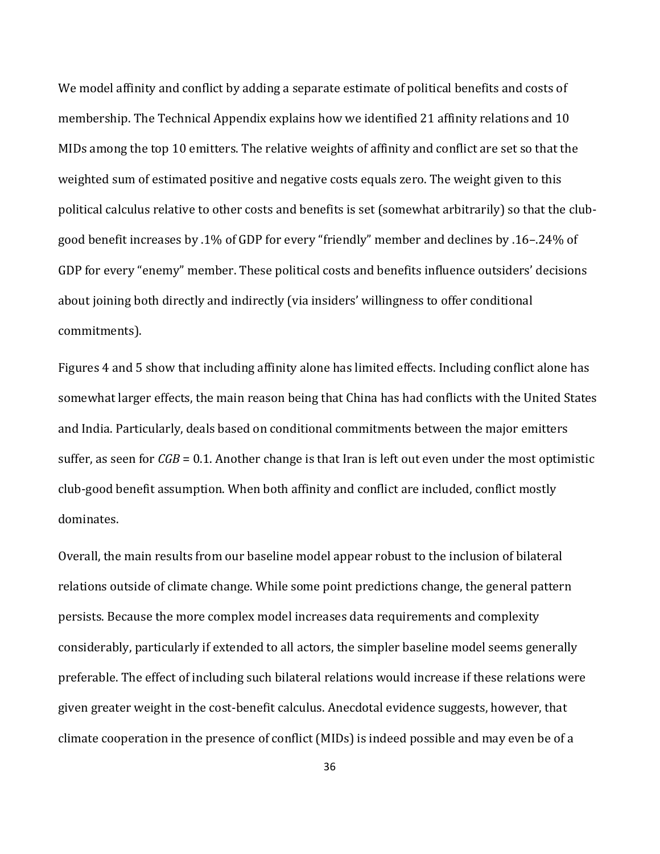We model affinity and conflict by adding a separate estimate of political benefits and costs of membership. The Technical Appendix explains how we identified 21 affinity relations and 10 MIDs among the top 10 emitters. The relative weights of affinity and conflict are set so that the weighted sum of estimated positive and negative costs equals zero. The weight given to this political calculus relative to other costs and benefits is set (somewhat arbitrarily) so that the clubgood benefit increases by .1% of GDP for every "friendly" member and declines by .16–.24% of GDP for every "enemy" member. These political costs and benefits influence outsiders' decisions about joining both directly and indirectly (via insiders' willingness to offer conditional commitments).

Figures 4 and 5 show that including affinity alone has limited effects. Including conflict alone has somewhat larger effects, the main reason being that China has had conflicts with the United States and India. Particularly, deals based on conditional commitments between the major emitters suffer, as seen for *CGB* = 0.1. Another change is that Iran is left out even under the most optimistic club-good benefit assumption. When both affinity and conflict are included, conflict mostly dominates.

Overall, the main results from our baseline model appear robust to the inclusion of bilateral relations outside of climate change. While some point predictions change, the general pattern persists. Because the more complex model increases data requirements and complexity considerably, particularly if extended to all actors, the simpler baseline model seems generally preferable. The effect of including such bilateral relations would increase if these relations were given greater weight in the cost-benefit calculus. Anecdotal evidence suggests, however, that climate cooperation in the presence of conflict (MIDs) is indeed possible and may even be of a

36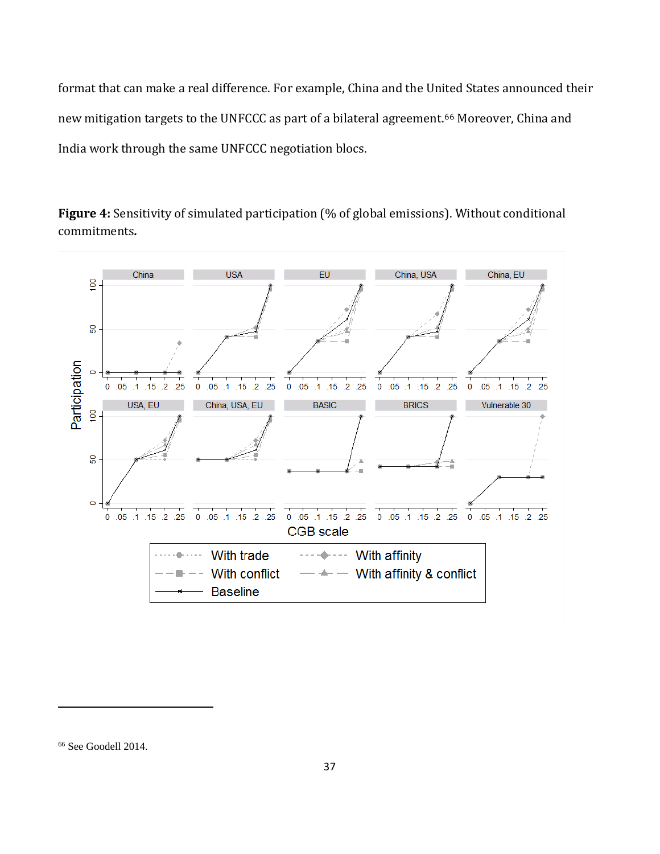format that can make a real difference. For example, China and the United States announced their new mitigation targets to the UNFCCC as part of a bilateral agreement.[66](#page-37-0) Moreover, China and India work through the same UNFCCC negotiation blocs.





<span id="page-37-0"></span><sup>66</sup> See Goodell 2014.

l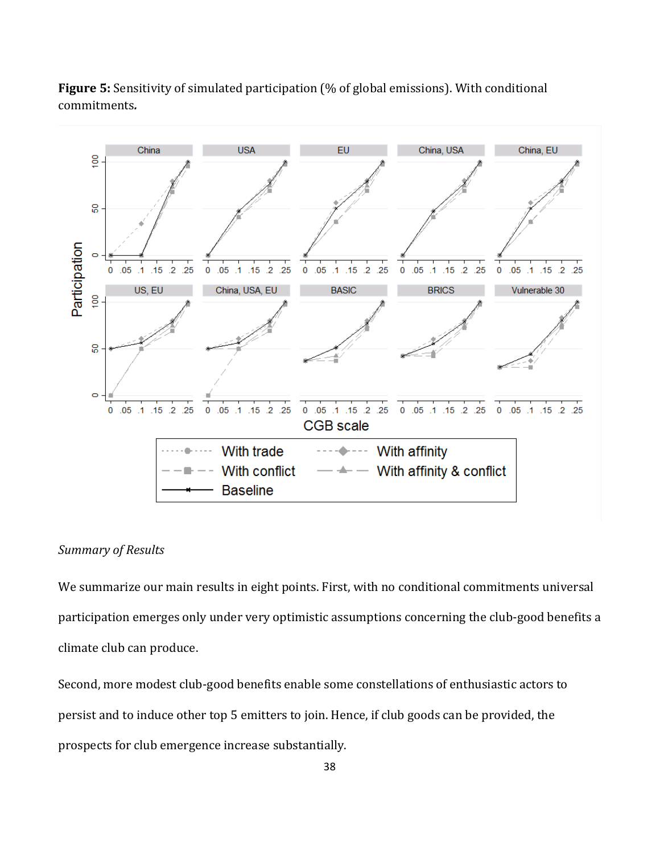

**Figure 5:** Sensitivity of simulated participation (% of global emissions). With conditional commitments*.* 

### *Summary of Results*

We summarize our main results in eight points. First, with no conditional commitments universal participation emerges only under very optimistic assumptions concerning the club-good benefits a climate club can produce.

Second, more modest club-good benefits enable some constellations of enthusiastic actors to persist and to induce other top 5 emitters to join. Hence, if club goods can be provided, the prospects for club emergence increase substantially.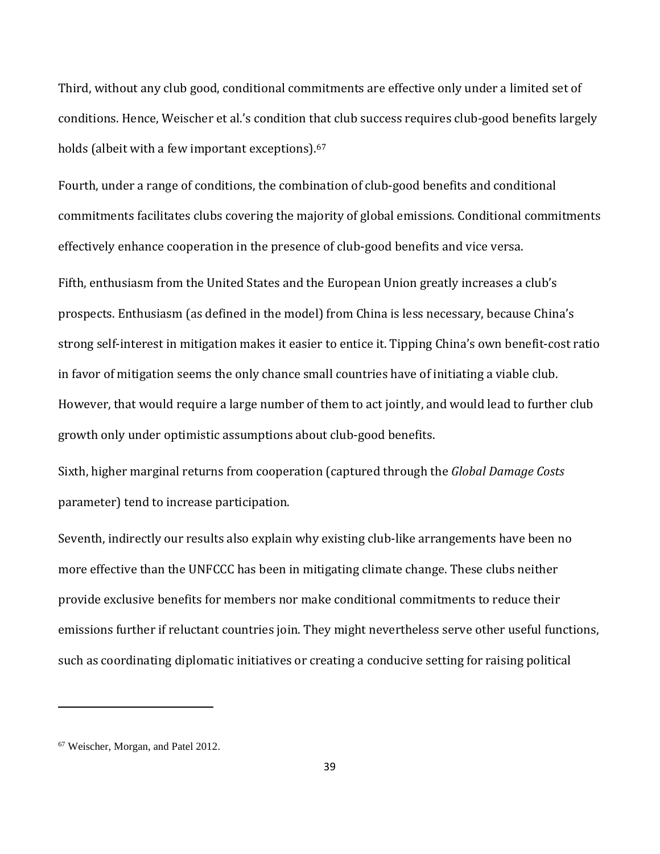Third, without any club good, conditional commitments are effective only under a limited set of conditions. Hence, Weischer et al.'s condition that club success requires club-good benefits largely holds (albeit with a few important exceptions). [67](#page-39-0)

Fourth, under a range of conditions, the combination of club-good benefits and conditional commitments facilitates clubs covering the majority of global emissions. Conditional commitments effectively enhance cooperation in the presence of club-good benefits and vice versa.

Fifth, enthusiasm from the United States and the European Union greatly increases a club's prospects. Enthusiasm (as defined in the model) from China is less necessary, because China's strong self-interest in mitigation makes it easier to entice it. Tipping China's own benefit-cost ratio in favor of mitigation seems the only chance small countries have of initiating a viable club. However, that would require a large number of them to act jointly, and would lead to further club growth only under optimistic assumptions about club-good benefits.

Sixth, higher marginal returns from cooperation (captured through the *Global Damage Costs*  parameter) tend to increase participation.

Seventh, indirectly our results also explain why existing club-like arrangements have been no more effective than the UNFCCC has been in mitigating climate change. These clubs neither provide exclusive benefits for members nor make conditional commitments to reduce their emissions further if reluctant countries join. They might nevertheless serve other useful functions, such as coordinating diplomatic initiatives or creating a conducive setting for raising political

l

<span id="page-39-0"></span><sup>67</sup> Weischer, Morgan, and Patel 2012.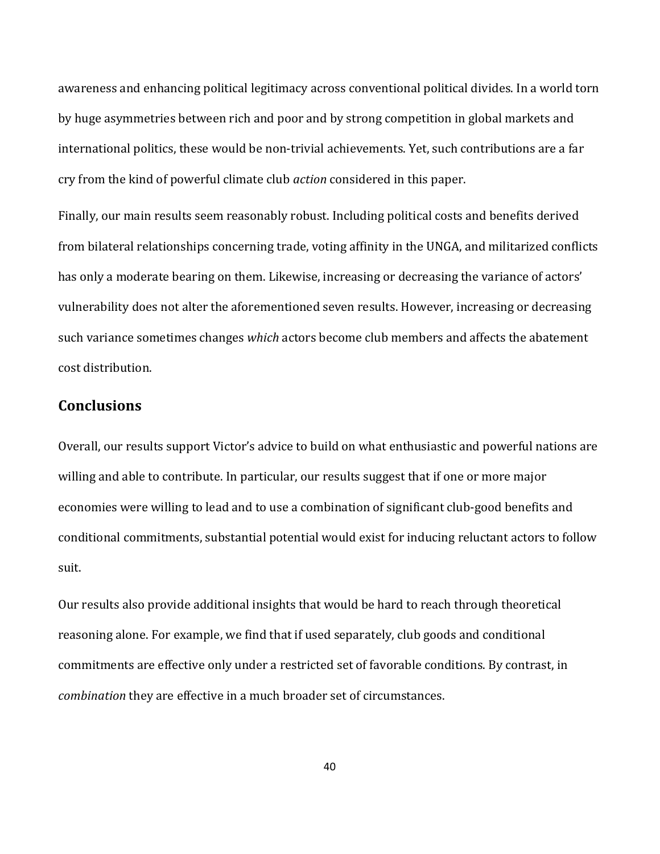awareness and enhancing political legitimacy across conventional political divides. In a world torn by huge asymmetries between rich and poor and by strong competition in global markets and international politics, these would be non-trivial achievements. Yet, such contributions are a far cry from the kind of powerful climate club *action* considered in this paper.

Finally, our main results seem reasonably robust. Including political costs and benefits derived from bilateral relationships concerning trade, voting affinity in the UNGA, and militarized conflicts has only a moderate bearing on them. Likewise, increasing or decreasing the variance of actors' vulnerability does not alter the aforementioned seven results. However, increasing or decreasing such variance sometimes changes *which* actors become club members and affects the abatement cost distribution.

# **Conclusions**

Overall, our results support Victor's advice to build on what enthusiastic and powerful nations are willing and able to contribute. In particular, our results suggest that if one or more major economies were willing to lead and to use a combination of significant club-good benefits and conditional commitments, substantial potential would exist for inducing reluctant actors to follow suit.

Our results also provide additional insights that would be hard to reach through theoretical reasoning alone. For example, we find that if used separately, club goods and conditional commitments are effective only under a restricted set of favorable conditions. By contrast, in *combination* they are effective in a much broader set of circumstances.

40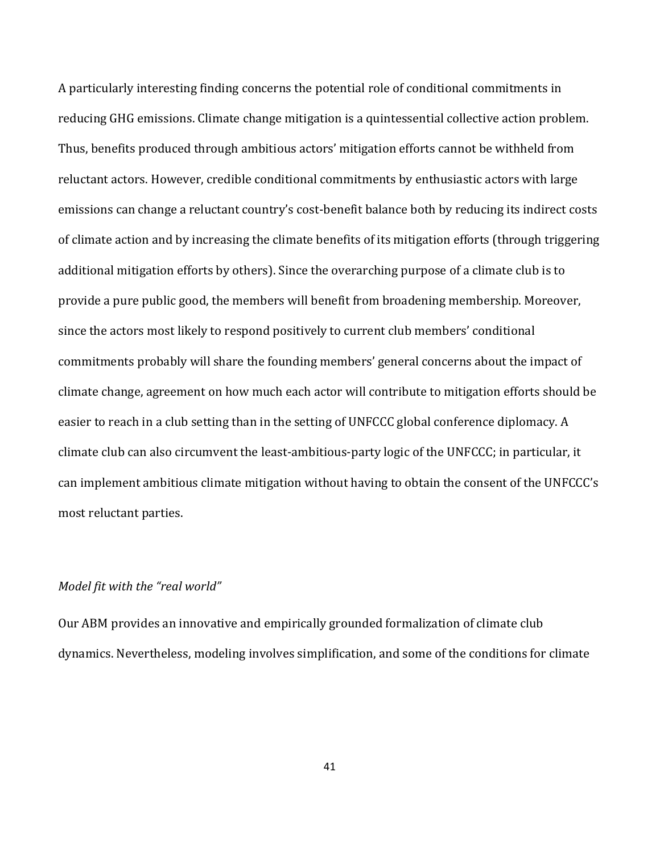A particularly interesting finding concerns the potential role of conditional commitments in reducing GHG emissions. Climate change mitigation is a quintessential collective action problem. Thus, benefits produced through ambitious actors' mitigation efforts cannot be withheld from reluctant actors. However, credible conditional commitments by enthusiastic actors with large emissions can change a reluctant country's cost-benefit balance both by reducing its indirect costs of climate action and by increasing the climate benefits of its mitigation efforts (through triggering additional mitigation efforts by others). Since the overarching purpose of a climate club is to provide a pure public good, the members will benefit from broadening membership. Moreover, since the actors most likely to respond positively to current club members' conditional commitments probably will share the founding members' general concerns about the impact of climate change, agreement on how much each actor will contribute to mitigation efforts should be easier to reach in a club setting than in the setting of UNFCCC global conference diplomacy. A climate club can also circumvent the least-ambitious-party logic of the UNFCCC; in particular, it can implement ambitious climate mitigation without having to obtain the consent of the UNFCCC's most reluctant parties.

### *Model fit with the "real world"*

Our ABM provides an innovative and empirically grounded formalization of climate club dynamics. Nevertheless, modeling involves simplification, and some of the conditions for climate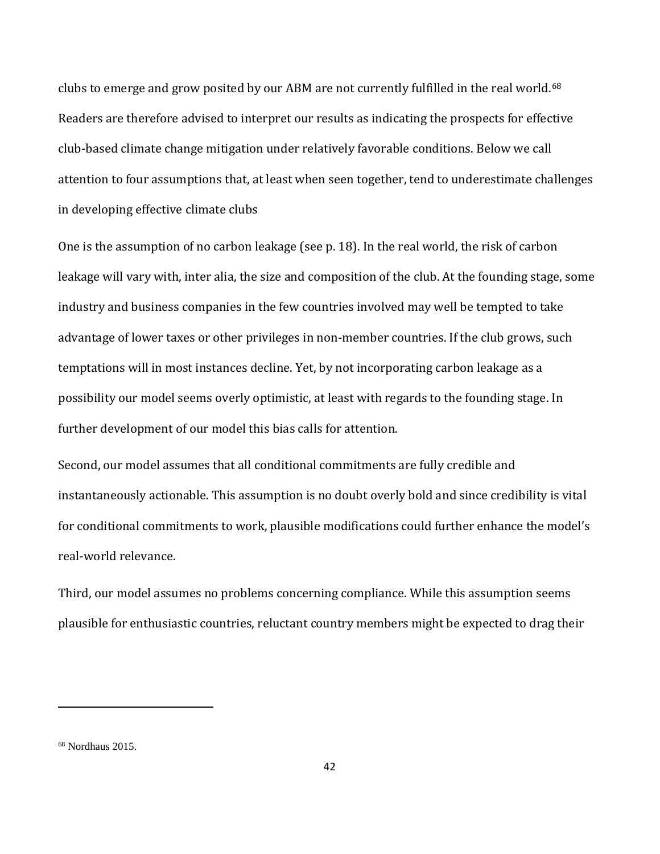clubs to emerge and grow posited by our ABM are not currently fulfilled in the real world.<sup>[68](#page-42-0)</sup> Readers are therefore advised to interpret our results as indicating the prospects for effective club-based climate change mitigation under relatively favorable conditions. Below we call attention to four assumptions that, at least when seen together, tend to underestimate challenges in developing effective climate clubs

One is the assumption of no carbon leakage (see p. 18). In the real world, the risk of carbon leakage will vary with, inter alia, the size and composition of the club. At the founding stage, some industry and business companies in the few countries involved may well be tempted to take advantage of lower taxes or other privileges in non-member countries. If the club grows, such temptations will in most instances decline. Yet, by not incorporating carbon leakage as a possibility our model seems overly optimistic, at least with regards to the founding stage. In further development of our model this bias calls for attention.

Second, our model assumes that all conditional commitments are fully credible and instantaneously actionable. This assumption is no doubt overly bold and since credibility is vital for conditional commitments to work, plausible modifications could further enhance the model's real-world relevance.

Third, our model assumes no problems concerning compliance. While this assumption seems plausible for enthusiastic countries, reluctant country members might be expected to drag their

<span id="page-42-0"></span><sup>68</sup> Nordhaus 2015.

l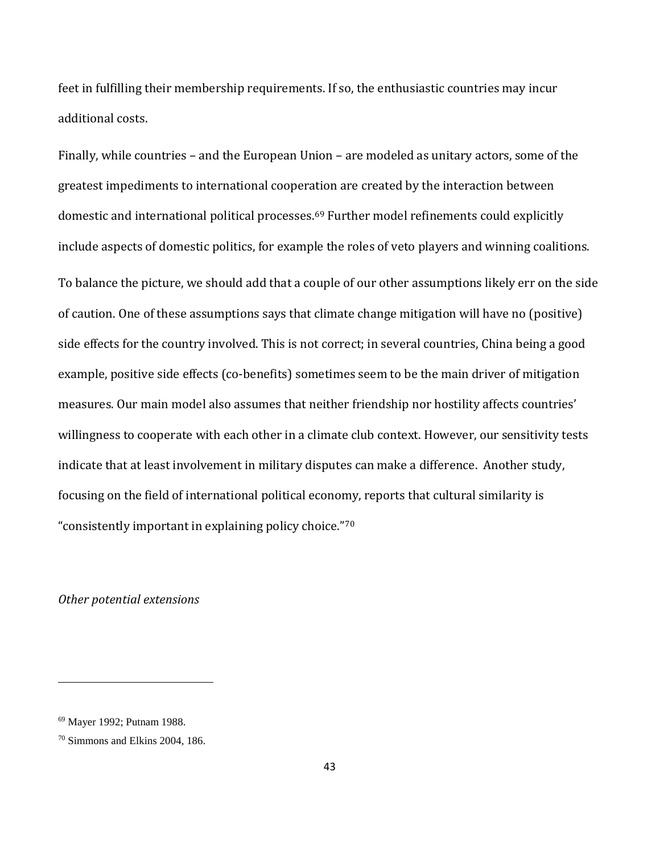feet in fulfilling their membership requirements. If so, the enthusiastic countries may incur additional costs.

Finally, while countries – and the European Union – are modeled as unitary actors, some of the greatest impediments to international cooperation are created by the interaction between domestic and international political processes.[69](#page-43-0) Further model refinements could explicitly include aspects of domestic politics, for example the roles of veto players and winning coalitions. To balance the picture, we should add that a couple of our other assumptions likely err on the side of caution. One of these assumptions says that climate change mitigation will have no (positive) side effects for the country involved. This is not correct; in several countries, China being a good example, positive side effects (co-benefits) sometimes seem to be the main driver of mitigation measures. Our main model also assumes that neither friendship nor hostility affects countries' willingness to cooperate with each other in a climate club context. However, our sensitivity tests indicate that at least involvement in military disputes can make a difference. Another study, focusing on the field of international political economy, reports that cultural similarity is "consistently important in explaining policy choice."[70](#page-43-1)

*Other potential extensions*

<span id="page-43-0"></span><sup>69</sup> Mayer 1992; Putnam 1988.

<span id="page-43-1"></span><sup>70</sup> Simmons and Elkins 2004, 186.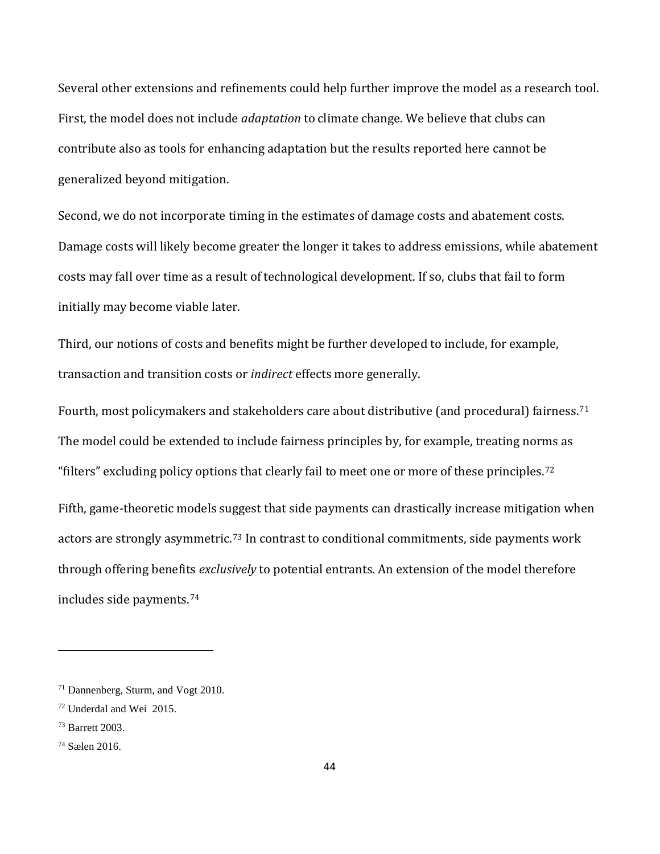Several other extensions and refinements could help further improve the model as a research tool. First, the model does not include *adaptation* to climate change. We believe that clubs can contribute also as tools for enhancing adaptation but the results reported here cannot be generalized beyond mitigation.

Second, we do not incorporate timing in the estimates of damage costs and abatement costs. Damage costs will likely become greater the longer it takes to address emissions, while abatement costs may fall over time as a result of technological development. If so, clubs that fail to form initially may become viable later.

Third, our notions of costs and benefits might be further developed to include, for example, transaction and transition costs or *indirect* effects more generally.

Fourth, most policymakers and stakeholders care about distributive (and procedural) fairness.[71](#page-44-0) The model could be extended to include fairness principles by, for example, treating norms as "filters" excluding policy options that clearly fail to meet one or more of these principles.[72](#page-44-1) Fifth, game-theoretic models suggest that side payments can drastically increase mitigation when actors are strongly asymmetric.<sup>[73](#page-44-2)</sup> In contrast to conditional commitments, side payments work through offering benefits *exclusively* to potential entrants. An extension of the model therefore includes side payments.[74](#page-44-3)

<span id="page-44-0"></span><sup>71</sup> Dannenberg, Sturm, and Vogt 2010.

<span id="page-44-1"></span><sup>72</sup> Underdal and Wei 2015.

<span id="page-44-2"></span><sup>73</sup> Barrett 2003.

<span id="page-44-3"></span><sup>74</sup> Sælen 2016.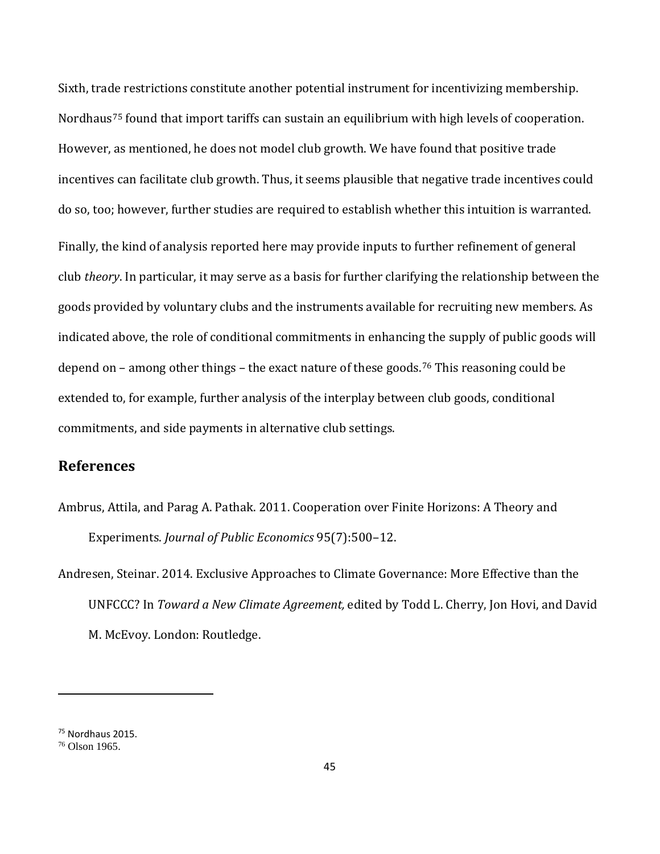Sixth, trade restrictions constitute another potential instrument for incentivizing membership. Nordhaus<sup>[75](#page-45-0)</sup> found that import tariffs can sustain an equilibrium with high levels of cooperation. However, as mentioned, he does not model club growth. We have found that positive trade incentives can facilitate club growth. Thus, it seems plausible that negative trade incentives could do so, too; however, further studies are required to establish whether this intuition is warranted. Finally, the kind of analysis reported here may provide inputs to further refinement of general club *theory*. In particular, it may serve as a basis for further clarifying the relationship between the goods provided by voluntary clubs and the instruments available for recruiting new members. As indicated above, the role of conditional commitments in enhancing the supply of public goods will depend on – among other things – the exact nature of these goods.<sup>[76](#page-45-1)</sup> This reasoning could be extended to, for example, further analysis of the interplay between club goods, conditional commitments, and side payments in alternative club settings.

### **References**

Ambrus, Attila, and Parag A. Pathak. 2011. Cooperation over Finite Horizons: A Theory and Experiments. *Journal of Public Economics* 95(7):500–12.

Andresen, Steinar. 2014. Exclusive Approaches to Climate Governance: More Effective than the UNFCCC? In *Toward a New Climate Agreement,* edited by Todd L. Cherry, Jon Hovi, and David M. McEvoy. London: Routledge.

<span id="page-45-0"></span><sup>75</sup> Nordhaus 2015.

<span id="page-45-1"></span><sup>76</sup> Olson 1965.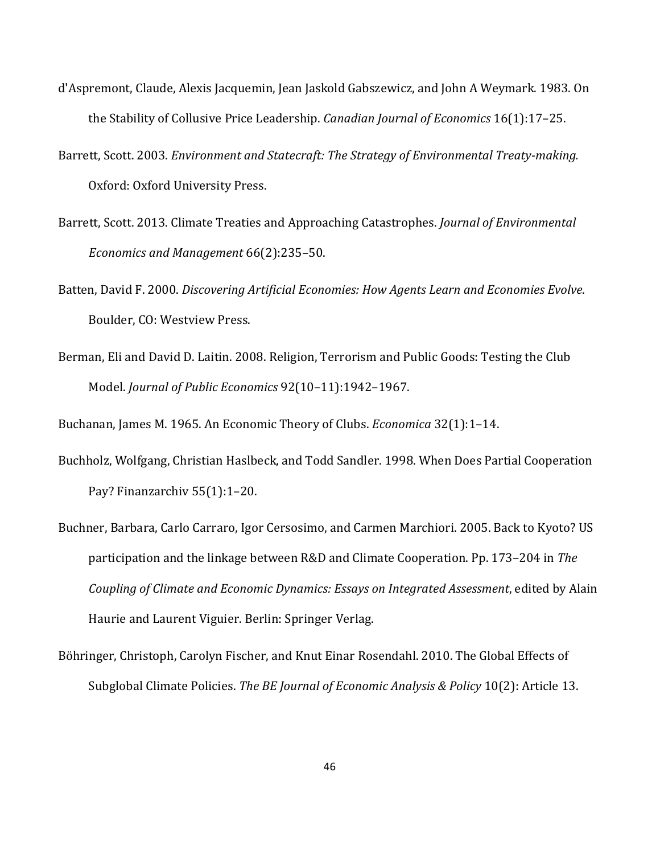- d'Aspremont, Claude, Alexis Jacquemin, Jean Jaskold Gabszewicz, and John A Weymark. 1983. On the Stability of Collusive Price Leadership. *Canadian Journal of Economics* 16(1):17–25.
- Barrett, Scott. 2003. *Environment and Statecraft: The Strategy of Environmental Treaty-making.* Oxford: Oxford University Press.
- Barrett, Scott. 2013. Climate Treaties and Approaching Catastrophes. *Journal of Environmental Economics and Management* 66(2):235–50.
- Batten, David F. 2000. *Discovering Artificial Economies: How Agents Learn and Economies Evolve*. Boulder, CO: Westview Press.
- Berman, Eli and David D. Laitin. 2008. Religion, Terrorism and Public Goods: Testing the Club Model. *Journal of Public Economics* 92(10–11):1942–1967.

Buchanan, James M. 1965. An Economic Theory of Clubs. *Economica* 32(1):1–14.

- Buchholz, Wolfgang, Christian Haslbeck, and Todd Sandler. 1998. When Does Partial Cooperation Pay? Finanzarchiv 55(1):1–20.
- Buchner, Barbara, Carlo Carraro, Igor Cersosimo, and Carmen Marchiori. 2005. Back to Kyoto? US participation and the linkage between R&D and Climate Cooperation. Pp. 173–204 in *The Coupling of Climate and Economic Dynamics: Essays on Integrated Assessment*, edited by Alain Haurie and Laurent Viguier. Berlin: Springer Verlag.
- Böhringer, Christoph, Carolyn Fischer, and Knut Einar Rosendahl. 2010. The Global Effects of Subglobal Climate Policies. *The BE Journal of Economic Analysis & Policy* 10(2): Article 13.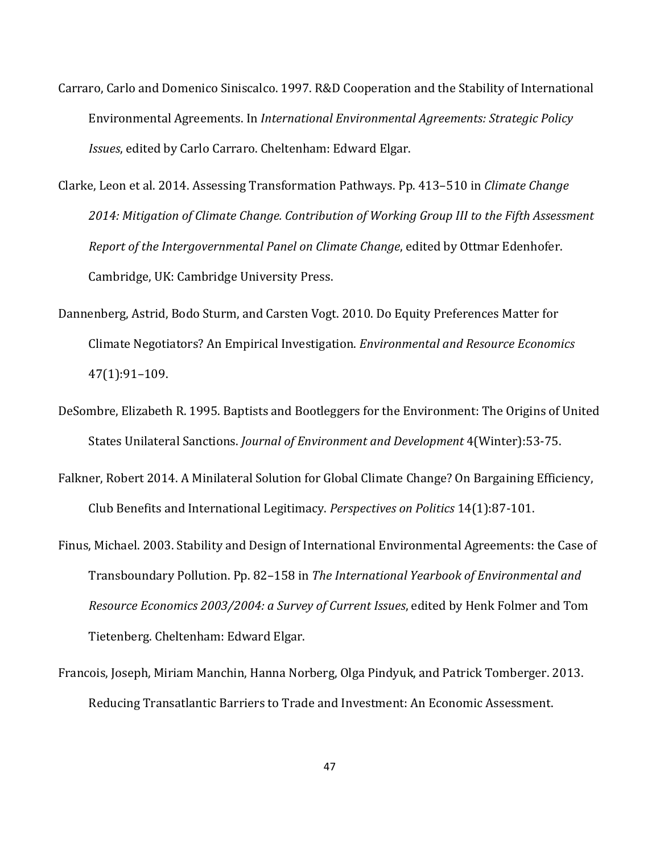- Carraro, Carlo and Domenico Siniscalco. 1997. R&D Cooperation and the Stability of International Environmental Agreements. In *International Environmental Agreements: Strategic Policy Issues*, edited by Carlo Carraro. Cheltenham: Edward Elgar.
- Clarke, Leon et al. 2014. Assessing Transformation Pathways. Pp. 413–510 in *Climate Change 2014: Mitigation of Climate Change. Contribution of Working Group III to the Fifth Assessment Report of the Intergovernmental Panel on Climate Change*, edited by Ottmar Edenhofer. Cambridge, UK: Cambridge University Press.
- Dannenberg, Astrid, Bodo Sturm, and Carsten Vogt. 2010. Do Equity Preferences Matter for Climate Negotiators? An Empirical Investigation. *Environmental and Resource Economics* 47(1):91–109.
- DeSombre, Elizabeth R. 1995. Baptists and Bootleggers for the Environment: The Origins of United States Unilateral Sanctions. *Journal of Environment and Development* 4(Winter):53-75.
- Falkner, Robert 2014. A Minilateral Solution for Global Climate Change? On Bargaining Efficiency, Club Benefits and International Legitimacy. *Perspectives on Politics* 14(1):87-101.
- Finus, Michael. 2003. Stability and Design of International Environmental Agreements: the Case of Transboundary Pollution. Pp. 82–158 in *The International Yearbook of Environmental and Resource Economics 2003/2004: a Survey of Current Issues*, edited by Henk Folmer and Tom Tietenberg. Cheltenham: Edward Elgar.
- Francois, Joseph, Miriam Manchin, Hanna Norberg, Olga Pindyuk, and Patrick Tomberger. 2013. Reducing Transatlantic Barriers to Trade and Investment: An Economic Assessment.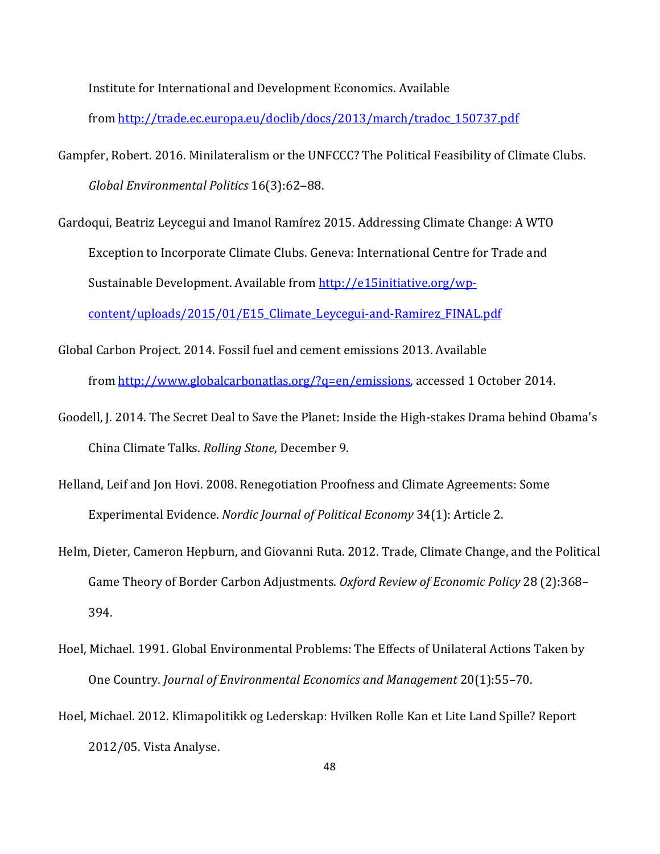Institute for International and Development Economics. Available

from [http://trade.ec.europa.eu/doclib/docs/2013/march/tradoc\\_150737.pdf](http://trade.ec.europa.eu/doclib/docs/2013/march/tradoc_150737.pdf)

- Gampfer, Robert. 2016. Minilateralism or the UNFCCC? The Political Feasibility of Climate Clubs. *Global Environmental Politics* 16(3):62‒88.
- Gardoqui, Beatriz Leycegui and Imanol Ramírez 2015. Addressing Climate Change: A WTO Exception to Incorporate Climate Clubs. Geneva: International Centre for Trade and Sustainable Development. Available fro[m http://e15initiative.org/wp](http://e15initiative.org/wp-content/uploads/2015/01/E15_Climate_Leycegui-and-Ramirez_FINAL.pdf)[content/uploads/2015/01/E15\\_Climate\\_Leycegui-and-Ramirez\\_FINAL.pdf](http://e15initiative.org/wp-content/uploads/2015/01/E15_Climate_Leycegui-and-Ramirez_FINAL.pdf)
- Global Carbon Project. 2014. Fossil fuel and cement emissions 2013. Available from [http://www.globalcarbonatlas.org/?q=en/emissions,](http://www.globalcarbonatlas.org/?q=en/emissions) accessed 1 October 2014.
- Goodell, J. 2014. The Secret Deal to Save the Planet: Inside the High-stakes Drama behind Obama's China Climate Talks. *Rolling Stone*, December 9.
- Helland, Leif and Jon Hovi. 2008. Renegotiation Proofness and Climate Agreements: Some Experimental Evidence. *Nordic Journal of Political Economy* 34(1): Article 2.
- Helm, Dieter, Cameron Hepburn, and Giovanni Ruta. 2012. Trade, Climate Change, and the Political Game Theory of Border Carbon Adjustments. *Oxford Review of Economic Policy* 28 (2):368– 394.
- Hoel, Michael. 1991. Global Environmental Problems: The Effects of Unilateral Actions Taken by One Country. *Journal of Environmental Economics and Management* 20(1):55–70.
- Hoel, Michael. 2012. Klimapolitikk og Lederskap: Hvilken Rolle Kan et Lite Land Spille? Report 2012/05. Vista Analyse.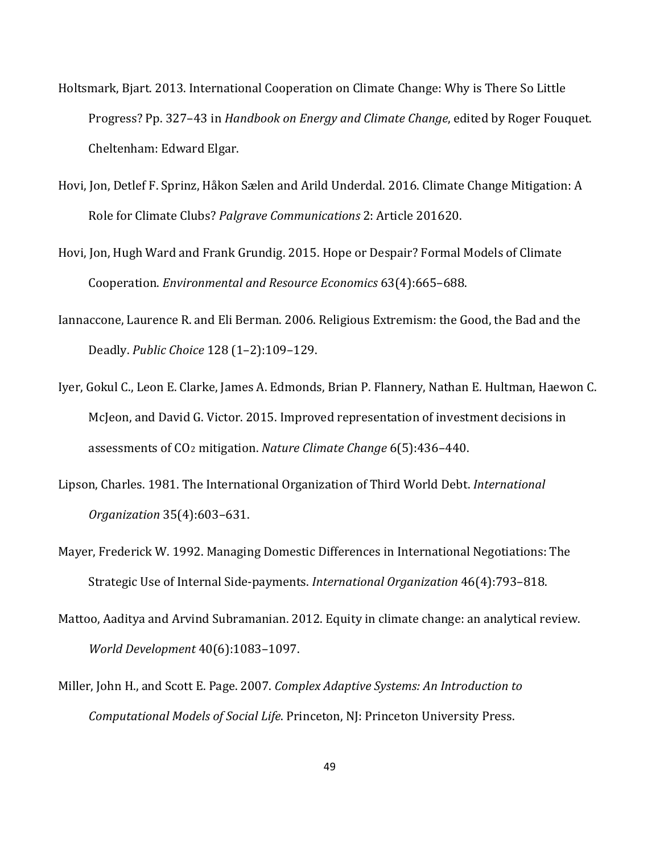- Holtsmark, Bjart. 2013. International Cooperation on Climate Change: Why is There So Little Progress? Pp. 327–43 in *Handbook on Energy and Climate Change*, edited by Roger Fouquet. Cheltenham: Edward Elgar.
- Hovi, Jon, Detlef F. Sprinz, Håkon Sælen and Arild Underdal. 2016. Climate Change Mitigation: A Role for Climate Clubs? *Palgrave Communications* 2: Article 201620.
- Hovi, Jon, Hugh Ward and Frank Grundig. 2015. Hope or Despair? Formal Models of Climate Cooperation. *Environmental and Resource Economics* 63(4):665–688.
- Iannaccone, Laurence R. and Eli Berman. 2006. Religious Extremism: the Good, the Bad and the Deadly. *Public Choice* 128 (1–2):109–129.
- Iyer, Gokul C., Leon E. Clarke, James A. Edmonds, Brian P. Flannery, Nathan E. Hultman, Haewon C. McJeon, and David G. Victor. 2015. Improved representation of investment decisions in assessments of CO2 mitigation. *Nature Climate Change* 6(5):436–440.
- Lipson, Charles. 1981. The International Organization of Third World Debt. *International Organization* 35(4):603–631.
- Mayer, Frederick W. 1992. Managing Domestic Differences in International Negotiations: The Strategic Use of Internal Side-payments. *International Organization* 46(4):793–818.
- Mattoo, Aaditya and Arvind Subramanian. 2012. Equity in climate change: an analytical review. *World Development* 40(6):1083–1097.
- Miller, John H., and Scott E. Page. 2007. *Complex Adaptive Systems: An Introduction to Computational Models of Social Life*. Princeton, NJ: Princeton University Press.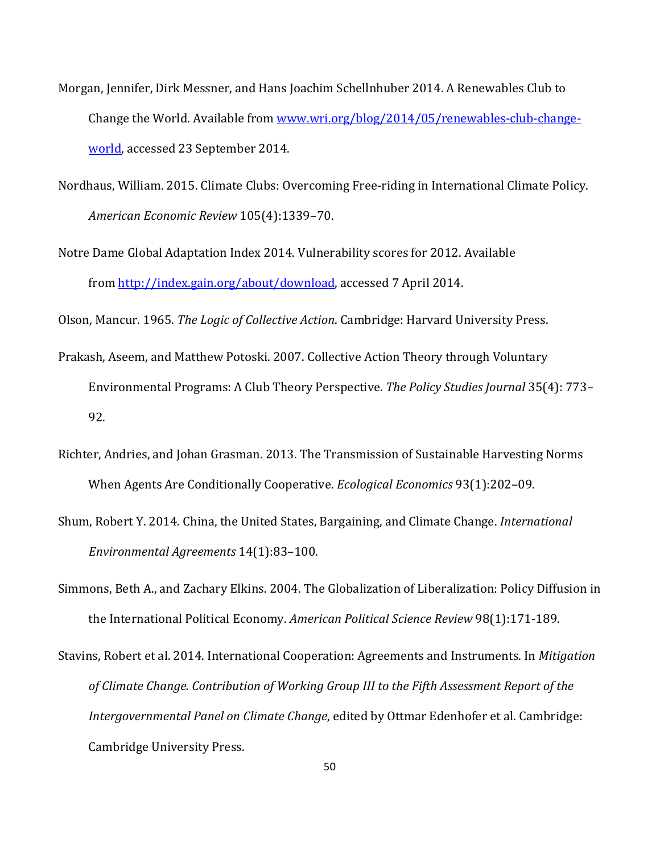- Morgan, Jennifer, Dirk Messner, and Hans Joachim Schellnhuber 2014. A Renewables Club to Change the World. Available from [www.wri.org/blog/2014/05/renewables-club-change](http://www.wri.org/blog/2014/05/renewables-club-change-world)[world,](http://www.wri.org/blog/2014/05/renewables-club-change-world) accessed 23 September 2014.
- Nordhaus, William. 2015. Climate Clubs: Overcoming Free-riding in International Climate Policy. *American Economic Review* 105(4):1339–70.
- Notre Dame Global Adaptation Index 2014. Vulnerability scores for 2012. Available from [http://index.gain.org/about/download,](http://index.gain.org/about/download) accessed 7 April 2014.

Olson, Mancur. 1965. *The Logic of Collective Action*. Cambridge: Harvard University Press.

- Prakash, Aseem, and Matthew Potoski. 2007. Collective Action Theory through Voluntary Environmental Programs: A Club Theory Perspective. *The Policy Studies Journal* 35(4): 773– 92.
- Richter, Andries, and Johan Grasman. 2013. The Transmission of Sustainable Harvesting Norms When Agents Are Conditionally Cooperative. *Ecological Economics* 93(1):202–09.
- Shum, Robert Y. 2014. China, the United States, Bargaining, and Climate Change. *International Environmental Agreements* 14(1):83–100.
- Simmons, Beth A., and Zachary Elkins. 2004. The Globalization of Liberalization: Policy Diffusion in the International Political Economy. *American Political Science Review* 98(1):171-189.

Stavins, Robert et al. 2014. International Cooperation: Agreements and Instruments. In *Mitigation of Climate Change. Contribution of Working Group III to the Fifth Assessment Report of the Intergovernmental Panel on Climate Change*, edited by Ottmar Edenhofer et al. Cambridge: Cambridge University Press.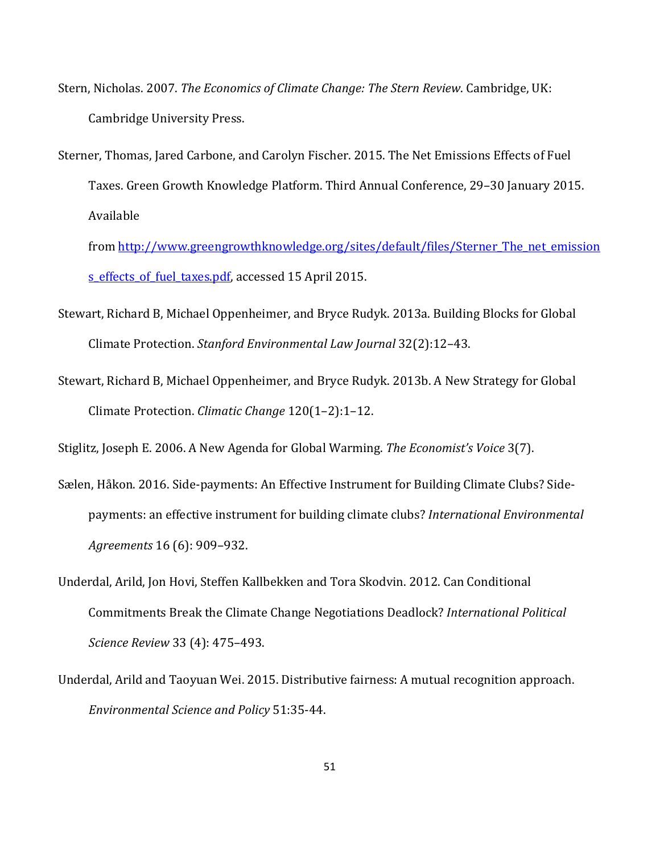- Stern, Nicholas. 2007. *The Economics of Climate Change: The Stern Review*. Cambridge, UK: Cambridge University Press.
- Sterner, Thomas, Jared Carbone, and Carolyn Fischer. 2015. The Net Emissions Effects of Fuel Taxes. Green Growth Knowledge Platform. Third Annual Conference, 29–30 January 2015. Available

from [http://www.greengrowthknowledge.org/sites/default/files/Sterner\\_The\\_net\\_emission](http://www.greengrowthknowledge.org/sites/default/files/Sterner_The_net_emissions_effects_of_fuel_taxes.pdf) s effects of fuel taxes.pdf, accessed 15 April 2015.

- Stewart, Richard B, Michael Oppenheimer, and Bryce Rudyk. 2013a. Building Blocks for Global Climate Protection. *Stanford Environmental Law Journal* 32(2):12–43.
- Stewart, Richard B, Michael Oppenheimer, and Bryce Rudyk. 2013b. A New Strategy for Global Climate Protection. *Climatic Change* 120(1–2):1–12.

Stiglitz, Joseph E. 2006. A New Agenda for Global Warming. *The Economist's Voice* 3(7).

- Sælen, Håkon. 2016. Side-payments: An Effective Instrument for Building Climate Clubs? Sidepayments: an effective instrument for building climate clubs? *International Environmental Agreements* 16 (6): 909–932.
- Underdal, Arild, Jon Hovi, Steffen Kallbekken and Tora Skodvin. 2012. Can Conditional Commitments Break the Climate Change Negotiations Deadlock? *International Political Science Review* 33 (4): 475–493.
- Underdal, Arild and Taoyuan Wei. 2015. Distributive fairness: A mutual recognition approach. *Environmental Science and Policy* 51:35-44.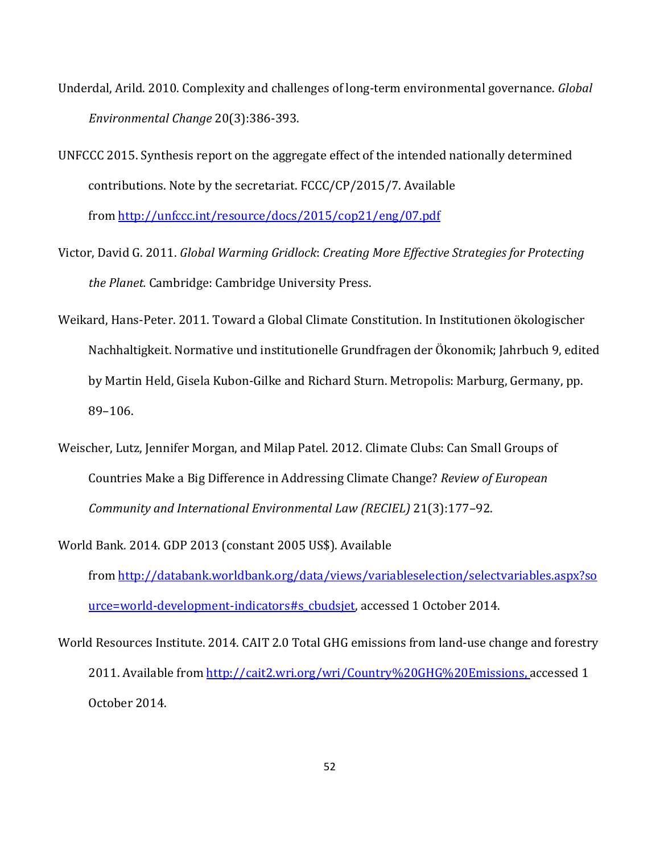- Underdal, Arild. 2010. Complexity and challenges of long-term environmental governance. *Global Environmental Change* 20(3):386-393.
- UNFCCC 2015. Synthesis report on the aggregate effect of the intended nationally determined contributions. Note by the secretariat. FCCC/CP/2015/7. Available from<http://unfccc.int/resource/docs/2015/cop21/eng/07.pdf>
- Victor, David G. 2011. *Global Warming Gridlock*: *Creating More Effective Strategies for Protecting the Planet.* Cambridge: Cambridge University Press.
- Weikard, Hans-Peter. 2011. Toward a Global Climate Constitution. In Institutionen ökologischer Nachhaltigkeit. Normative und institutionelle Grundfragen der Ökonomik; Jahrbuch 9, edited by Martin Held, Gisela Kubon-Gilke and Richard Sturn. Metropolis: Marburg, Germany, pp. 89–106.
- Weischer, Lutz, Jennifer Morgan, and Milap Patel. 2012. Climate Clubs: Can Small Groups of Countries Make a Big Difference in Addressing Climate Change? *Review of European Community and International Environmental Law (RECIEL)* 21(3):177–92.
- World Bank. 2014. GDP 2013 (constant 2005 US\$). Available from [http://databank.worldbank.org/data/views/variableselection/selectvariables.aspx?so](http://databank.worldbank.org/data/views/variableselection/selectvariables.aspx?source=world-development-indicators%23s_cbudsjet) [urce=world-development-indicators#s\\_cbudsjet,](http://databank.worldbank.org/data/views/variableselection/selectvariables.aspx?source=world-development-indicators%23s_cbudsjet) accessed 1 October 2014.
- World Resources Institute. 2014. CAIT 2.0 Total GHG emissions from land-use change and forestry 2011. Available from [http://cait2.wri.org/wri/Country%20GHG%20Emissions,](http://cait2.wri.org/wri/Country%20GHG%20Emissions) accessed 1 October 2014.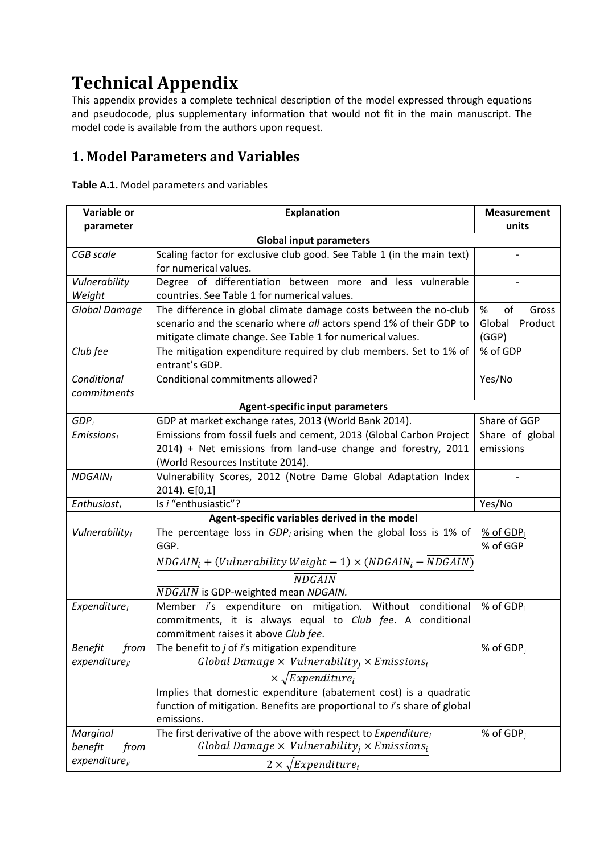# **Technical Appendix**

This appendix provides a complete technical description of the model expressed through equations and pseudocode, plus supplementary information that would not fit in the main manuscript. The model code is available from the authors upon request.

# **1. Model Parameters and Variables**

**Table A.1.** Model parameters and variables

| Variable or                | <b>Explanation</b>                                                                              | <b>Measurement</b>    |
|----------------------------|-------------------------------------------------------------------------------------------------|-----------------------|
| parameter                  |                                                                                                 | units                 |
|                            | <b>Global input parameters</b>                                                                  |                       |
| <b>CGB</b> scale           | Scaling factor for exclusive club good. See Table 1 (in the main text)<br>for numerical values. |                       |
| Vulnerability              | Degree of differentiation between more and less vulnerable                                      |                       |
| Weight                     | countries. See Table 1 for numerical values.                                                    |                       |
| Global Damage              | The difference in global climate damage costs between the no-club                               | %<br>οf<br>Gross      |
|                            | scenario and the scenario where all actors spend 1% of their GDP to                             | Product<br>Global     |
|                            | mitigate climate change. See Table 1 for numerical values.                                      | (GGP)                 |
| Club fee                   | The mitigation expenditure required by club members. Set to 1% of<br>entrant's GDP.             | % of GDP              |
| Conditional                | Conditional commitments allowed?                                                                | Yes/No                |
| commitments                |                                                                                                 |                       |
|                            | <b>Agent-specific input parameters</b>                                                          |                       |
| GDP <sub>i</sub>           | GDP at market exchange rates, 2013 (World Bank 2014).                                           | Share of GGP          |
| $E$ missions <sub>i</sub>  | Emissions from fossil fuels and cement, 2013 (Global Carbon Project                             | Share of global       |
|                            | 2014) + Net emissions from land-use change and forestry, 2011                                   | emissions             |
|                            | (World Resources Institute 2014).                                                               |                       |
| <b>NDGAIN</b> <sub>i</sub> | Vulnerability Scores, 2012 (Notre Dame Global Adaptation Index                                  |                       |
|                            | 2014). €[0,1]                                                                                   |                       |
| Enthusiast <sub>i</sub>    | Is i "enthusiastic"?                                                                            | Yes/No                |
|                            | Agent-specific variables derived in the model                                                   |                       |
| <b>Vulnerability</b>       | The percentage loss in $GDP_i$ arising when the global loss is 1% of                            | $%$ of GDP $i$        |
|                            | GGP.                                                                                            | % of GGP              |
|                            | $NDGAIN_i + (Vulnerability Weight - 1) \times (NDGAIN_i - NDGAIN)$                              |                       |
|                            | <b>NDGAIN</b>                                                                                   |                       |
|                            | NDGAIN is GDP-weighted mean NDGAIN.                                                             |                       |
| Expenditure <sub>i</sub>   | Member i's expenditure on mitigation. Without conditional                                       | % of GDP <sub>i</sub> |
|                            | commitments, it is always equal to Club fee. A conditional                                      |                       |
|                            | commitment raises it above Club fee.                                                            |                       |
| <b>Benefit</b><br>from     | The benefit to $j$ of $i$ 's mitigation expenditure                                             | % of $GDPi$           |
| expenditur <sub>ii</sub>   | Global Damage $\times$ Vulnerability <sub>i</sub> $\times$ Emissions <sub>i</sub>               |                       |
|                            | $\times \sqrt{Expendixture_i}$                                                                  |                       |
|                            | Implies that domestic expenditure (abatement cost) is a quadratic                               |                       |
|                            | function of mitigation. Benefits are proportional to i's share of global                        |                       |
|                            | emissions.                                                                                      |                       |
| Marginal                   | The first derivative of the above with respect to Expenditure;                                  | % of $GDPi$           |
| benefit<br>from            | Global Damage $\times$ Vulnerability <sub>i</sub> $\times$ Emissions <sub>i</sub>               |                       |
| expenditur <sub>ii</sub>   | $2 \times \sqrt{Expenditure_i}$                                                                 |                       |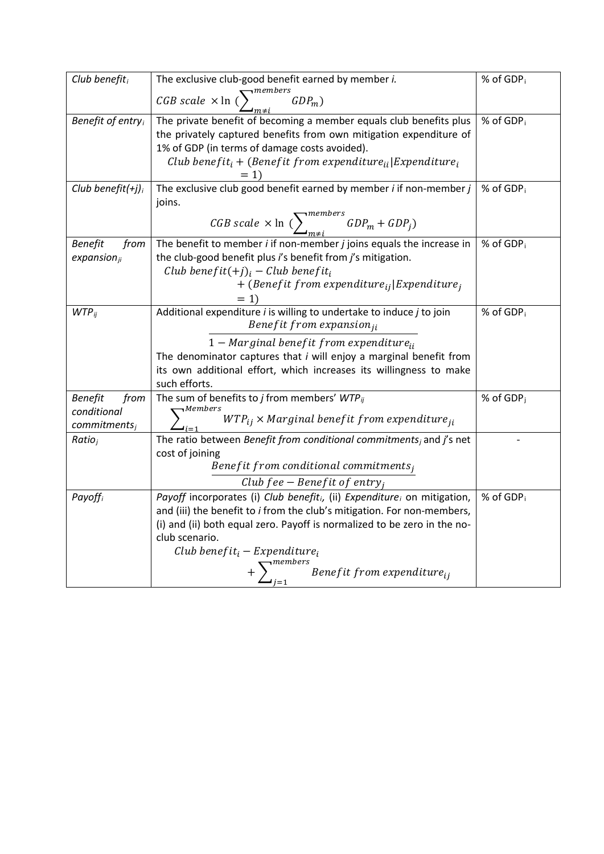| Club benefit $_i$                                                  | The exclusive club-good benefit earned by member i.                                                                                                                                                                                                                                                                                                                                       | % of GDP <sub>i</sub> |
|--------------------------------------------------------------------|-------------------------------------------------------------------------------------------------------------------------------------------------------------------------------------------------------------------------------------------------------------------------------------------------------------------------------------------------------------------------------------------|-----------------------|
|                                                                    | $\neg$ members<br>$CGB scale \times ln$ (<br>$GDP_m$ )                                                                                                                                                                                                                                                                                                                                    |                       |
| Benefit of entry                                                   | The private benefit of becoming a member equals club benefits plus<br>the privately captured benefits from own mitigation expenditure of<br>1% of GDP (in terms of damage costs avoided).<br>Club benefit <sub>i</sub> + (Benefit from expenditure <sub>ii</sub> Expenditure <sub>i</sub>                                                                                                 | % of GDP <sub>i</sub> |
| Club benefit $(+j)_i$                                              | The exclusive club good benefit earned by member $i$ if non-member $j$<br>joins.<br>CGB scale $\times$ ln ( $\sum_{m\neq i}^{members} GDP_m + GDP_j$ )                                                                                                                                                                                                                                    | % of GDP <sub>i</sub> |
| <b>Benefit</b><br>from<br>$expansion_{ji}$                         | The benefit to member $i$ if non-member $j$ joins equals the increase in<br>the club-good benefit plus i's benefit from j's mitigation.<br>Club benefit $(+j)_i$ – Club benefit <sub>i</sub><br>+ (Benefit from expenditure $_{ii}$  Expenditure <sub>i</sub><br>$=1$                                                                                                                     | % of $GDP_i$          |
| $WTP_{ij}$                                                         | Additional expenditure <i>i</i> is willing to undertake to induce <i>j</i> to join<br>Benefit from expansion $_{ii}$<br>$1 - Marginal benefit from expenditure_{ii}$<br>The denominator captures that <i>i</i> will enjoy a marginal benefit from<br>its own additional effort, which increases its willingness to make<br>such efforts.                                                  | % of GDP <sub>i</sub> |
| <b>Benefit</b><br>from<br>conditional<br>committments <sub>i</sub> | The sum of benefits to <i>j</i> from members' $WTP_{ij}$<br>$\lnot$ Members<br>$WTP_{ij}$ × Marginal benefit from expenditure <sub>ii</sub>                                                                                                                                                                                                                                               | % of $GDPi$           |
| Ratio <sub>i</sub>                                                 | The ratio between Benefit from conditional commitments and j's net<br>cost of joining<br>Benefit from conditional commitments,<br>Club fee – Benefit of entry <sub>i</sub>                                                                                                                                                                                                                |                       |
| Payoffi                                                            | Payoff incorporates (i) Club benefit <sub>i</sub> , (ii) Expenditure, on mitigation,<br>and (iii) the benefit to <i>i</i> from the club's mitigation. For non-members,<br>(i) and (ii) both equal zero. Payoff is normalized to be zero in the no-<br>club scenario.<br>Club benefit $_i$ – Expenditure $_i$<br>$\sum_{i=1}^{n \text{members}}$ Benefit from expenditure $\sum_{i=1}^{n}$ | % of GDP <sub>i</sub> |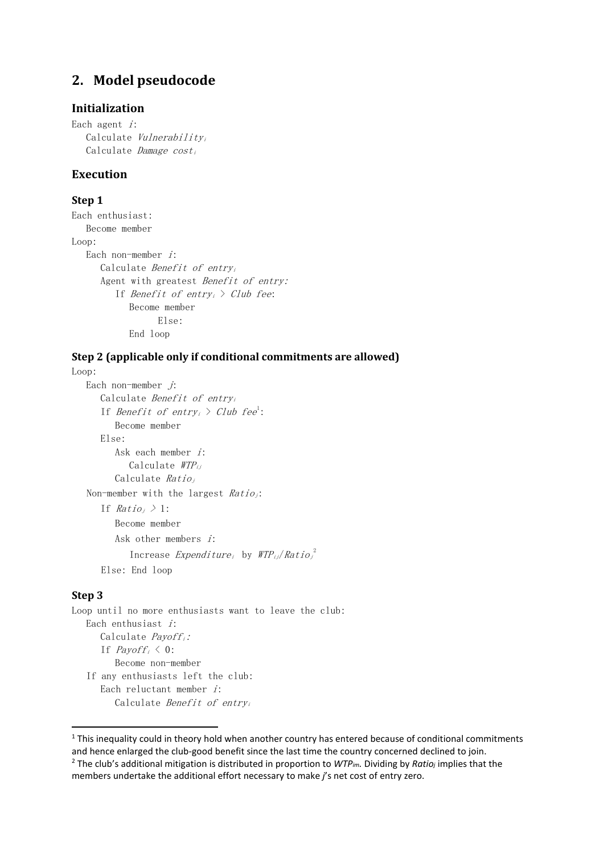# **2. Model pseudocode**

### **Initialization**

Each agent  $i$ : Calculate Vulnerabilityi Calculate Damage  $cost_i$ 

### **Execution**

### **Step 1**

Each enthusiast: Become member Loop: Each non-member i: Calculate Benefit of entryi Agent with greatest Benefit of entry: If Benefit of entry<sub>i</sub>  $\geq$  Club fee: Become member Else: End loop

### **Step 2 (applicable only if conditional commitments are allowed)**

```
Loop:
```

```
Each non-member j:
   Calculate Benefit of entryi
   If Benefit of entry<sub>i</sub> >1</sup>:
      Become member
   Else:
      Ask each member i:
         Calculate \textit{WTP}_{ij}Calculate Ratioj
Non-member with the largest Ratio_i:
   If Ratio_i \geq 1:
      Become member
      Ask other members i:
          Increase Expenditure<sub>i</sub> by 2Else: End loop
```
#### **Step 3**

 $\overline{a}$ 

Loop until no more enthusiasts want to leave the club: Each enthusiast  $i$ : Calculate *Payoff<sub>i</sub>*: If  $Payoff_i \leq 0$ : Become non-member If any enthusiasts left the club: Each reluctant member  $i$ : Calculate Benefit of entryi

<span id="page-55-1"></span><span id="page-55-0"></span> $1$  This inequality could in theory hold when another country has entered because of conditional commitments and hence enlarged the club-good benefit since the last time the country concerned declined to join. <sup>2</sup> The club's additional mitigation is distributed in proportion to *WTPim.* Dividing by *Ratioj* implies that the members undertake the additional effort necessary to make *j*'s net cost of entry zero.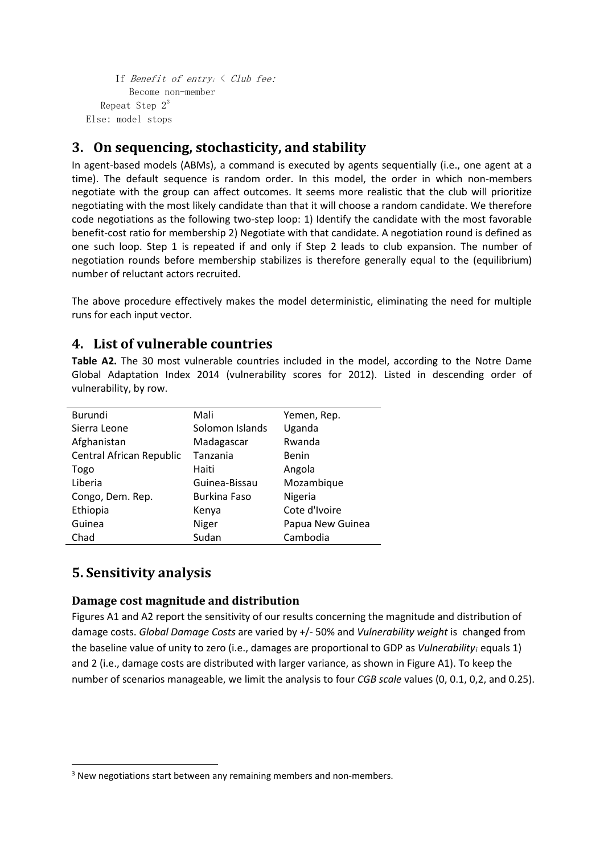```
If Benefit of entry<sub>i</sub> \langle Club fee:
          Become non-member
   Repeat Step 3Else: model stops
```
# **3. On sequencing, stochasticity, and stability**

In agent-based models (ABMs), a command is executed by agents sequentially (i.e., one agent at a time). The default sequence is random order. In this model, the order in which non-members negotiate with the group can affect outcomes. It seems more realistic that the club will prioritize negotiating with the most likely candidate than that it will choose a random candidate. We therefore code negotiations as the following two-step loop: 1) Identify the candidate with the most favorable benefit-cost ratio for membership 2) Negotiate with that candidate. A negotiation round is defined as one such loop. Step 1 is repeated if and only if Step 2 leads to club expansion. The number of negotiation rounds before membership stabilizes is therefore generally equal to the (equilibrium) number of reluctant actors recruited.

The above procedure effectively makes the model deterministic, eliminating the need for multiple runs for each input vector.

# **4. List of vulnerable countries**

**Table A2.** The 30 most vulnerable countries included in the model, according to the Notre Dame Global Adaptation Index 2014 (vulnerability scores for 2012). Listed in descending order of vulnerability, by row.

| Burundi                  | Mali                | Yemen, Rep.      |
|--------------------------|---------------------|------------------|
| Sierra Leone             | Solomon Islands     | Uganda           |
| Afghanistan              | Madagascar          | Rwanda           |
| Central African Republic | Tanzania            | Benin            |
| Togo                     | Haiti               | Angola           |
| Liberia                  | Guinea-Bissau       | Mozambique       |
| Congo, Dem. Rep.         | <b>Burkina Faso</b> | Nigeria          |
| Ethiopia                 | Kenya               | Cote d'Ivoire    |
| Guinea                   | Niger               | Papua New Guinea |
| Chad                     | Sudan               | Cambodia         |

# **5. Sensitivity analysis**

 $\overline{a}$ 

### **Damage cost magnitude and distribution**

Figures A1 and A2 report the sensitivity of our results concerning the magnitude and distribution of damage costs. *Global Damage Costs* are varied by +/- 50% and *Vulnerability weight* is changed from the baseline value of unity to zero (i.e., damages are proportional to GDP as *Vulnerabilityi* equals 1) and 2 (i.e., damage costs are distributed with larger variance, as shown in Figure A1). To keep the number of scenarios manageable, we limit the analysis to four *CGB scale* values (0, 0.1, 0,2, and 0.25).

<span id="page-56-0"></span><sup>&</sup>lt;sup>3</sup> New negotiations start between any remaining members and non-members.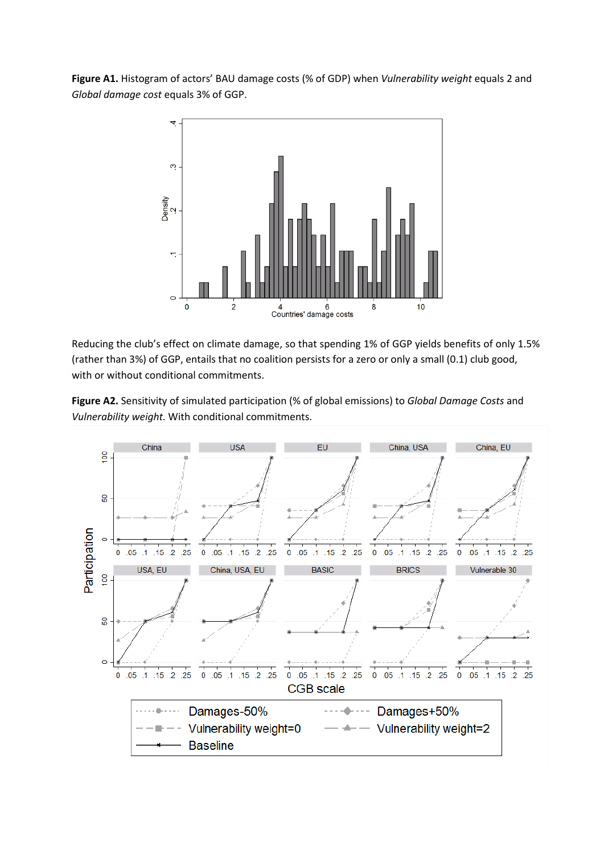**Figure A1.** Histogram of actors' BAU damage costs (% of GDP) when *Vulnerability weight* equals 2 and *Global damage cost* equals 3% of GGP.



Reducing the club's effect on climate damage, so that spending 1% of GGP yields benefits of only 1.5% (rather than 3%) of GGP, entails that no coalition persists for a zero or only a small (0.1) club good, with or without conditional commitments.



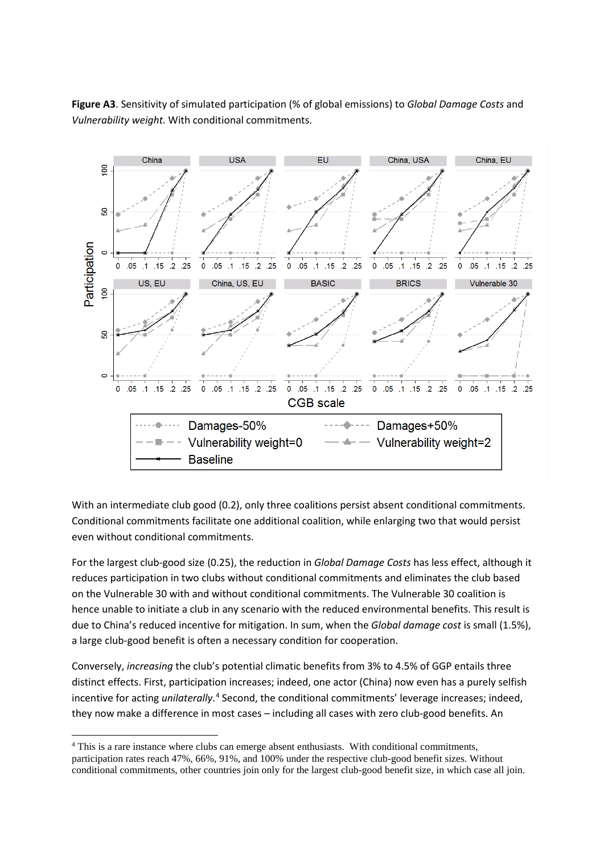**Figure A3**. Sensitivity of simulated participation (% of global emissions) to *Global Damage Costs* and *Vulnerability weight.* With conditional commitments.



With an intermediate club good (0.2), only three coalitions persist absent conditional commitments. Conditional commitments facilitate one additional coalition, while enlarging two that would persist even without conditional commitments.

For the largest club-good size (0.25), the reduction in *Global Damage Costs* has less effect, although it reduces participation in two clubs without conditional commitments and eliminates the club based on the Vulnerable 30 with and without conditional commitments. The Vulnerable 30 coalition is hence unable to initiate a club in any scenario with the reduced environmental benefits. This result is due to China's reduced incentive for mitigation. In sum, when the *Global damage cost* is small (1.5%), a large club-good benefit is often a necessary condition for cooperation.

Conversely, *increasing* the club's potential climatic benefits from 3% to 4.5% of GGP entails three distinct effects. First, participation increases; indeed, one actor (China) now even has a purely selfish incentive for acting *unilaterally*. [4](#page-58-0) Second, the conditional commitments' leverage increases; indeed, they now make a difference in most cases – including all cases with zero club-good benefits. An

 $\overline{a}$ 

<span id="page-58-0"></span><sup>4</sup> This is a rare instance where clubs can emerge absent enthusiasts. With conditional commitments, participation rates reach 47%, 66%, 91%, and 100% under the respective club-good benefit sizes. Without conditional commitments, other countries join only for the largest club-good benefit size, in which case all join.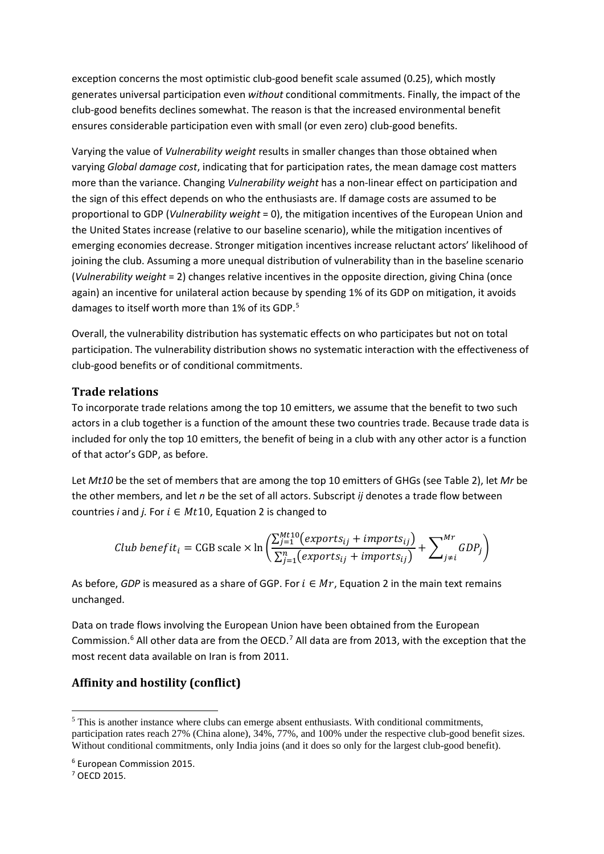exception concerns the most optimistic club-good benefit scale assumed (0.25), which mostly generates universal participation even *without* conditional commitments. Finally, the impact of the club-good benefits declines somewhat. The reason is that the increased environmental benefit ensures considerable participation even with small (or even zero) club-good benefits.

Varying the value of *Vulnerability weight* results in smaller changes than those obtained when varying *Global damage cost*, indicating that for participation rates, the mean damage cost matters more than the variance. Changing *Vulnerability weight* has a non-linear effect on participation and the sign of this effect depends on who the enthusiasts are. If damage costs are assumed to be proportional to GDP (*Vulnerability weight* = 0), the mitigation incentives of the European Union and the United States increase (relative to our baseline scenario), while the mitigation incentives of emerging economies decrease. Stronger mitigation incentives increase reluctant actors' likelihood of joining the club. Assuming a more unequal distribution of vulnerability than in the baseline scenario (*Vulnerability weight* = 2) changes relative incentives in the opposite direction, giving China (once again) an incentive for unilateral action because by spending 1% of its GDP on mitigation, it avoids damages to itself worth more than 1% of its GDP.<sup>[5](#page-59-0)</sup>

Overall, the vulnerability distribution has systematic effects on who participates but not on total participation. The vulnerability distribution shows no systematic interaction with the effectiveness of club-good benefits or of conditional commitments.

### **Trade relations**

To incorporate trade relations among the top 10 emitters, we assume that the benefit to two such actors in a club together is a function of the amount these two countries trade. Because trade data is included for only the top 10 emitters, the benefit of being in a club with any other actor is a function of that actor's GDP, as before.

Let *Mt10* be the set of members that are among the top 10 emitters of GHGs (see Table 2), let *Mr* be the other members, and let *n* be the set of all actors. Subscript *ij* denotes a trade flow between countries *i* and *j.* For  $i \in Mt10$ , Equation 2 is changed to

*Club benefit*<sub>i</sub> = CGB scale × ln 
$$
\left( \frac{\sum_{j=1}^{Mt10} (exports_{ij} + imports_{ij})}{\sum_{j=1}^{n} (exports_{ij} + imports_{ij})} + \sum_{j \neq i}^{Mr} GDP_j \right)
$$

As before, *GDP* is measured as a share of GGP. For  $i \in Mr$ , Equation 2 in the main text remains unchanged.

Data on trade flows involving the European Union have been obtained from the European Commission.<sup>[6](#page-59-1)</sup> All other data are from the OECD.<sup>[7](#page-59-2)</sup> All data are from 2013, with the exception that the most recent data available on Iran is from 2011.

### **Affinity and hostility (conflict)**

 $\overline{a}$ 

<span id="page-59-0"></span><sup>&</sup>lt;sup>5</sup> This is another instance where clubs can emerge absent enthusiasts. With conditional commitments, participation rates reach 27% (China alone), 34%, 77%, and 100% under the respective club-good benefit sizes. Without conditional commitments, only India joins (and it does so only for the largest club-good benefit).

<span id="page-59-1"></span><sup>6</sup> European Commission 2015.

<span id="page-59-2"></span><sup>7</sup> OECD 2015.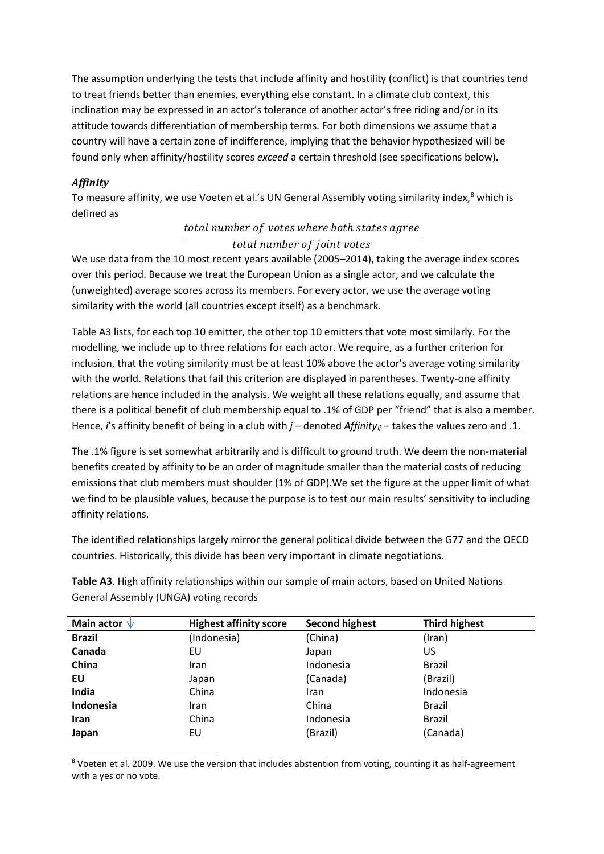The assumption underlying the tests that include affinity and hostility (conflict) is that countries tend to treat friends better than enemies, everything else constant. In a climate club context, this inclination may be expressed in an actor's tolerance of another actor's free riding and/or in its attitude towards differentiation of membership terms. For both dimensions we assume that a country will have a certain zone of indifference, implying that the behavior hypothesized will be found only when affinity/hostility scores *exceed* a certain threshold (see specifications below).

### *Affinity*

 $\overline{a}$ 

To measure affinity, we use Voeten et al.'s UN General Assembly voting similarity index,<sup>[8](#page-60-0)</sup> which is defined as

### total number of votes where both states agree

### total number of joint votes

We use data from the 10 most recent years available (2005–2014), taking the average index scores over this period. Because we treat the European Union as a single actor, and we calculate the (unweighted) average scores across its members. For every actor, we use the average voting similarity with the world (all countries except itself) as a benchmark.

Table A3 lists, for each top 10 emitter, the other top 10 emitters that vote most similarly. For the modelling, we include up to three relations for each actor. We require, as a further criterion for inclusion, that the voting similarity must be at least 10% above the actor's average voting similarity with the world. Relations that fail this criterion are displayed in parentheses. Twenty-one affinity relations are hence included in the analysis. We weight all these relations equally, and assume that there is a political benefit of club membership equal to .1% of GDP per "friend" that is also a member. Hence, *i*'s affinity benefit of being in a club with *j* – denoted *Affinity<sub>ii</sub>* – takes the values zero and .1.

The .1% figure is set somewhat arbitrarily and is difficult to ground truth. We deem the non-material benefits created by affinity to be an order of magnitude smaller than the material costs of reducing emissions that club members must shoulder (1% of GDP).We set the figure at the upper limit of what we find to be plausible values, because the purpose is to test our main results' sensitivity to including affinity relations.

The identified relationships largely mirror the general political divide between the G77 and the OECD countries. Historically, this divide has been very important in climate negotiations.

**Table A3**. High affinity relationships within our sample of main actors, based on United Nations General Assembly (UNGA) voting records

| Main actor $\sqrt{}$ | <b>Highest affinity score</b> | <b>Second highest</b> | <b>Third highest</b> |
|----------------------|-------------------------------|-----------------------|----------------------|
| <b>Brazil</b>        | (Indonesia)                   | (China)               | (Iran)               |
| Canada               | EU                            | Japan                 | US                   |
| China                | Iran                          | Indonesia             | Brazil               |
| EU                   | Japan                         | (Canada)              | (Brazil)             |
| India                | China                         | <b>Iran</b>           | Indonesia            |
| Indonesia            | Iran                          | China                 | Brazil               |
| <b>Iran</b>          | China                         | Indonesia             | <b>Brazil</b>        |
| Japan                | EU                            | (Brazil)              | (Canada)             |

<span id="page-60-0"></span><sup>8</sup> Voeten et al. 2009. We use the version that includes abstention from voting, counting it as half-agreement with a yes or no vote.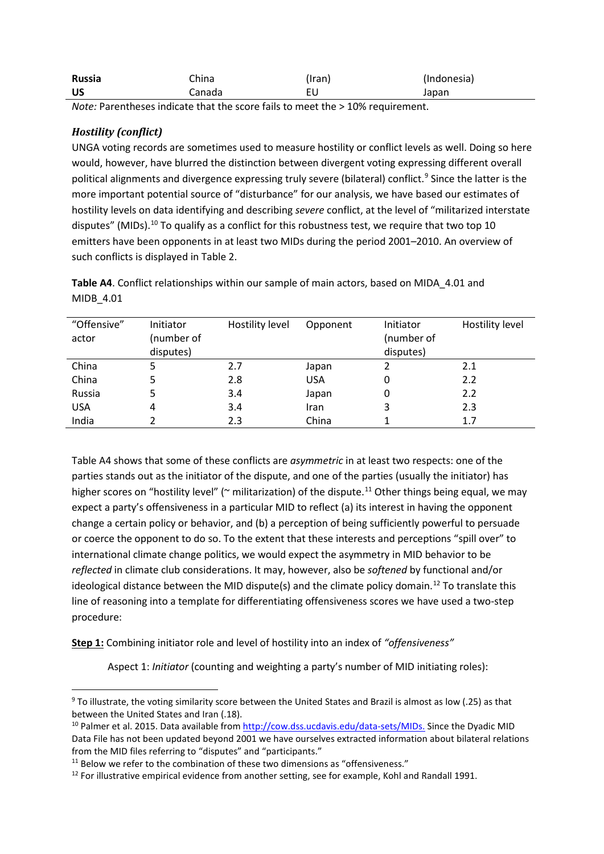| Russia | China  | (Iran) | (Indonesia) |
|--------|--------|--------|-------------|
| ีบร    | Canada |        | Japan       |

*Note:* Parentheses indicate that the score fails to meet the > 10% requirement.

### *Hostility (conflict)*

 $\overline{a}$ 

UNGA voting records are sometimes used to measure hostility or conflict levels as well. Doing so here would, however, have blurred the distinction between divergent voting expressing different overall political alignments and divergence expressing truly severe (bilateral) conflict.<sup>[9](#page-61-0)</sup> Since the latter is the more important potential source of "disturbance" for our analysis, we have based our estimates of hostility levels on data identifying and describing *severe* conflict, at the level of "militarized interstate disputes" (MIDs).<sup>[10](#page-61-1)</sup> To qualify as a conflict for this robustness test, we require that two top 10 emitters have been opponents in at least two MIDs during the period 2001–2010. An overview of such conflicts is displayed in Table 2.

| "Offensive" | Initiator  | Hostility level | Opponent   | Initiator  | Hostility level |
|-------------|------------|-----------------|------------|------------|-----------------|
| actor       | (number of |                 |            | (number of |                 |
|             | disputes)  |                 |            | disputes)  |                 |
| China       |            | 2.7             | Japan      |            | 2.1             |
| China       |            | 2.8             | <b>USA</b> |            | 2.2             |
| Russia      |            | 3.4             | Japan      | 0          | 2.2             |
| <b>USA</b>  | 4          | 3.4             | Iran       | 3          | 2.3             |
| India       |            | 2.3             | China      |            | 1.7             |

**Table A4**. Conflict relationships within our sample of main actors, based on MIDA\_4.01 and MIDB\_4.01

Table A4 shows that some of these conflicts are *asymmetric* in at least two respects: one of the parties stands out as the initiator of the dispute, and one of the parties (usually the initiator) has higher scores on "hostility level" ( $\sim$  militarization) of the dispute.<sup>[11](#page-61-2)</sup> Other things being equal, we may expect a party's offensiveness in a particular MID to reflect (a) its interest in having the opponent change a certain policy or behavior, and (b) a perception of being sufficiently powerful to persuade or coerce the opponent to do so. To the extent that these interests and perceptions "spill over" to international climate change politics, we would expect the asymmetry in MID behavior to be *reflected* in climate club considerations. It may, however, also be *softened* by functional and/or ideological distance between the MID dispute(s) and the climate policy domain.<sup>[12](#page-61-3)</sup> To translate this line of reasoning into a template for differentiating offensiveness scores we have used a two-step procedure:

**Step 1:** Combining initiator role and level of hostility into an index of *"offensiveness"*

Aspect 1: *Initiator* (counting and weighting a party's number of MID initiating roles):

<span id="page-61-0"></span><sup>9</sup> To illustrate, the voting similarity score between the United States and Brazil is almost as low (.25) as that

<span id="page-61-1"></span>between the United States and Iran (.18).<br><sup>10</sup> Palmer et al. 2015. Data available from [http://cow.dss.ucdavis.edu/data-sets/MIDs.](http://cow.dss.ucdavis.edu/data-sets/MIDs) Since the Dyadic MID Data File has not been updated beyond 2001 we have ourselves extracted information about bilateral relations from the MID files referring to "disputes" and "participants."<br><sup>11</sup> Below we refer to the combination of these two dimensions as "offensiveness."

<span id="page-61-2"></span>

<span id="page-61-3"></span><sup>&</sup>lt;sup>12</sup> For illustrative empirical evidence from another setting, see for example, Kohl and Randall 1991.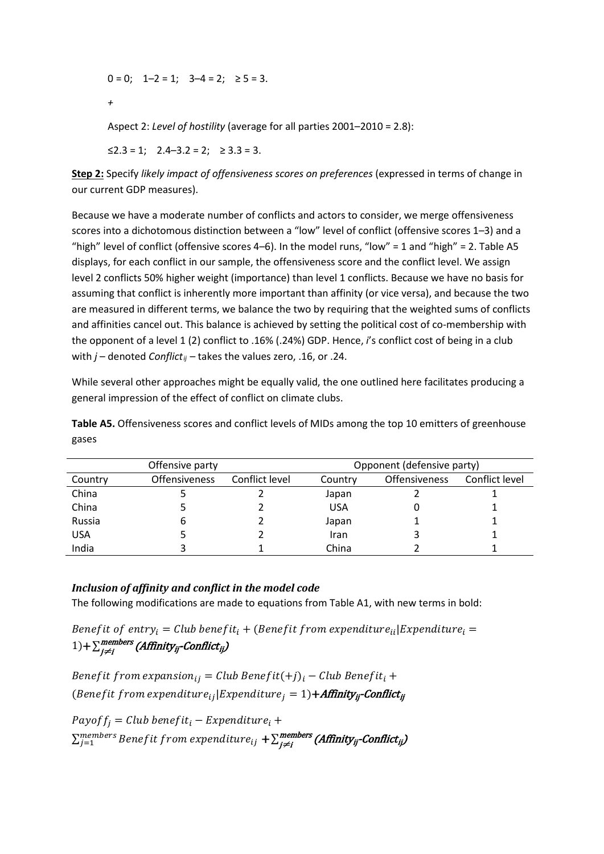$0 = 0$ ;  $1-2 = 1$ ;  $3-4 = 2$ ;  $\ge 5 = 3$ . *+* 

Aspect 2: *Level of hostility* (average for all parties 2001–2010 = 2.8):

≤2.3 = 1; 2.4–3.2 = 2; ≥ 3.3 = 3.

**Step 2:** Specify *likely impact of offensiveness scores on preferences* (expressed in terms of change in our current GDP measures).

Because we have a moderate number of conflicts and actors to consider, we merge offensiveness scores into a dichotomous distinction between a "low" level of conflict (offensive scores 1–3) and a "high" level of conflict (offensive scores  $4-6$ ). In the model runs, "low" = 1 and "high" = 2. Table A5 displays, for each conflict in our sample, the offensiveness score and the conflict level. We assign level 2 conflicts 50% higher weight (importance) than level 1 conflicts. Because we have no basis for assuming that conflict is inherently more important than affinity (or vice versa), and because the two are measured in different terms, we balance the two by requiring that the weighted sums of conflicts and affinities cancel out. This balance is achieved by setting the political cost of co-membership with the opponent of a level 1 (2) conflict to .16% (.24%) GDP. Hence, *i*'s conflict cost of being in a club with *j* – denoted *Conflict<sub>ij</sub>* – takes the values zero, .16, or .24.

While several other approaches might be equally valid, the one outlined here facilitates producing a general impression of the effect of conflict on climate clubs.

**Table A5.** Offensiveness scores and conflict levels of MIDs among the top 10 emitters of greenhouse gases

| Offensive party |                      |                | Opponent (defensive party) |                      |                |
|-----------------|----------------------|----------------|----------------------------|----------------------|----------------|
| Country         | <b>Offensiveness</b> | Conflict level | Country                    | <b>Offensiveness</b> | Conflict level |
| China           |                      |                | Japan                      |                      |                |
| China           |                      |                | USA                        |                      |                |
| Russia          | b                    |                | Japan                      |                      |                |
| <b>USA</b>      |                      |                | Iran                       |                      |                |
| India           |                      |                | China                      |                      |                |

### *Inclusion of affinity and conflict in the model code*

The following modifications are made to equations from Table A1, with new terms in bold:

Benefit of entry<sub>i</sub> = Club benefit<sub>i</sub> + (Benefit from expenditure<sub>ii</sub>|Expenditure<sub>i</sub> =  $(1)$ + $\sum_{j\neq i}^{\textit{members}}$  (Affinity<sub>ij</sub>-Conflict<sub>ij</sub>)

Benefit from expansion<sub>ii</sub> = Club Benefit(+j)<sub>i</sub> – Club Benefit<sub>i</sub> + (*Benefit from expenditure*<sub>ij</sub> [*Expenditure*<sub>i</sub> = 1)+*Affinity***<sub>ii</sub>-Conflict**<sub>ii</sub>

 $Payoff_i = Club benefit_i - Expenditure_i +$  $\Sigma_{j=1}^{members}$  Bene $fit$  from expenditur $e_{ij}$   $+ \Sigma_{j\neq i}^{members}$  (Affinity<sub>ij</sub>-Conflict<sub>ij</sub>)